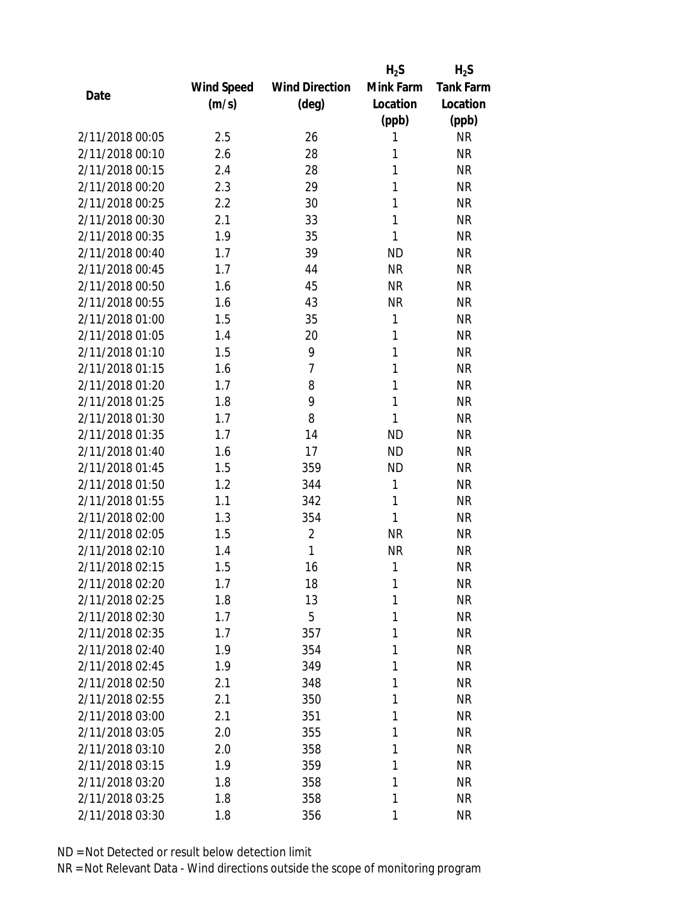|                 |            |                       | $H_2S$    | $H_2S$           |
|-----------------|------------|-----------------------|-----------|------------------|
|                 | Wind Speed | <b>Wind Direction</b> | Mink Farm | <b>Tank Farm</b> |
| Date            | (m/s)      | (deg)                 | Location  | Location         |
|                 |            |                       | (ppb)     | (ppb)            |
| 2/11/2018 00:05 | 2.5        | 26                    | 1         | <b>NR</b>        |
| 2/11/2018 00:10 | 2.6        | 28                    | 1         | <b>NR</b>        |
| 2/11/2018 00:15 | 2.4        | 28                    | 1         | <b>NR</b>        |
| 2/11/2018 00:20 | 2.3        | 29                    | 1         | <b>NR</b>        |
| 2/11/2018 00:25 | 2.2        | 30                    | 1         | <b>NR</b>        |
| 2/11/2018 00:30 | 2.1        | 33                    | 1         | <b>NR</b>        |
| 2/11/2018 00:35 | 1.9        | 35                    | 1         | <b>NR</b>        |
| 2/11/2018 00:40 | 1.7        | 39                    | <b>ND</b> | <b>NR</b>        |
| 2/11/2018 00:45 | 1.7        | 44                    | <b>NR</b> | <b>NR</b>        |
| 2/11/2018 00:50 | 1.6        | 45                    | <b>NR</b> | <b>NR</b>        |
| 2/11/2018 00:55 | 1.6        | 43                    | <b>NR</b> | <b>NR</b>        |
| 2/11/2018 01:00 | 1.5        | 35                    | 1         | <b>NR</b>        |
| 2/11/2018 01:05 | 1.4        | 20                    | 1         | <b>NR</b>        |
| 2/11/2018 01:10 | 1.5        | 9                     | 1         | <b>NR</b>        |
| 2/11/2018 01:15 | 1.6        | $\overline{7}$        | 1         | <b>NR</b>        |
| 2/11/2018 01:20 | 1.7        | 8                     | 1         | <b>NR</b>        |
| 2/11/2018 01:25 | 1.8        | 9                     | 1         | <b>NR</b>        |
| 2/11/2018 01:30 | 1.7        | 8                     | 1         | <b>NR</b>        |
| 2/11/2018 01:35 | 1.7        | 14                    | <b>ND</b> | <b>NR</b>        |
| 2/11/2018 01:40 | 1.6        | 17                    | <b>ND</b> | <b>NR</b>        |
| 2/11/2018 01:45 | 1.5        | 359                   | <b>ND</b> | <b>NR</b>        |
| 2/11/2018 01:50 | 1.2        | 344                   | 1         | <b>NR</b>        |
| 2/11/2018 01:55 | 1.1        | 342                   | 1         | <b>NR</b>        |
| 2/11/2018 02:00 | 1.3        | 354                   | 1         | <b>NR</b>        |
| 2/11/2018 02:05 | 1.5        | $\overline{2}$        | <b>NR</b> | <b>NR</b>        |
| 2/11/2018 02:10 | 1.4        | 1                     | <b>NR</b> | <b>NR</b>        |
| 2/11/2018 02:15 | 1.5        | 16                    | 1         | <b>NR</b>        |
| 2/11/2018 02:20 | 1.7        | 18                    | 1         | <b>NR</b>        |
| 2/11/2018 02:25 | 1.8        | 13                    | 1         | <b>NR</b>        |
| 2/11/2018 02:30 | 1.7        | 5                     | 1         | <b>NR</b>        |
| 2/11/2018 02:35 | 1.7        | 357                   | 1         | <b>NR</b>        |
| 2/11/2018 02:40 | 1.9        | 354                   | 1         | <b>NR</b>        |
| 2/11/2018 02:45 | 1.9        | 349                   | 1         | <b>NR</b>        |
| 2/11/2018 02:50 | 2.1        | 348                   | 1         | <b>NR</b>        |
| 2/11/2018 02:55 | 2.1        | 350                   | 1         | <b>NR</b>        |
| 2/11/2018 03:00 | 2.1        | 351                   | 1         | <b>NR</b>        |
| 2/11/2018 03:05 | 2.0        | 355                   | 1         | <b>NR</b>        |
| 2/11/2018 03:10 | 2.0        | 358                   | 1         | <b>NR</b>        |
| 2/11/2018 03:15 | 1.9        | 359                   | 1         | <b>NR</b>        |
| 2/11/2018 03:20 | 1.8        | 358                   | 1         | <b>NR</b>        |
| 2/11/2018 03:25 | 1.8        | 358                   | 1         | <b>NR</b>        |
| 2/11/2018 03:30 | 1.8        | 356                   | 1         | <b>NR</b>        |
|                 |            |                       |           |                  |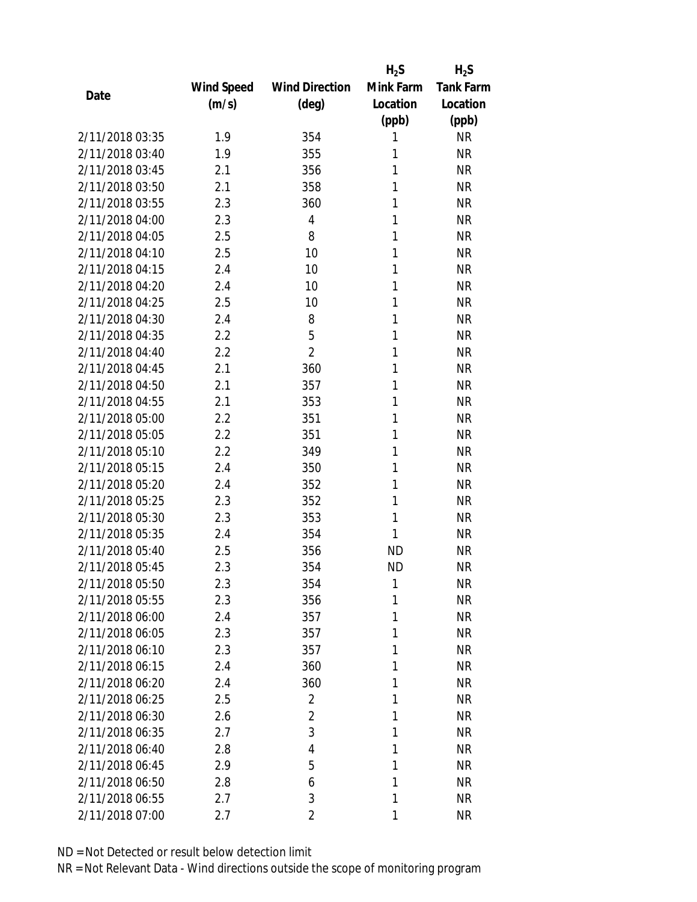|                 |            |                       | $H_2S$    | $H_2S$           |
|-----------------|------------|-----------------------|-----------|------------------|
|                 | Wind Speed | <b>Wind Direction</b> | Mink Farm | <b>Tank Farm</b> |
| Date            | (m/s)      | $(\text{deg})$        | Location  | Location         |
|                 |            |                       | (ppb)     | (ppb)            |
| 2/11/2018 03:35 | 1.9        | 354                   | 1         | <b>NR</b>        |
| 2/11/2018 03:40 | 1.9        | 355                   | 1         | <b>NR</b>        |
| 2/11/2018 03:45 | 2.1        | 356                   | 1         | <b>NR</b>        |
| 2/11/2018 03:50 | 2.1        | 358                   | 1         | <b>NR</b>        |
| 2/11/2018 03:55 | 2.3        | 360                   | 1         | <b>NR</b>        |
| 2/11/2018 04:00 | 2.3        | $\overline{4}$        | 1         | <b>NR</b>        |
| 2/11/2018 04:05 | 2.5        | 8                     | 1         | <b>NR</b>        |
| 2/11/2018 04:10 | 2.5        | 10                    | 1         | <b>NR</b>        |
| 2/11/2018 04:15 | 2.4        | 10                    | 1         | <b>NR</b>        |
| 2/11/2018 04:20 | 2.4        | 10                    | 1         | <b>NR</b>        |
| 2/11/2018 04:25 | 2.5        | 10                    | 1         | <b>NR</b>        |
| 2/11/2018 04:30 | 2.4        | 8                     | 1         | <b>NR</b>        |
| 2/11/2018 04:35 | 2.2        | 5                     | 1         | <b>NR</b>        |
| 2/11/2018 04:40 | 2.2        | $\overline{2}$        | 1         | <b>NR</b>        |
| 2/11/2018 04:45 | 2.1        | 360                   | 1         | <b>NR</b>        |
| 2/11/2018 04:50 | 2.1        | 357                   | 1         | <b>NR</b>        |
| 2/11/2018 04:55 | 2.1        | 353                   | 1         | <b>NR</b>        |
| 2/11/2018 05:00 | 2.2        | 351                   | 1         | <b>NR</b>        |
| 2/11/2018 05:05 | 2.2        | 351                   | 1         | <b>NR</b>        |
| 2/11/2018 05:10 | 2.2        | 349                   | 1         | <b>NR</b>        |
| 2/11/2018 05:15 | 2.4        | 350                   | 1         | <b>NR</b>        |
| 2/11/2018 05:20 | 2.4        | 352                   | 1         | <b>NR</b>        |
| 2/11/2018 05:25 | 2.3        | 352                   | 1         | <b>NR</b>        |
| 2/11/2018 05:30 | 2.3        | 353                   | 1         | <b>NR</b>        |
| 2/11/2018 05:35 | 2.4        | 354                   | 1         | <b>NR</b>        |
| 2/11/2018 05:40 | 2.5        | 356                   | <b>ND</b> | <b>NR</b>        |
| 2/11/2018 05:45 | 2.3        | 354                   | <b>ND</b> | <b>NR</b>        |
| 2/11/2018 05:50 | 2.3        | 354                   | 1         | <b>NR</b>        |
| 2/11/2018 05:55 | 2.3        | 356                   | 1         | <b>NR</b>        |
| 2/11/2018 06:00 | 2.4        | 357                   | 1         | <b>NR</b>        |
| 2/11/2018 06:05 | 2.3        | 357                   | 1         | <b>NR</b>        |
| 2/11/2018 06:10 | 2.3        | 357                   | 1         | <b>NR</b>        |
| 2/11/2018 06:15 | 2.4        | 360                   | 1         | <b>NR</b>        |
| 2/11/2018 06:20 | 2.4        | 360                   | 1         | <b>NR</b>        |
| 2/11/2018 06:25 | 2.5        | $\overline{2}$        | 1         | <b>NR</b>        |
| 2/11/2018 06:30 | 2.6        | $\overline{2}$        | 1         | <b>NR</b>        |
| 2/11/2018 06:35 | 2.7        | 3                     | 1         | <b>NR</b>        |
| 2/11/2018 06:40 | 2.8        | 4                     | 1         | <b>NR</b>        |
| 2/11/2018 06:45 | 2.9        | 5                     | 1         | <b>NR</b>        |
| 2/11/2018 06:50 | 2.8        | 6                     | 1         | <b>NR</b>        |
| 2/11/2018 06:55 | 2.7        | 3                     | 1         | <b>NR</b>        |
| 2/11/2018 07:00 | 2.7        | $\overline{2}$        | 1         | <b>NR</b>        |
|                 |            |                       |           |                  |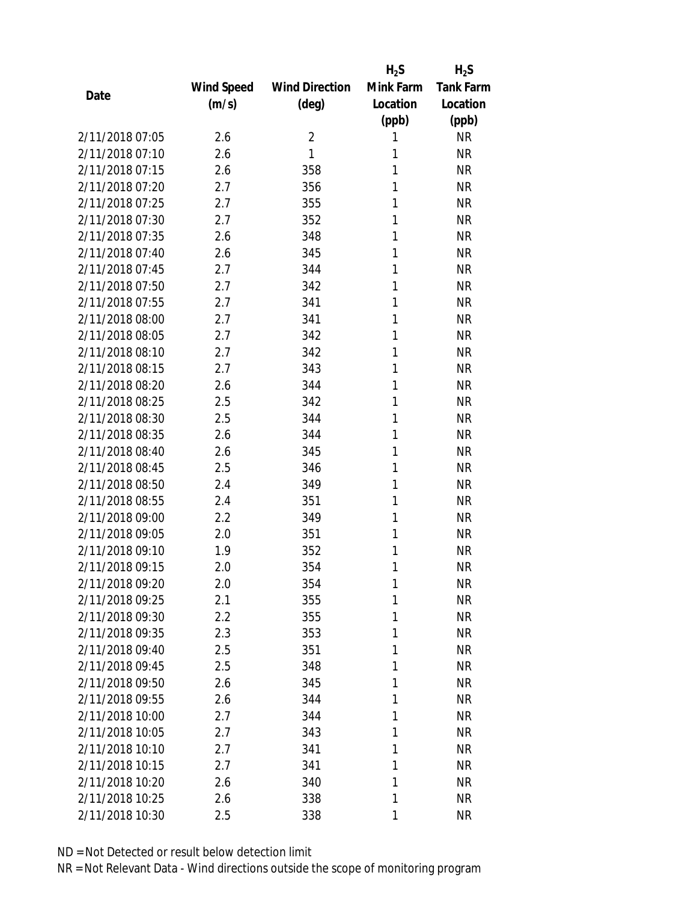|                 |            |                       | $H_2S$    | $H_2S$           |
|-----------------|------------|-----------------------|-----------|------------------|
|                 | Wind Speed | <b>Wind Direction</b> | Mink Farm | <b>Tank Farm</b> |
| Date            | (m/s)      | $(\text{deg})$        | Location  | Location         |
|                 |            |                       | (ppb)     | (ppb)            |
| 2/11/2018 07:05 | 2.6        | $\overline{2}$        | 1         | <b>NR</b>        |
| 2/11/2018 07:10 | 2.6        | 1                     | 1         | <b>NR</b>        |
| 2/11/2018 07:15 | 2.6        | 358                   | 1         | <b>NR</b>        |
| 2/11/2018 07:20 | 2.7        | 356                   | 1         | <b>NR</b>        |
| 2/11/2018 07:25 | 2.7        | 355                   | 1         | <b>NR</b>        |
| 2/11/2018 07:30 | 2.7        | 352                   | 1         | <b>NR</b>        |
| 2/11/2018 07:35 | 2.6        | 348                   | 1         | <b>NR</b>        |
| 2/11/2018 07:40 | 2.6        | 345                   | 1         | <b>NR</b>        |
| 2/11/2018 07:45 | 2.7        | 344                   | 1         | <b>NR</b>        |
| 2/11/2018 07:50 | 2.7        | 342                   | 1         | <b>NR</b>        |
| 2/11/2018 07:55 | 2.7        | 341                   | 1         | <b>NR</b>        |
| 2/11/2018 08:00 | 2.7        | 341                   | 1         | <b>NR</b>        |
| 2/11/2018 08:05 | 2.7        | 342                   | 1         | <b>NR</b>        |
| 2/11/2018 08:10 | 2.7        | 342                   | 1         | <b>NR</b>        |
| 2/11/2018 08:15 | 2.7        | 343                   | 1         | <b>NR</b>        |
| 2/11/2018 08:20 | 2.6        | 344                   | 1         | <b>NR</b>        |
| 2/11/2018 08:25 | 2.5        | 342                   | 1         | <b>NR</b>        |
| 2/11/2018 08:30 | 2.5        | 344                   | 1         | <b>NR</b>        |
| 2/11/2018 08:35 | 2.6        | 344                   | 1         | <b>NR</b>        |
| 2/11/2018 08:40 | 2.6        | 345                   | 1         | <b>NR</b>        |
| 2/11/2018 08:45 | 2.5        | 346                   | 1         | <b>NR</b>        |
| 2/11/2018 08:50 | 2.4        | 349                   | 1         | <b>NR</b>        |
| 2/11/2018 08:55 | 2.4        | 351                   | 1         | <b>NR</b>        |
| 2/11/2018 09:00 | 2.2        | 349                   | 1         | <b>NR</b>        |
| 2/11/2018 09:05 | 2.0        | 351                   | 1         | <b>NR</b>        |
| 2/11/2018 09:10 | 1.9        | 352                   | 1         | <b>NR</b>        |
| 2/11/2018 09:15 | 2.0        | 354                   | 1         | <b>NR</b>        |
| 2/11/2018 09:20 | 2.0        | 354                   | 1         | <b>NR</b>        |
| 2/11/2018 09:25 | 2.1        | 355                   | 1         | <b>NR</b>        |
| 2/11/2018 09:30 | 2.2        | 355                   | 1         | <b>NR</b>        |
| 2/11/2018 09:35 | 2.3        | 353                   | 1         | <b>NR</b>        |
| 2/11/2018 09:40 | 2.5        | 351                   | 1         | <b>NR</b>        |
| 2/11/2018 09:45 | 2.5        | 348                   | 1         | <b>NR</b>        |
| 2/11/2018 09:50 | 2.6        | 345                   | 1         | <b>NR</b>        |
| 2/11/2018 09:55 | 2.6        | 344                   | 1         | <b>NR</b>        |
| 2/11/2018 10:00 | 2.7        | 344                   | 1         | <b>NR</b>        |
| 2/11/2018 10:05 | 2.7        | 343                   | 1         | <b>NR</b>        |
| 2/11/2018 10:10 | 2.7        | 341                   | 1         | <b>NR</b>        |
| 2/11/2018 10:15 | 2.7        | 341                   | 1         | <b>NR</b>        |
| 2/11/2018 10:20 | 2.6        | 340                   | 1         | <b>NR</b>        |
| 2/11/2018 10:25 | 2.6        | 338                   | 1         | <b>NR</b>        |
| 2/11/2018 10:30 | 2.5        | 338                   | 1         | <b>NR</b>        |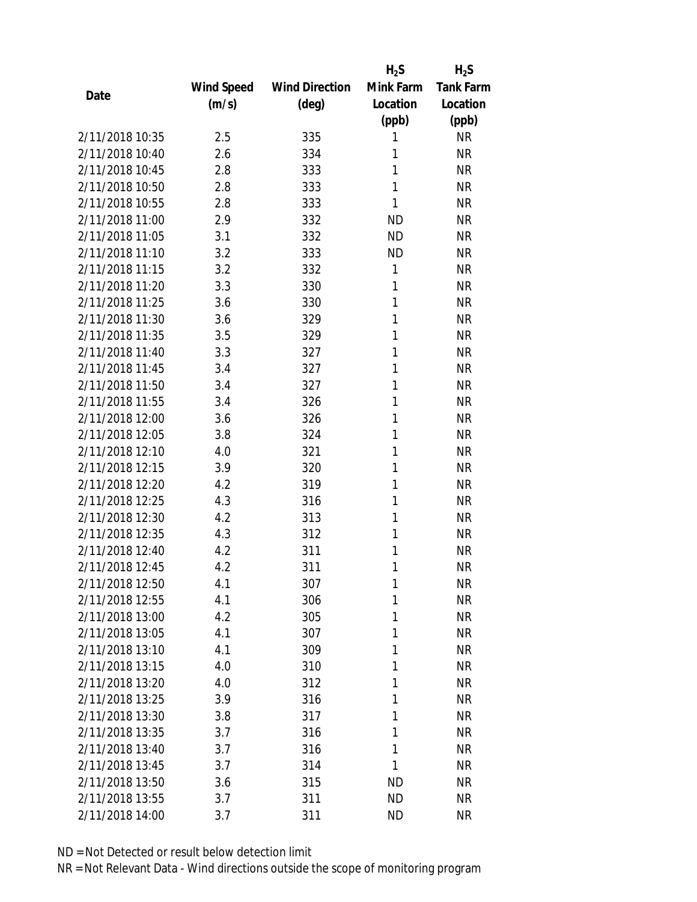|                 |            |                       | $H_2S$    | $H_2S$           |
|-----------------|------------|-----------------------|-----------|------------------|
|                 | Wind Speed | <b>Wind Direction</b> | Mink Farm | <b>Tank Farm</b> |
| Date            | (m/s)      | (deg)                 | Location  | Location         |
|                 |            |                       | (ppb)     | (ppb)            |
| 2/11/2018 10:35 | 2.5        | 335                   | 1         | <b>NR</b>        |
| 2/11/2018 10:40 | 2.6        | 334                   | 1         | <b>NR</b>        |
| 2/11/2018 10:45 | 2.8        | 333                   | 1         | <b>NR</b>        |
| 2/11/2018 10:50 | 2.8        | 333                   | 1         | <b>NR</b>        |
| 2/11/2018 10:55 | 2.8        | 333                   | 1         | <b>NR</b>        |
| 2/11/2018 11:00 | 2.9        | 332                   | <b>ND</b> | <b>NR</b>        |
| 2/11/2018 11:05 | 3.1        | 332                   | <b>ND</b> | <b>NR</b>        |
| 2/11/2018 11:10 | 3.2        | 333                   | <b>ND</b> | <b>NR</b>        |
| 2/11/2018 11:15 | 3.2        | 332                   | 1         | <b>NR</b>        |
| 2/11/2018 11:20 | 3.3        | 330                   | 1         | <b>NR</b>        |
| 2/11/2018 11:25 | 3.6        | 330                   | 1         | <b>NR</b>        |
| 2/11/2018 11:30 | 3.6        | 329                   | 1         | <b>NR</b>        |
| 2/11/2018 11:35 | 3.5        | 329                   | 1         | <b>NR</b>        |
| 2/11/2018 11:40 | 3.3        | 327                   | 1         | <b>NR</b>        |
| 2/11/2018 11:45 | 3.4        | 327                   | 1         | <b>NR</b>        |
| 2/11/2018 11:50 | 3.4        | 327                   | 1         | <b>NR</b>        |
| 2/11/2018 11:55 | 3.4        | 326                   | 1         | <b>NR</b>        |
| 2/11/2018 12:00 | 3.6        | 326                   | 1         | <b>NR</b>        |
| 2/11/2018 12:05 | 3.8        | 324                   | 1         | <b>NR</b>        |
| 2/11/2018 12:10 | 4.0        | 321                   | 1         | <b>NR</b>        |
| 2/11/2018 12:15 | 3.9        | 320                   | 1         | <b>NR</b>        |
| 2/11/2018 12:20 | 4.2        | 319                   | 1         | <b>NR</b>        |
| 2/11/2018 12:25 | 4.3        | 316                   | 1         | <b>NR</b>        |
| 2/11/2018 12:30 | 4.2        | 313                   | 1         | <b>NR</b>        |
| 2/11/2018 12:35 | 4.3        | 312                   | 1         | <b>NR</b>        |
| 2/11/2018 12:40 | 4.2        | 311                   | 1         | <b>NR</b>        |
| 2/11/2018 12:45 | 4.2        | 311                   | 1         | <b>NR</b>        |
| 2/11/2018 12:50 | 4.1        | 307                   | 1         | <b>NR</b>        |
| 2/11/2018 12:55 | 4.1        | 306                   | 1         | <b>NR</b>        |
| 2/11/2018 13:00 | 4.2        | 305                   | 1         | <b>NR</b>        |
| 2/11/2018 13:05 | 4.1        | 307                   | 1         | <b>NR</b>        |
| 2/11/2018 13:10 | 4.1        | 309                   | 1         | <b>NR</b>        |
| 2/11/2018 13:15 | 4.0        | 310                   | 1         | <b>NR</b>        |
| 2/11/2018 13:20 | 4.0        | 312                   | 1         | <b>NR</b>        |
| 2/11/2018 13:25 | 3.9        | 316                   | 1         | <b>NR</b>        |
| 2/11/2018 13:30 | 3.8        | 317                   | 1         | <b>NR</b>        |
| 2/11/2018 13:35 | 3.7        | 316                   | 1         | <b>NR</b>        |
| 2/11/2018 13:40 | 3.7        | 316                   | 1         | <b>NR</b>        |
| 2/11/2018 13:45 | 3.7        | 314                   | 1         | <b>NR</b>        |
| 2/11/2018 13:50 | 3.6        | 315                   | ND        | <b>NR</b>        |
| 2/11/2018 13:55 | 3.7        | 311                   | <b>ND</b> | <b>NR</b>        |
| 2/11/2018 14:00 | 3.7        | 311                   | ND        | <b>NR</b>        |
|                 |            |                       |           |                  |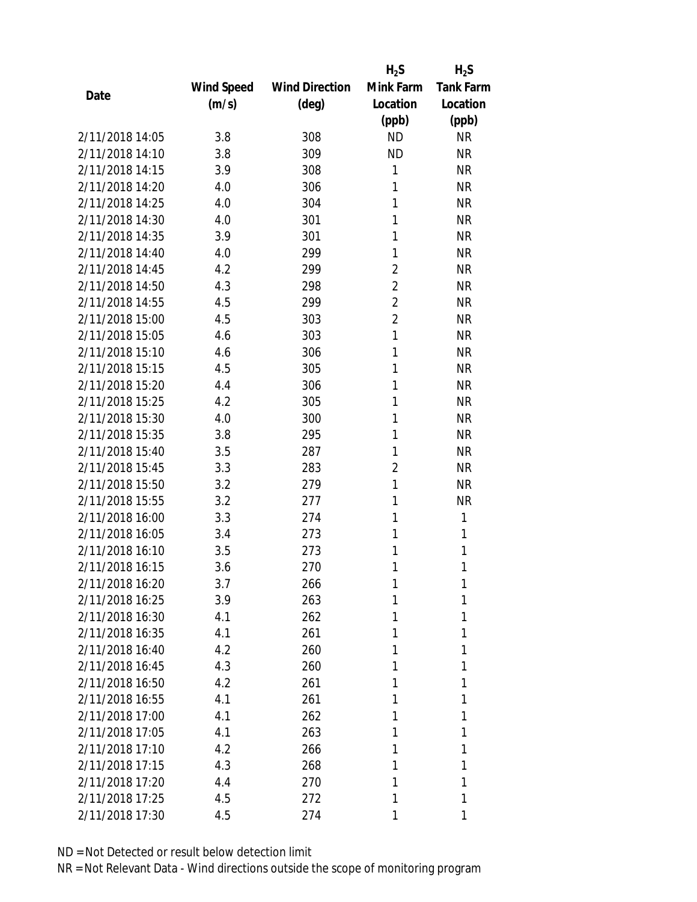|                 |            |                       | $H_2S$         | $H_2S$           |
|-----------------|------------|-----------------------|----------------|------------------|
|                 | Wind Speed | <b>Wind Direction</b> | Mink Farm      | <b>Tank Farm</b> |
| Date            | (m/s)      | (deg)                 | Location       | Location         |
|                 |            |                       | (ppb)          | (ppb)            |
| 2/11/2018 14:05 | 3.8        | 308                   | <b>ND</b>      | <b>NR</b>        |
| 2/11/2018 14:10 | 3.8        | 309                   | <b>ND</b>      | <b>NR</b>        |
| 2/11/2018 14:15 | 3.9        | 308                   | 1              | <b>NR</b>        |
| 2/11/2018 14:20 | 4.0        | 306                   | 1              | <b>NR</b>        |
| 2/11/2018 14:25 | 4.0        | 304                   | 1              | <b>NR</b>        |
| 2/11/2018 14:30 | 4.0        | 301                   | 1              | <b>NR</b>        |
| 2/11/2018 14:35 | 3.9        | 301                   | 1              | <b>NR</b>        |
| 2/11/2018 14:40 | 4.0        | 299                   | 1              | <b>NR</b>        |
| 2/11/2018 14:45 | 4.2        | 299                   | $\overline{2}$ | <b>NR</b>        |
| 2/11/2018 14:50 | 4.3        | 298                   | $\overline{2}$ | <b>NR</b>        |
| 2/11/2018 14:55 | 4.5        | 299                   | $\overline{2}$ | <b>NR</b>        |
| 2/11/2018 15:00 | 4.5        | 303                   | $\overline{2}$ | <b>NR</b>        |
| 2/11/2018 15:05 | 4.6        | 303                   | 1              | <b>NR</b>        |
| 2/11/2018 15:10 | 4.6        | 306                   | 1              | <b>NR</b>        |
| 2/11/2018 15:15 | 4.5        | 305                   | 1              | <b>NR</b>        |
| 2/11/2018 15:20 | 4.4        | 306                   | 1              | <b>NR</b>        |
| 2/11/2018 15:25 | 4.2        | 305                   | 1              | <b>NR</b>        |
| 2/11/2018 15:30 | 4.0        | 300                   | 1              | <b>NR</b>        |
| 2/11/2018 15:35 | 3.8        | 295                   | 1              | <b>NR</b>        |
| 2/11/2018 15:40 | 3.5        | 287                   | 1              | <b>NR</b>        |
| 2/11/2018 15:45 | 3.3        | 283                   | $\overline{2}$ | <b>NR</b>        |
| 2/11/2018 15:50 | 3.2        | 279                   | 1              | <b>NR</b>        |
| 2/11/2018 15:55 | 3.2        | 277                   | 1              | <b>NR</b>        |
| 2/11/2018 16:00 | 3.3        | 274                   | 1              | 1                |
| 2/11/2018 16:05 | 3.4        | 273                   | 1              | 1                |
| 2/11/2018 16:10 | 3.5        | 273                   | 1              | 1                |
| 2/11/2018 16:15 | 3.6        | 270                   | 1              | 1                |
| 2/11/2018 16:20 | 3.7        | 266                   | 1              | 1                |
| 2/11/2018 16:25 | 3.9        | 263                   | 1              | 1                |
| 2/11/2018 16:30 | 4.1        | 262                   | 1              | 1                |
| 2/11/2018 16:35 | 4.1        | 261                   | 1              | 1                |
| 2/11/2018 16:40 | 4.2        | 260                   | 1              | 1                |
| 2/11/2018 16:45 | 4.3        | 260                   | 1              | 1                |
| 2/11/2018 16:50 | 4.2        | 261                   | 1              | 1                |
| 2/11/2018 16:55 | 4.1        | 261                   | 1              | 1                |
| 2/11/2018 17:00 | 4.1        | 262                   | 1              | 1                |
| 2/11/2018 17:05 | 4.1        | 263                   | 1              | 1                |
| 2/11/2018 17:10 |            |                       |                |                  |
|                 | 4.2        | 266                   | 1              | 1                |
| 2/11/2018 17:15 | 4.3        | 268                   | 1              | 1                |
| 2/11/2018 17:20 | 4.4        | 270                   | 1              | 1                |
| 2/11/2018 17:25 | 4.5        | 272                   | 1              | 1                |
| 2/11/2018 17:30 | 4.5        | 274                   |                | 1                |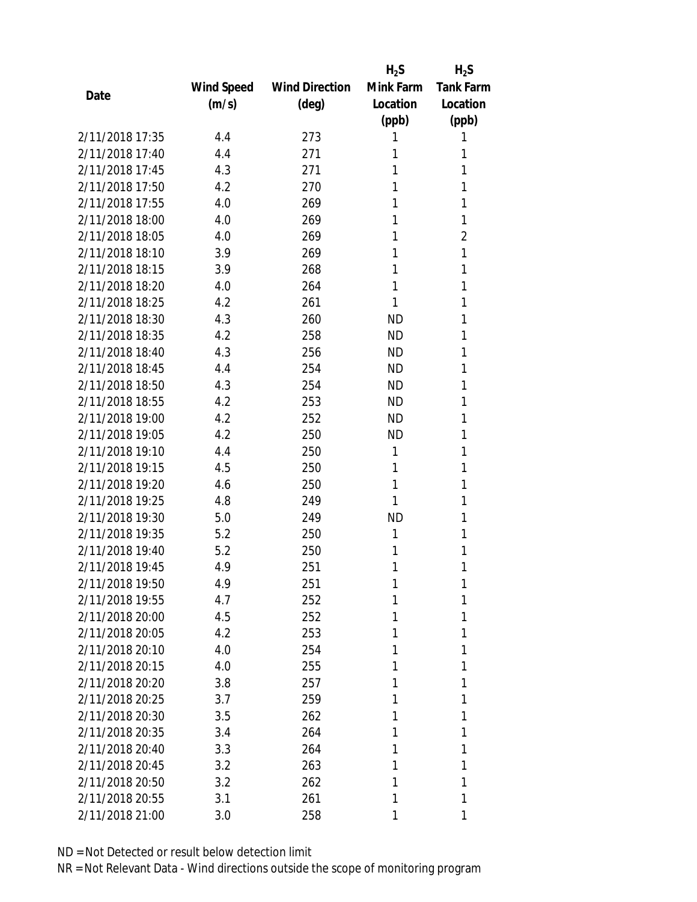|                 |            |                       | $H_2S$    | $H_2S$           |
|-----------------|------------|-----------------------|-----------|------------------|
|                 | Wind Speed | <b>Wind Direction</b> | Mink Farm | <b>Tank Farm</b> |
| Date            | (m/s)      | $(\text{deg})$        | Location  | Location         |
|                 |            |                       | (ppb)     | (ppb)            |
| 2/11/2018 17:35 | 4.4        | 273                   | 1         | 1                |
| 2/11/2018 17:40 | 4.4        | 271                   | 1         | 1                |
| 2/11/2018 17:45 | 4.3        | 271                   | 1         | 1                |
| 2/11/2018 17:50 | 4.2        | 270                   | 1         | 1                |
| 2/11/2018 17:55 | 4.0        | 269                   | 1         | 1                |
| 2/11/2018 18:00 | 4.0        | 269                   | 1         | 1                |
| 2/11/2018 18:05 | 4.0        | 269                   | 1         | $\overline{2}$   |
| 2/11/2018 18:10 | 3.9        | 269                   | 1         | 1                |
| 2/11/2018 18:15 | 3.9        | 268                   | 1         | 1                |
| 2/11/2018 18:20 | 4.0        | 264                   | 1         | 1                |
| 2/11/2018 18:25 | 4.2        | 261                   | 1         | 1                |
| 2/11/2018 18:30 | 4.3        | 260                   | <b>ND</b> | 1                |
| 2/11/2018 18:35 | 4.2        | 258                   | <b>ND</b> | 1                |
| 2/11/2018 18:40 | 4.3        | 256                   | ND        | 1                |
| 2/11/2018 18:45 | 4.4        | 254                   | <b>ND</b> | 1                |
| 2/11/2018 18:50 | 4.3        | 254                   | <b>ND</b> | 1                |
| 2/11/2018 18:55 | 4.2        | 253                   | <b>ND</b> | 1                |
| 2/11/2018 19:00 | 4.2        | 252                   | ND        | 1                |
| 2/11/2018 19:05 | 4.2        | 250                   | <b>ND</b> | 1                |
| 2/11/2018 19:10 | 4.4        | 250                   | 1         | 1                |
| 2/11/2018 19:15 | 4.5        | 250                   | 1         | 1                |
| 2/11/2018 19:20 | 4.6        | 250                   | 1         | 1                |
| 2/11/2018 19:25 | 4.8        | 249                   | 1         | 1                |
| 2/11/2018 19:30 | 5.0        | 249                   | <b>ND</b> | 1                |
| 2/11/2018 19:35 | 5.2        | 250                   | 1         | 1                |
| 2/11/2018 19:40 | 5.2        | 250                   | 1         | 1                |
| 2/11/2018 19:45 | 4.9        | 251                   | 1         | 1                |
| 2/11/2018 19:50 | 4.9        | 251                   | 1         | 1                |
| 2/11/2018 19:55 | 4.7        | 252                   | 1         | 1                |
| 2/11/2018 20:00 | 4.5        | 252                   | 1         | 1                |
| 2/11/2018 20:05 | 4.2        | 253                   | 1         | 1                |
| 2/11/2018 20:10 | 4.0        | 254                   | 1         | 1                |
| 2/11/2018 20:15 | 4.0        | 255                   | 1         | 1                |
| 2/11/2018 20:20 | 3.8        | 257                   | 1         | 1                |
| 2/11/2018 20:25 | 3.7        | 259                   | 1         | 1                |
| 2/11/2018 20:30 | 3.5        | 262                   | 1         | 1                |
| 2/11/2018 20:35 | 3.4        | 264                   | 1         | 1                |
| 2/11/2018 20:40 | 3.3        | 264                   | 1         | 1                |
| 2/11/2018 20:45 | 3.2        | 263                   | 1         | 1                |
| 2/11/2018 20:50 | 3.2        | 262                   | 1         | 1                |
| 2/11/2018 20:55 | 3.1        | 261                   | 1         | 1                |
| 2/11/2018 21:00 | 3.0        | 258                   |           | 1                |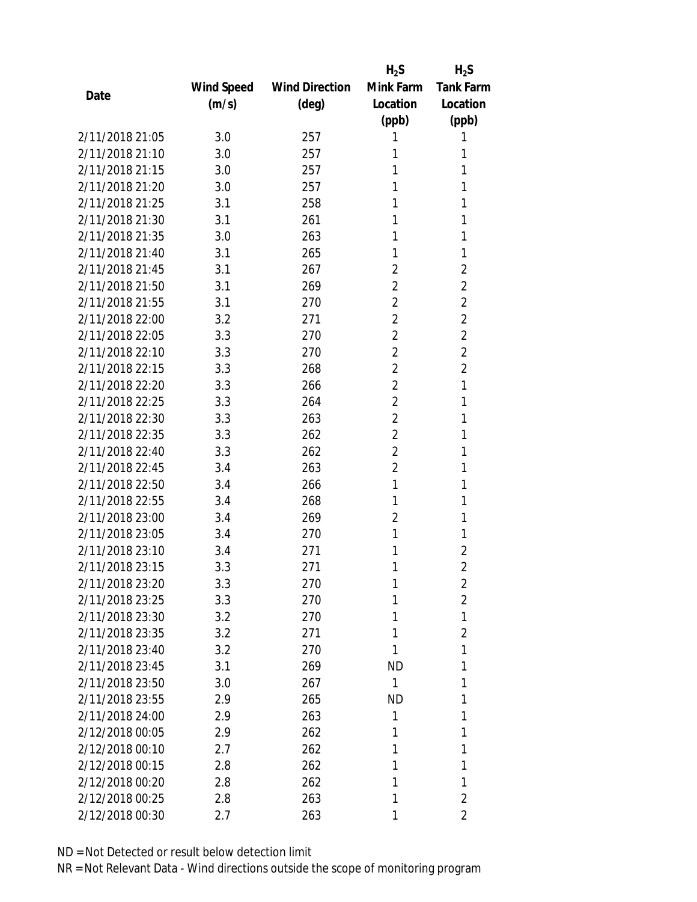|                 |            |                       | $H_2S$         | $H_2S$           |
|-----------------|------------|-----------------------|----------------|------------------|
|                 | Wind Speed | <b>Wind Direction</b> | Mink Farm      | <b>Tank Farm</b> |
| Date            | (m/s)      | $(\text{deg})$        | Location       | Location         |
|                 |            |                       | (ppb)          | (ppb)            |
| 2/11/2018 21:05 | 3.0        | 257                   | 1              | 1                |
| 2/11/2018 21:10 | 3.0        | 257                   | 1              | 1                |
| 2/11/2018 21:15 | 3.0        | 257                   | 1              | 1                |
| 2/11/2018 21:20 | 3.0        | 257                   | 1              | 1                |
| 2/11/2018 21:25 | 3.1        | 258                   | 1              | 1                |
| 2/11/2018 21:30 | 3.1        | 261                   | 1              | 1                |
| 2/11/2018 21:35 | 3.0        | 263                   | 1              | 1                |
| 2/11/2018 21:40 | 3.1        | 265                   | 1              | 1                |
| 2/11/2018 21:45 | 3.1        | 267                   | 2              | $\overline{2}$   |
| 2/11/2018 21:50 | 3.1        | 269                   | $\overline{2}$ | $\overline{2}$   |
| 2/11/2018 21:55 | 3.1        | 270                   | $\overline{2}$ | $\overline{2}$   |
| 2/11/2018 22:00 | 3.2        | 271                   | $\overline{2}$ | $\overline{2}$   |
| 2/11/2018 22:05 | 3.3        | 270                   | $\overline{2}$ | $\overline{2}$   |
| 2/11/2018 22:10 | 3.3        | 270                   | $\overline{2}$ | $\overline{2}$   |
| 2/11/2018 22:15 | 3.3        | 268                   | $\overline{2}$ | $\overline{2}$   |
| 2/11/2018 22:20 | 3.3        | 266                   | $\overline{2}$ | 1                |
| 2/11/2018 22:25 | 3.3        | 264                   | $\overline{2}$ | 1                |
| 2/11/2018 22:30 | 3.3        | 263                   | $\overline{2}$ | 1                |
| 2/11/2018 22:35 | 3.3        | 262                   | $\overline{2}$ | 1                |
| 2/11/2018 22:40 | 3.3        | 262                   | $\overline{2}$ | 1                |
| 2/11/2018 22:45 | 3.4        | 263                   | $\overline{2}$ | 1                |
| 2/11/2018 22:50 | 3.4        | 266                   | 1              | 1                |
| 2/11/2018 22:55 | 3.4        | 268                   | 1              | 1                |
| 2/11/2018 23:00 | 3.4        | 269                   | $\overline{2}$ | 1                |
| 2/11/2018 23:05 | 3.4        | 270                   | 1              | 1                |
| 2/11/2018 23:10 | 3.4        | 271                   | 1              | $\overline{2}$   |
| 2/11/2018 23:15 | 3.3        | 271                   | 1              | $\overline{2}$   |
| 2/11/2018 23:20 | 3.3        | 270                   | 1              | $\overline{2}$   |
| 2/11/2018 23:25 | 3.3        | 270                   | 1              | $\overline{2}$   |
| 2/11/2018 23:30 | 3.2        | 270                   | 1              | 1                |
| 2/11/2018 23:35 | 3.2        | 271                   | 1              | $\overline{2}$   |
| 2/11/2018 23:40 | 3.2        | 270                   | 1              | 1                |
| 2/11/2018 23:45 | 3.1        | 269                   | <b>ND</b>      | 1                |
| 2/11/2018 23:50 | 3.0        | 267                   | $\mathbf{1}$   | 1                |
| 2/11/2018 23:55 | 2.9        | 265                   | <b>ND</b>      | 1                |
| 2/11/2018 24:00 | 2.9        | 263                   | 1              | 1                |
| 2/12/2018 00:05 | 2.9        | 262                   | 1              | 1                |
| 2/12/2018 00:10 | 2.7        | 262                   | 1              | 1                |
| 2/12/2018 00:15 | 2.8        | 262                   | 1              | 1                |
| 2/12/2018 00:20 | 2.8        | 262                   | 1              | 1                |
| 2/12/2018 00:25 | 2.8        | 263                   | 1              | $\overline{2}$   |
| 2/12/2018 00:30 | 2.7        | 263                   | 1              | $\overline{2}$   |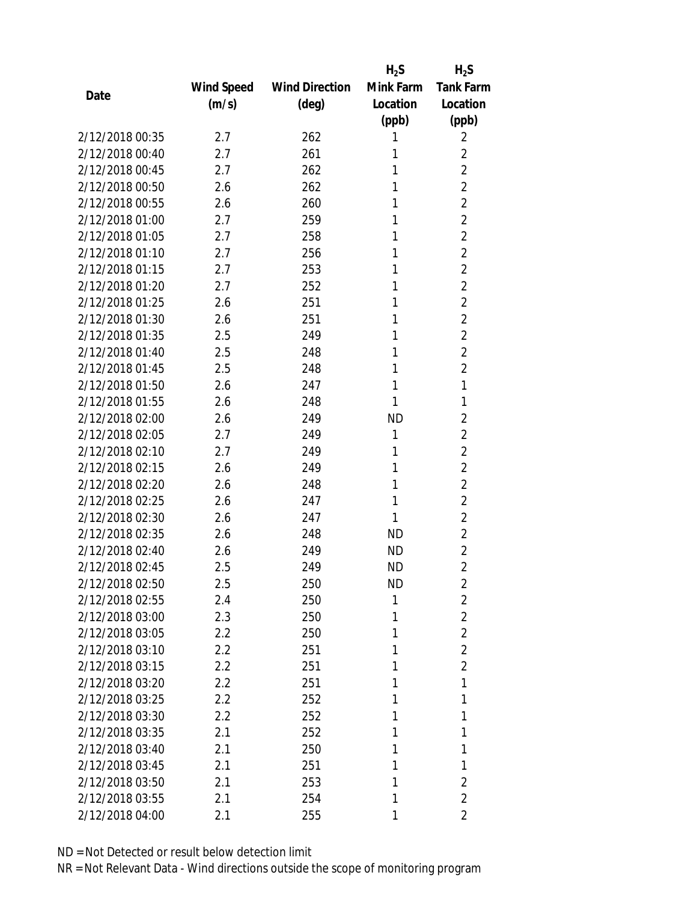|                 |            |                       | $H_2S$    | $H_2S$           |
|-----------------|------------|-----------------------|-----------|------------------|
|                 | Wind Speed | <b>Wind Direction</b> | Mink Farm | <b>Tank Farm</b> |
| Date            | (m/s)      | $(\text{deg})$        | Location  | Location         |
|                 |            |                       | (ppb)     | (ppb)            |
| 2/12/2018 00:35 | 2.7        | 262                   | 1         | 2                |
| 2/12/2018 00:40 | 2.7        | 261                   | 1         | $\overline{2}$   |
| 2/12/2018 00:45 | 2.7        | 262                   | 1         | $\overline{2}$   |
| 2/12/2018 00:50 | 2.6        | 262                   | 1         | $\overline{2}$   |
| 2/12/2018 00:55 | 2.6        | 260                   | 1         | $\overline{2}$   |
| 2/12/2018 01:00 | 2.7        | 259                   | 1         | $\overline{2}$   |
| 2/12/2018 01:05 | 2.7        | 258                   | 1         | $\overline{2}$   |
| 2/12/2018 01:10 | 2.7        | 256                   | 1         | $\overline{2}$   |
| 2/12/2018 01:15 | 2.7        | 253                   | 1         | $\overline{2}$   |
| 2/12/2018 01:20 | 2.7        | 252                   | 1         | $\overline{2}$   |
| 2/12/2018 01:25 | 2.6        | 251                   | 1         | $\overline{2}$   |
| 2/12/2018 01:30 | 2.6        | 251                   | 1         | $\overline{2}$   |
| 2/12/2018 01:35 | 2.5        | 249                   | 1         | $\overline{2}$   |
| 2/12/2018 01:40 | 2.5        | 248                   | 1         | $\overline{2}$   |
| 2/12/2018 01:45 | 2.5        | 248                   | 1         | $\overline{2}$   |
| 2/12/2018 01:50 | 2.6        | 247                   | 1         | 1                |
| 2/12/2018 01:55 | 2.6        | 248                   | 1         | 1                |
| 2/12/2018 02:00 | 2.6        | 249                   | <b>ND</b> | $\overline{2}$   |
| 2/12/2018 02:05 | 2.7        | 249                   | 1         | $\overline{2}$   |
| 2/12/2018 02:10 | 2.7        | 249                   | 1         | $\overline{2}$   |
| 2/12/2018 02:15 | 2.6        | 249                   | 1         | $\overline{2}$   |
| 2/12/2018 02:20 | 2.6        | 248                   | 1         | $\overline{2}$   |
| 2/12/2018 02:25 | 2.6        | 247                   | 1         | $\overline{2}$   |
| 2/12/2018 02:30 | 2.6        | 247                   | 1         | $\overline{2}$   |
| 2/12/2018 02:35 | 2.6        | 248                   | ND        | $\overline{2}$   |
| 2/12/2018 02:40 | 2.6        | 249                   | <b>ND</b> | $\overline{2}$   |
| 2/12/2018 02:45 | 2.5        | 249                   | <b>ND</b> | $\overline{2}$   |
| 2/12/2018 02:50 | 2.5        | 250                   | ND        | $\overline{2}$   |
| 2/12/2018 02:55 | 2.4        | 250                   | 1         | $\overline{2}$   |
| 2/12/2018 03:00 | 2.3        | 250                   | 1         | $\overline{2}$   |
| 2/12/2018 03:05 | $2.2\,$    | 250                   | 1         | $\overline{2}$   |
| 2/12/2018 03:10 | 2.2        | 251                   | 1         | $\overline{2}$   |
| 2/12/2018 03:15 | 2.2        | 251                   | 1         | $\overline{2}$   |
| 2/12/2018 03:20 | 2.2        | 251                   | 1         | 1                |
| 2/12/2018 03:25 | 2.2        | 252                   | 1         | 1                |
| 2/12/2018 03:30 | 2.2        | 252                   | 1         | 1                |
| 2/12/2018 03:35 | 2.1        | 252                   | 1         | 1                |
| 2/12/2018 03:40 | 2.1        | 250                   | 1         | 1                |
| 2/12/2018 03:45 | 2.1        | 251                   | 1         | 1                |
| 2/12/2018 03:50 | 2.1        | 253                   | 1         | $\overline{2}$   |
| 2/12/2018 03:55 | 2.1        | 254                   | 1         | $\overline{2}$   |
| 2/12/2018 04:00 | 2.1        | 255                   | 1         | 2                |
|                 |            |                       |           |                  |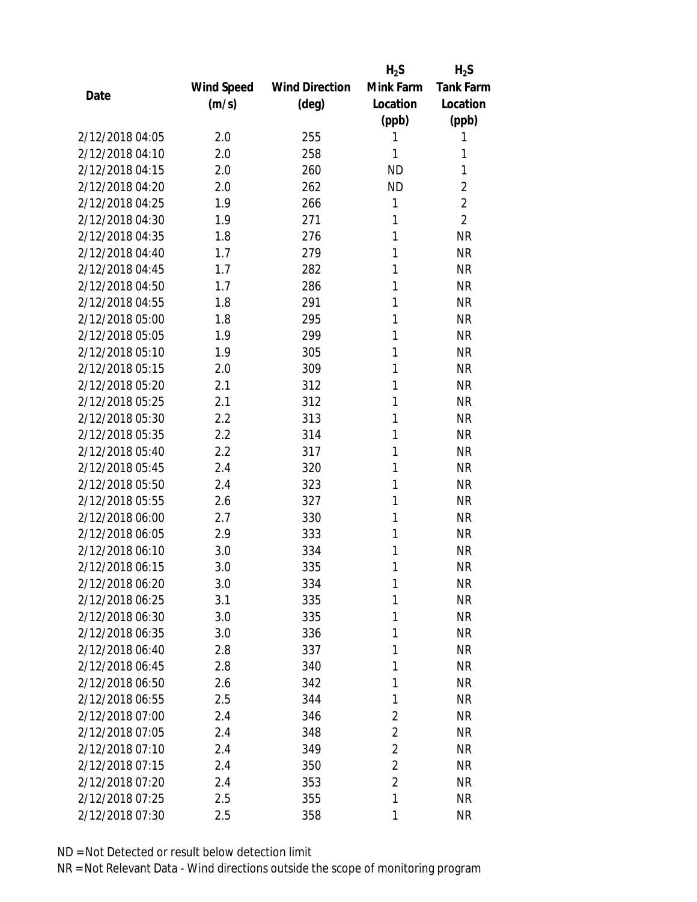|                 |            |                       | $H_2S$         | $H_2S$           |
|-----------------|------------|-----------------------|----------------|------------------|
|                 | Wind Speed | <b>Wind Direction</b> | Mink Farm      | <b>Tank Farm</b> |
| Date            | (m/s)      | $(\text{deg})$        | Location       | Location         |
|                 |            |                       | (ppb)          | (ppb)            |
| 2/12/2018 04:05 | 2.0        | 255                   | 1              | 1                |
| 2/12/2018 04:10 | 2.0        | 258                   | 1              | 1                |
| 2/12/2018 04:15 | 2.0        | 260                   | <b>ND</b>      | 1                |
| 2/12/2018 04:20 | 2.0        | 262                   | <b>ND</b>      | $\overline{2}$   |
| 2/12/2018 04:25 | 1.9        | 266                   | 1              | $\overline{2}$   |
| 2/12/2018 04:30 | 1.9        | 271                   | 1              | $\overline{2}$   |
| 2/12/2018 04:35 | 1.8        | 276                   | 1              | <b>NR</b>        |
| 2/12/2018 04:40 | 1.7        | 279                   | 1              | <b>NR</b>        |
| 2/12/2018 04:45 | 1.7        | 282                   | 1              | <b>NR</b>        |
| 2/12/2018 04:50 | 1.7        | 286                   | 1              | <b>NR</b>        |
| 2/12/2018 04:55 | 1.8        | 291                   | 1              | <b>NR</b>        |
| 2/12/2018 05:00 | 1.8        | 295                   | 1              | <b>NR</b>        |
| 2/12/2018 05:05 | 1.9        | 299                   | 1              | <b>NR</b>        |
| 2/12/2018 05:10 | 1.9        | 305                   | 1              | <b>NR</b>        |
| 2/12/2018 05:15 | 2.0        | 309                   | 1              | <b>NR</b>        |
| 2/12/2018 05:20 | 2.1        | 312                   | 1              | <b>NR</b>        |
| 2/12/2018 05:25 | 2.1        | 312                   | 1              | <b>NR</b>        |
| 2/12/2018 05:30 | 2.2        | 313                   | 1              | <b>NR</b>        |
| 2/12/2018 05:35 | 2.2        | 314                   | 1              | <b>NR</b>        |
| 2/12/2018 05:40 | 2.2        | 317                   | 1              | <b>NR</b>        |
| 2/12/2018 05:45 | 2.4        | 320                   | 1              | <b>NR</b>        |
| 2/12/2018 05:50 | 2.4        | 323                   | 1              | <b>NR</b>        |
| 2/12/2018 05:55 | 2.6        | 327                   | 1              | <b>NR</b>        |
| 2/12/2018 06:00 | 2.7        | 330                   | 1              | <b>NR</b>        |
| 2/12/2018 06:05 | 2.9        | 333                   | 1              | <b>NR</b>        |
| 2/12/2018 06:10 | 3.0        | 334                   | 1              | <b>NR</b>        |
| 2/12/2018 06:15 | 3.0        | 335                   | 1              | <b>NR</b>        |
| 2/12/2018 06:20 | 3.0        | 334                   | 1              | <b>NR</b>        |
| 2/12/2018 06:25 | 3.1        | 335                   | 1              | <b>NR</b>        |
| 2/12/2018 06:30 | 3.0        | 335                   | 1              | <b>NR</b>        |
| 2/12/2018 06:35 | 3.0        | 336                   | 1              | <b>NR</b>        |
| 2/12/2018 06:40 | 2.8        | 337                   | 1              | <b>NR</b>        |
| 2/12/2018 06:45 | 2.8        | 340                   | 1              | <b>NR</b>        |
| 2/12/2018 06:50 | 2.6        | 342                   | 1              | <b>NR</b>        |
| 2/12/2018 06:55 | 2.5        | 344                   | 1              | <b>NR</b>        |
| 2/12/2018 07:00 | 2.4        | 346                   | $\overline{2}$ | <b>NR</b>        |
| 2/12/2018 07:05 | 2.4        | 348                   | $\overline{2}$ | <b>NR</b>        |
| 2/12/2018 07:10 | 2.4        | 349                   | $\overline{c}$ | <b>NR</b>        |
| 2/12/2018 07:15 | 2.4        | 350                   | $\overline{2}$ | <b>NR</b>        |
| 2/12/2018 07:20 | 2.4        | 353                   | $\overline{2}$ | <b>NR</b>        |
| 2/12/2018 07:25 | 2.5        | 355                   | 1              | <b>NR</b>        |
| 2/12/2018 07:30 | 2.5        | 358                   | 1              | <b>NR</b>        |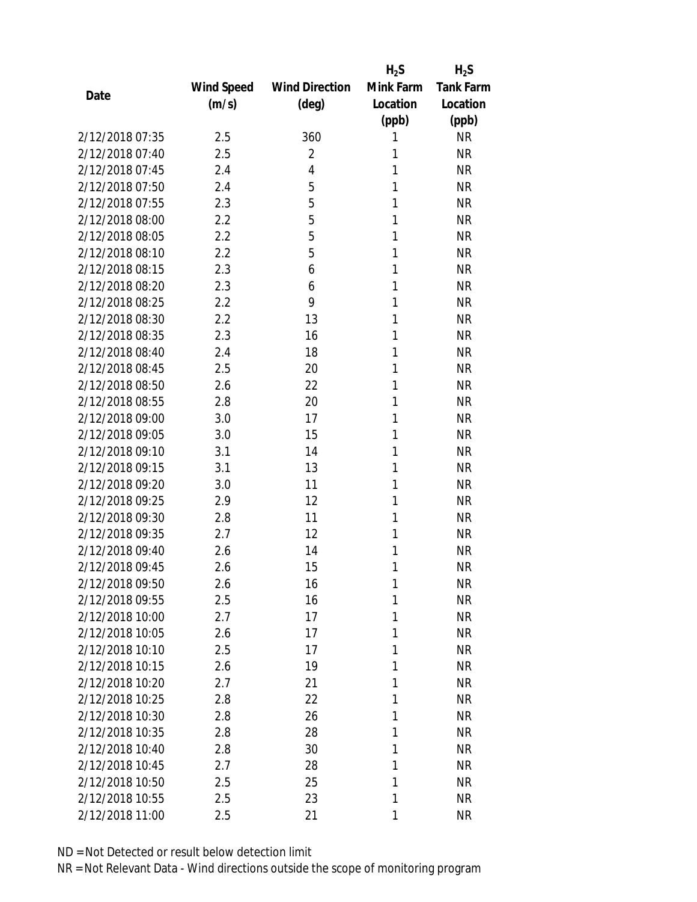|                 |            |                       | $H_2S$    | $H_2S$           |
|-----------------|------------|-----------------------|-----------|------------------|
|                 | Wind Speed | <b>Wind Direction</b> | Mink Farm | <b>Tank Farm</b> |
| Date            | (m/s)      | $(\text{deg})$        | Location  | Location         |
|                 |            |                       | (ppb)     | (ppb)            |
| 2/12/2018 07:35 | 2.5        | 360                   | 1         | <b>NR</b>        |
| 2/12/2018 07:40 | 2.5        | 2                     | 1         | <b>NR</b>        |
| 2/12/2018 07:45 | 2.4        | 4                     | 1         | <b>NR</b>        |
| 2/12/2018 07:50 | 2.4        | 5                     | 1         | <b>NR</b>        |
| 2/12/2018 07:55 | 2.3        | 5                     | 1         | <b>NR</b>        |
| 2/12/2018 08:00 | 2.2        | 5                     | 1         | <b>NR</b>        |
| 2/12/2018 08:05 | 2.2        | 5                     | 1         | <b>NR</b>        |
| 2/12/2018 08:10 | 2.2        | 5                     | 1         | <b>NR</b>        |
| 2/12/2018 08:15 | 2.3        | 6                     | 1         | <b>NR</b>        |
| 2/12/2018 08:20 | 2.3        | 6                     | 1         | <b>NR</b>        |
| 2/12/2018 08:25 | 2.2        | 9                     | 1         | <b>NR</b>        |
| 2/12/2018 08:30 | 2.2        | 13                    | 1         | <b>NR</b>        |
| 2/12/2018 08:35 | 2.3        | 16                    | 1         | <b>NR</b>        |
| 2/12/2018 08:40 | 2.4        | 18                    | 1         | <b>NR</b>        |
| 2/12/2018 08:45 | 2.5        | 20                    | 1         | <b>NR</b>        |
| 2/12/2018 08:50 | 2.6        | 22                    | 1         | <b>NR</b>        |
| 2/12/2018 08:55 | 2.8        | 20                    | 1         | <b>NR</b>        |
| 2/12/2018 09:00 | 3.0        | 17                    | 1         | <b>NR</b>        |
| 2/12/2018 09:05 | 3.0        | 15                    | 1         | <b>NR</b>        |
| 2/12/2018 09:10 | 3.1        | 14                    | 1         | <b>NR</b>        |
| 2/12/2018 09:15 | 3.1        | 13                    | 1         | <b>NR</b>        |
| 2/12/2018 09:20 | 3.0        | 11                    | 1         | <b>NR</b>        |
| 2/12/2018 09:25 | 2.9        | 12                    | 1         | <b>NR</b>        |
| 2/12/2018 09:30 | 2.8        | 11                    | 1         | <b>NR</b>        |
| 2/12/2018 09:35 | 2.7        | 12                    | 1         | <b>NR</b>        |
| 2/12/2018 09:40 | 2.6        | 14                    | 1         | <b>NR</b>        |
| 2/12/2018 09:45 | 2.6        | 15                    | 1         | <b>NR</b>        |
| 2/12/2018 09:50 | 2.6        | 16                    | 1         | ΝR               |
| 2/12/2018 09:55 | 2.5        | 16                    | 1         | <b>NR</b>        |
| 2/12/2018 10:00 | 2.7        | 17                    | 1         | <b>NR</b>        |
| 2/12/2018 10:05 | 2.6        | 17                    | 1         | <b>NR</b>        |
| 2/12/2018 10:10 | 2.5        | 17                    | 1         | <b>NR</b>        |
| 2/12/2018 10:15 | 2.6        | 19                    | 1         | <b>NR</b>        |
| 2/12/2018 10:20 | 2.7        | 21                    | 1         | <b>NR</b>        |
| 2/12/2018 10:25 | 2.8        | 22                    | 1         | <b>NR</b>        |
| 2/12/2018 10:30 | 2.8        | 26                    | 1         | <b>NR</b>        |
| 2/12/2018 10:35 | 2.8        | 28                    | 1         | <b>NR</b>        |
| 2/12/2018 10:40 | 2.8        | 30                    | 1         | <b>NR</b>        |
| 2/12/2018 10:45 | 2.7        | 28                    | 1         | <b>NR</b>        |
| 2/12/2018 10:50 | 2.5        | 25                    | 1         | <b>NR</b>        |
| 2/12/2018 10:55 | 2.5        | 23                    | 1         | <b>NR</b>        |
| 2/12/2018 11:00 | 2.5        | 21                    | 1         | <b>NR</b>        |
|                 |            |                       |           |                  |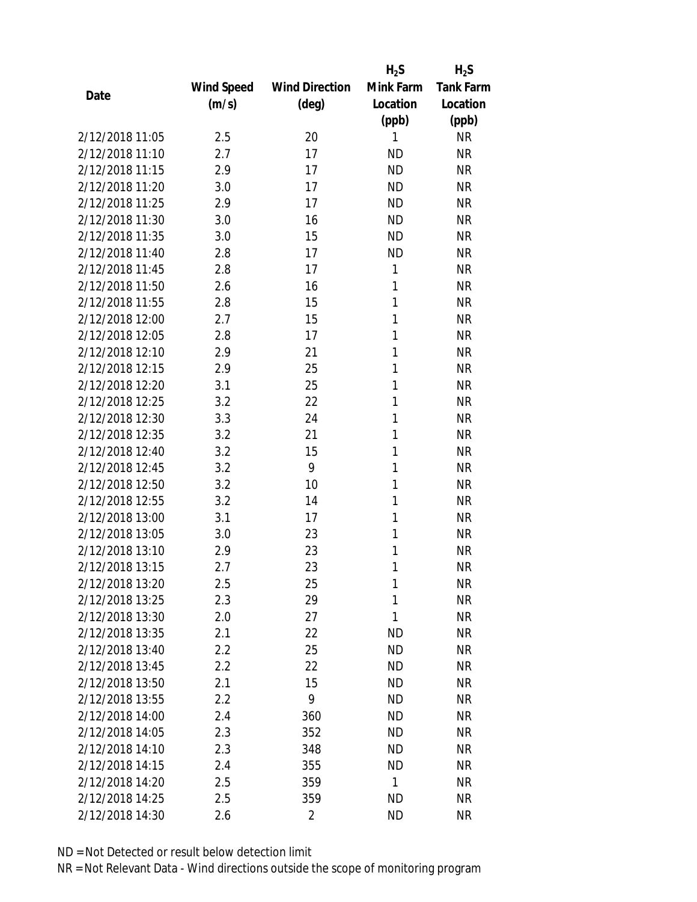|                 |            |                       | $H_2S$    | $H_2S$           |
|-----------------|------------|-----------------------|-----------|------------------|
|                 | Wind Speed | <b>Wind Direction</b> | Mink Farm | <b>Tank Farm</b> |
| Date            | (m/s)      | $(\text{deg})$        | Location  | Location         |
|                 |            |                       | (ppb)     | (ppb)            |
| 2/12/2018 11:05 | 2.5        | 20                    | 1         | <b>NR</b>        |
| 2/12/2018 11:10 | 2.7        | 17                    | <b>ND</b> | <b>NR</b>        |
| 2/12/2018 11:15 | 2.9        | 17                    | <b>ND</b> | <b>NR</b>        |
| 2/12/2018 11:20 | 3.0        | 17                    | <b>ND</b> | <b>NR</b>        |
| 2/12/2018 11:25 | 2.9        | 17                    | <b>ND</b> | <b>NR</b>        |
| 2/12/2018 11:30 | 3.0        | 16                    | <b>ND</b> | <b>NR</b>        |
| 2/12/2018 11:35 | 3.0        | 15                    | <b>ND</b> | <b>NR</b>        |
| 2/12/2018 11:40 | 2.8        | 17                    | <b>ND</b> | <b>NR</b>        |
| 2/12/2018 11:45 | 2.8        | 17                    | 1         | <b>NR</b>        |
| 2/12/2018 11:50 | 2.6        | 16                    | 1         | <b>NR</b>        |
| 2/12/2018 11:55 | 2.8        | 15                    | 1         | <b>NR</b>        |
| 2/12/2018 12:00 | 2.7        | 15                    | 1         | <b>NR</b>        |
| 2/12/2018 12:05 | 2.8        | 17                    | 1         | <b>NR</b>        |
| 2/12/2018 12:10 | 2.9        | 21                    | 1         | <b>NR</b>        |
| 2/12/2018 12:15 | 2.9        | 25                    | 1         | <b>NR</b>        |
| 2/12/2018 12:20 | 3.1        | 25                    | 1         | <b>NR</b>        |
| 2/12/2018 12:25 | 3.2        | 22                    | 1         | <b>NR</b>        |
| 2/12/2018 12:30 | 3.3        | 24                    | 1         | <b>NR</b>        |
| 2/12/2018 12:35 | 3.2        | 21                    | 1         | <b>NR</b>        |
| 2/12/2018 12:40 | 3.2        | 15                    | 1         | <b>NR</b>        |
| 2/12/2018 12:45 | 3.2        | 9                     | 1         | <b>NR</b>        |
| 2/12/2018 12:50 | 3.2        | 10                    | 1         | <b>NR</b>        |
| 2/12/2018 12:55 | 3.2        | 14                    | 1         | <b>NR</b>        |
| 2/12/2018 13:00 | 3.1        | 17                    | 1         | <b>NR</b>        |
| 2/12/2018 13:05 | 3.0        | 23                    | 1         | <b>NR</b>        |
| 2/12/2018 13:10 | 2.9        | 23                    | 1         | <b>NR</b>        |
| 2/12/2018 13:15 | 2.7        | 23                    | 1         | <b>NR</b>        |
| 2/12/2018 13:20 | 2.5        | 25                    | 1         | <b>NR</b>        |
| 2/12/2018 13:25 | 2.3        | 29                    | 1         | <b>NR</b>        |
| 2/12/2018 13:30 | 2.0        | 27                    | 1         | <b>NR</b>        |
| 2/12/2018 13:35 | 2.1        | 22                    | <b>ND</b> | <b>NR</b>        |
| 2/12/2018 13:40 | 2.2        | 25                    | <b>ND</b> | <b>NR</b>        |
| 2/12/2018 13:45 | 2.2        | 22                    | <b>ND</b> | <b>NR</b>        |
| 2/12/2018 13:50 | 2.1        | 15                    | <b>ND</b> | <b>NR</b>        |
| 2/12/2018 13:55 | 2.2        | 9                     | <b>ND</b> | <b>NR</b>        |
| 2/12/2018 14:00 | 2.4        | 360                   | <b>ND</b> | <b>NR</b>        |
| 2/12/2018 14:05 | 2.3        | 352                   | ND        | <b>NR</b>        |
| 2/12/2018 14:10 | 2.3        | 348                   | ND        | <b>NR</b>        |
| 2/12/2018 14:15 | 2.4        | 355                   | <b>ND</b> | <b>NR</b>        |
| 2/12/2018 14:20 | 2.5        | 359                   | 1         | <b>NR</b>        |
| 2/12/2018 14:25 | 2.5        | 359                   | <b>ND</b> | <b>NR</b>        |
| 2/12/2018 14:30 | 2.6        | $\overline{2}$        | <b>ND</b> | <b>NR</b>        |
|                 |            |                       |           |                  |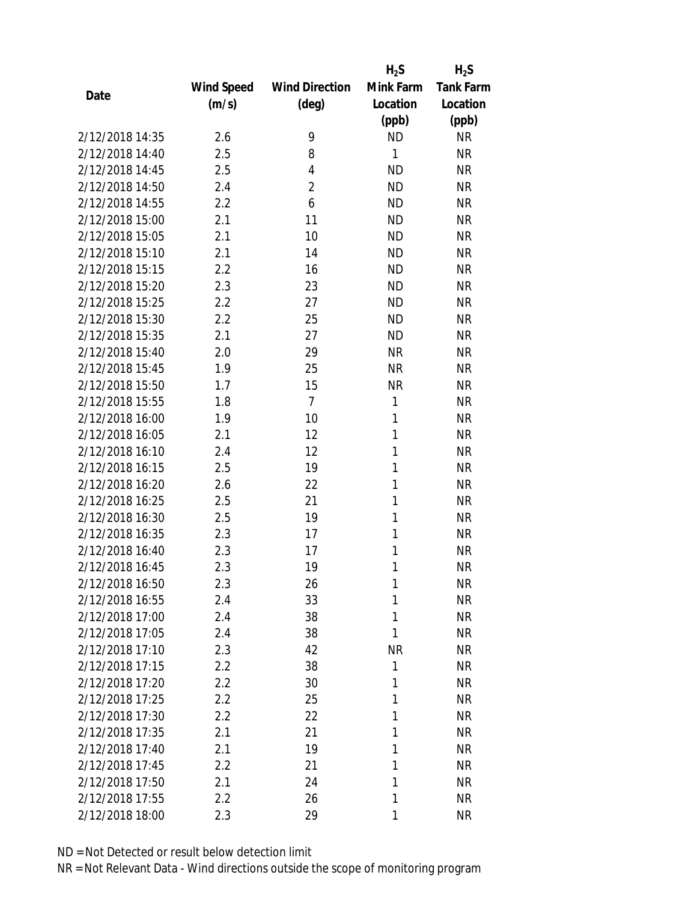|                 |            |                       | $H_2S$    | $H_2S$           |
|-----------------|------------|-----------------------|-----------|------------------|
|                 | Wind Speed | <b>Wind Direction</b> | Mink Farm | <b>Tank Farm</b> |
| Date            | (m/s)      | $(\text{deg})$        | Location  | Location         |
|                 |            |                       | (ppb)     | (ppb)            |
| 2/12/2018 14:35 | 2.6        | 9                     | <b>ND</b> | <b>NR</b>        |
| 2/12/2018 14:40 | 2.5        | 8                     | 1         | <b>NR</b>        |
| 2/12/2018 14:45 | 2.5        | 4                     | <b>ND</b> | <b>NR</b>        |
| 2/12/2018 14:50 | 2.4        | $\overline{2}$        | <b>ND</b> | <b>NR</b>        |
| 2/12/2018 14:55 | 2.2        | 6                     | <b>ND</b> | <b>NR</b>        |
| 2/12/2018 15:00 | 2.1        | 11                    | <b>ND</b> | <b>NR</b>        |
| 2/12/2018 15:05 | 2.1        | 10                    | <b>ND</b> | <b>NR</b>        |
| 2/12/2018 15:10 | 2.1        | 14                    | <b>ND</b> | <b>NR</b>        |
| 2/12/2018 15:15 | 2.2        | 16                    | <b>ND</b> | <b>NR</b>        |
| 2/12/2018 15:20 | 2.3        | 23                    | <b>ND</b> | <b>NR</b>        |
| 2/12/2018 15:25 | 2.2        | 27                    | <b>ND</b> | <b>NR</b>        |
| 2/12/2018 15:30 | 2.2        | 25                    | <b>ND</b> | <b>NR</b>        |
| 2/12/2018 15:35 | 2.1        | 27                    | <b>ND</b> | <b>NR</b>        |
| 2/12/2018 15:40 | 2.0        | 29                    | <b>NR</b> | <b>NR</b>        |
| 2/12/2018 15:45 | 1.9        | 25                    | <b>NR</b> | <b>NR</b>        |
| 2/12/2018 15:50 | 1.7        | 15                    | <b>NR</b> | <b>NR</b>        |
| 2/12/2018 15:55 | 1.8        | $\overline{7}$        | 1         | <b>NR</b>        |
| 2/12/2018 16:00 | 1.9        | 10                    | 1         | <b>NR</b>        |
| 2/12/2018 16:05 | 2.1        | 12                    | 1         | <b>NR</b>        |
| 2/12/2018 16:10 | 2.4        | 12                    | 1         | <b>NR</b>        |
| 2/12/2018 16:15 | 2.5        | 19                    | 1         | <b>NR</b>        |
| 2/12/2018 16:20 | 2.6        | 22                    | 1         | <b>NR</b>        |
| 2/12/2018 16:25 | 2.5        | 21                    | 1         | <b>NR</b>        |
| 2/12/2018 16:30 | 2.5        | 19                    | 1         | <b>NR</b>        |
| 2/12/2018 16:35 | 2.3        | 17                    | 1         | <b>NR</b>        |
| 2/12/2018 16:40 | 2.3        | 17                    | 1         | <b>NR</b>        |
| 2/12/2018 16:45 | 2.3        | 19                    | 1         | <b>NR</b>        |
| 2/12/2018 16:50 | 2.3        | 26                    | 1         | <b>NR</b>        |
| 2/12/2018 16:55 | 2.4        | 33                    | 1         | <b>NR</b>        |
| 2/12/2018 17:00 | 2.4        | 38                    | 1         | <b>NR</b>        |
| 2/12/2018 17:05 | 2.4        | 38                    | 1         | <b>NR</b>        |
| 2/12/2018 17:10 | 2.3        | 42                    | <b>NR</b> | <b>NR</b>        |
| 2/12/2018 17:15 | 2.2        | 38                    | 1         | <b>NR</b>        |
| 2/12/2018 17:20 | 2.2        | 30                    | 1         | <b>NR</b>        |
| 2/12/2018 17:25 | 2.2        | 25                    | 1         | <b>NR</b>        |
| 2/12/2018 17:30 | 2.2        | 22                    | 1         | <b>NR</b>        |
| 2/12/2018 17:35 | 2.1        | 21                    | 1         | <b>NR</b>        |
| 2/12/2018 17:40 | 2.1        | 19                    | 1         | <b>NR</b>        |
| 2/12/2018 17:45 | 2.2        | 21                    | 1         | <b>NR</b>        |
| 2/12/2018 17:50 | 2.1        | 24                    | 1         | <b>NR</b>        |
| 2/12/2018 17:55 | 2.2        |                       | 1         | <b>NR</b>        |
|                 |            | 26                    |           |                  |
| 2/12/2018 18:00 | 2.3        | 29                    | 1         | <b>NR</b>        |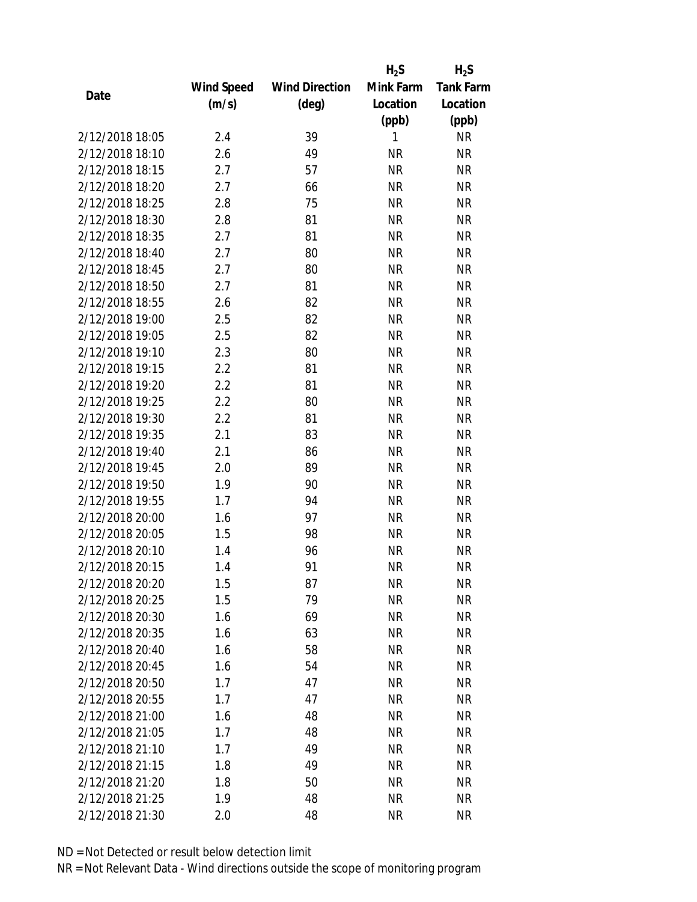|                 |            |                       | $H_2S$    | $H_2S$           |
|-----------------|------------|-----------------------|-----------|------------------|
|                 | Wind Speed | <b>Wind Direction</b> | Mink Farm | <b>Tank Farm</b> |
| Date            | (m/s)      | $(\text{deg})$        | Location  | Location         |
|                 |            |                       | (ppb)     | (ppb)            |
| 2/12/2018 18:05 | 2.4        | 39                    | 1         | <b>NR</b>        |
| 2/12/2018 18:10 | 2.6        | 49                    | <b>NR</b> | <b>NR</b>        |
| 2/12/2018 18:15 | 2.7        | 57                    | <b>NR</b> | <b>NR</b>        |
| 2/12/2018 18:20 | 2.7        | 66                    | <b>NR</b> | <b>NR</b>        |
| 2/12/2018 18:25 | 2.8        | 75                    | <b>NR</b> | <b>NR</b>        |
| 2/12/2018 18:30 | 2.8        | 81                    | <b>NR</b> | <b>NR</b>        |
| 2/12/2018 18:35 | 2.7        | 81                    | <b>NR</b> | <b>NR</b>        |
| 2/12/2018 18:40 | 2.7        | 80                    | <b>NR</b> | <b>NR</b>        |
| 2/12/2018 18:45 | 2.7        | 80                    | <b>NR</b> | <b>NR</b>        |
| 2/12/2018 18:50 | 2.7        | 81                    | <b>NR</b> | <b>NR</b>        |
| 2/12/2018 18:55 | 2.6        | 82                    | <b>NR</b> | <b>NR</b>        |
| 2/12/2018 19:00 | 2.5        | 82                    | <b>NR</b> | <b>NR</b>        |
| 2/12/2018 19:05 | 2.5        | 82                    | <b>NR</b> | <b>NR</b>        |
| 2/12/2018 19:10 | 2.3        | 80                    | <b>NR</b> | <b>NR</b>        |
| 2/12/2018 19:15 | 2.2        | 81                    | <b>NR</b> | <b>NR</b>        |
| 2/12/2018 19:20 | 2.2        | 81                    | <b>NR</b> | <b>NR</b>        |
| 2/12/2018 19:25 | 2.2        | 80                    | <b>NR</b> | <b>NR</b>        |
| 2/12/2018 19:30 | 2.2        | 81                    | <b>NR</b> | <b>NR</b>        |
| 2/12/2018 19:35 | 2.1        | 83                    | <b>NR</b> | <b>NR</b>        |
| 2/12/2018 19:40 | 2.1        | 86                    | <b>NR</b> | <b>NR</b>        |
| 2/12/2018 19:45 | 2.0        | 89                    | <b>NR</b> | <b>NR</b>        |
| 2/12/2018 19:50 | 1.9        | 90                    | <b>NR</b> | <b>NR</b>        |
| 2/12/2018 19:55 | 1.7        | 94                    | <b>NR</b> | <b>NR</b>        |
| 2/12/2018 20:00 | 1.6        | 97                    | <b>NR</b> | <b>NR</b>        |
| 2/12/2018 20:05 | 1.5        | 98                    | <b>NR</b> | <b>NR</b>        |
| 2/12/2018 20:10 | 1.4        | 96                    | <b>NR</b> | <b>NR</b>        |
| 2/12/2018 20:15 | 1.4        | 91                    | <b>NR</b> | <b>NR</b>        |
| 2/12/2018 20:20 | 1.5        | 87                    | ΝR        | <b>NR</b>        |
| 2/12/2018 20:25 | 1.5        | 79                    | <b>NR</b> | <b>NR</b>        |
| 2/12/2018 20:30 | 1.6        | 69                    | <b>NR</b> | <b>NR</b>        |
| 2/12/2018 20:35 | 1.6        | 63                    | <b>NR</b> | <b>NR</b>        |
| 2/12/2018 20:40 | 1.6        | 58                    | <b>NR</b> | <b>NR</b>        |
| 2/12/2018 20:45 | 1.6        | 54                    | ΝR        | <b>NR</b>        |
| 2/12/2018 20:50 | 1.7        | 47                    | <b>NR</b> | <b>NR</b>        |
| 2/12/2018 20:55 | 1.7        | 47                    | <b>NR</b> | <b>NR</b>        |
| 2/12/2018 21:00 | 1.6        | 48                    | <b>NR</b> | <b>NR</b>        |
| 2/12/2018 21:05 | 1.7        | 48                    | ΝR        | <b>NR</b>        |
| 2/12/2018 21:10 | 1.7        | 49                    | ΝR        | <b>NR</b>        |
| 2/12/2018 21:15 | 1.8        | 49                    | <b>NR</b> | <b>NR</b>        |
| 2/12/2018 21:20 | 1.8        | 50                    | NR        | <b>NR</b>        |
| 2/12/2018 21:25 | 1.9        | 48                    | <b>NR</b> | <b>NR</b>        |
| 2/12/2018 21:30 | 2.0        | 48                    | <b>NR</b> | <b>NR</b>        |
|                 |            |                       |           |                  |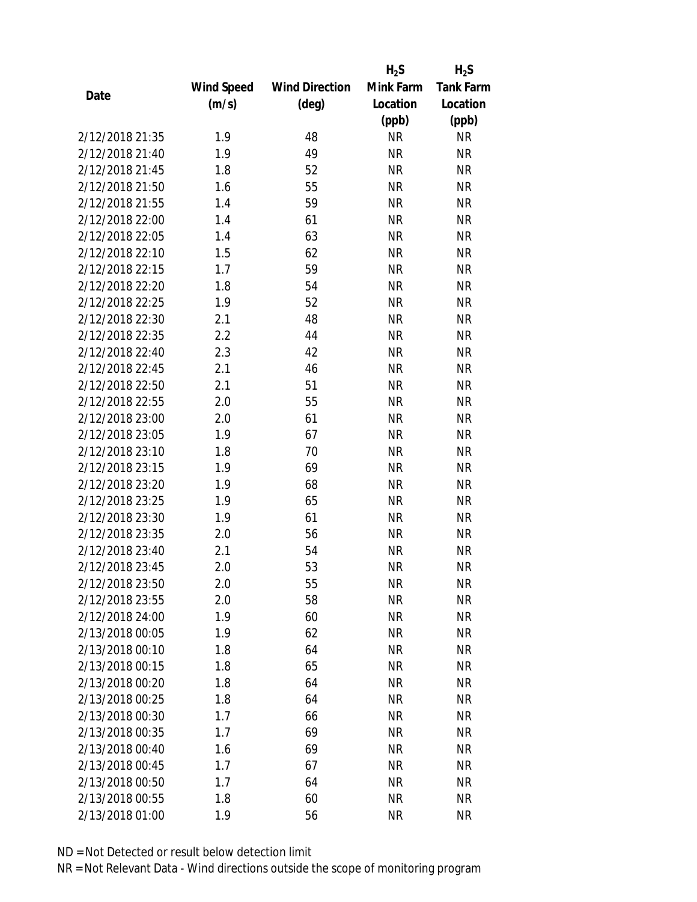|                 |            |                       | $H_2S$    | $H_2S$           |
|-----------------|------------|-----------------------|-----------|------------------|
|                 | Wind Speed | <b>Wind Direction</b> | Mink Farm | <b>Tank Farm</b> |
| Date            | (m/s)      | $(\text{deg})$        | Location  | Location         |
|                 |            |                       | (ppb)     | (ppb)            |
| 2/12/2018 21:35 | 1.9        | 48                    | <b>NR</b> | <b>NR</b>        |
| 2/12/2018 21:40 | 1.9        | 49                    | <b>NR</b> | <b>NR</b>        |
| 2/12/2018 21:45 | 1.8        | 52                    | <b>NR</b> | <b>NR</b>        |
| 2/12/2018 21:50 | 1.6        | 55                    | <b>NR</b> | <b>NR</b>        |
| 2/12/2018 21:55 | 1.4        | 59                    | <b>NR</b> | <b>NR</b>        |
| 2/12/2018 22:00 | 1.4        | 61                    | <b>NR</b> | <b>NR</b>        |
| 2/12/2018 22:05 | 1.4        | 63                    | <b>NR</b> | <b>NR</b>        |
| 2/12/2018 22:10 | 1.5        | 62                    | <b>NR</b> | <b>NR</b>        |
| 2/12/2018 22:15 | 1.7        | 59                    | <b>NR</b> | <b>NR</b>        |
| 2/12/2018 22:20 | 1.8        | 54                    | <b>NR</b> | <b>NR</b>        |
| 2/12/2018 22:25 | 1.9        | 52                    | <b>NR</b> | <b>NR</b>        |
| 2/12/2018 22:30 | 2.1        | 48                    | <b>NR</b> | <b>NR</b>        |
| 2/12/2018 22:35 | 2.2        | 44                    | <b>NR</b> | <b>NR</b>        |
| 2/12/2018 22:40 | 2.3        | 42                    | <b>NR</b> | <b>NR</b>        |
| 2/12/2018 22:45 | 2.1        | 46                    | <b>NR</b> | <b>NR</b>        |
| 2/12/2018 22:50 | 2.1        | 51                    | <b>NR</b> | <b>NR</b>        |
| 2/12/2018 22:55 | 2.0        | 55                    | <b>NR</b> | <b>NR</b>        |
| 2/12/2018 23:00 | 2.0        | 61                    | <b>NR</b> | <b>NR</b>        |
| 2/12/2018 23:05 | 1.9        | 67                    | <b>NR</b> | <b>NR</b>        |
| 2/12/2018 23:10 | 1.8        | 70                    | <b>NR</b> | <b>NR</b>        |
| 2/12/2018 23:15 | 1.9        | 69                    | <b>NR</b> | <b>NR</b>        |
| 2/12/2018 23:20 | 1.9        | 68                    | <b>NR</b> | <b>NR</b>        |
| 2/12/2018 23:25 | 1.9        | 65                    | <b>NR</b> | <b>NR</b>        |
| 2/12/2018 23:30 | 1.9        | 61                    | <b>NR</b> | <b>NR</b>        |
| 2/12/2018 23:35 | 2.0        | 56                    | <b>NR</b> | <b>NR</b>        |
| 2/12/2018 23:40 | 2.1        | 54                    | <b>NR</b> | <b>NR</b>        |
| 2/12/2018 23:45 | 2.0        | 53                    | <b>NR</b> | <b>NR</b>        |
| 2/12/2018 23:50 | 2.0        | 55                    | ΝR        | <b>NR</b>        |
| 2/12/2018 23:55 | 2.0        | 58                    | <b>NR</b> | <b>NR</b>        |
| 2/12/2018 24:00 | 1.9        | 60                    | NR        | <b>NR</b>        |
| 2/13/2018 00:05 | 1.9        | 62                    | <b>NR</b> | <b>NR</b>        |
| 2/13/2018 00:10 | 1.8        | 64                    | <b>NR</b> | <b>NR</b>        |
| 2/13/2018 00:15 | 1.8        | 65                    | NR        | <b>NR</b>        |
| 2/13/2018 00:20 | 1.8        | 64                    | <b>NR</b> | <b>NR</b>        |
| 2/13/2018 00:25 | 1.8        | 64                    | <b>NR</b> | <b>NR</b>        |
| 2/13/2018 00:30 | 1.7        | 66                    | <b>NR</b> | <b>NR</b>        |
| 2/13/2018 00:35 | 1.7        | 69                    | ΝR        | <b>NR</b>        |
| 2/13/2018 00:40 | 1.6        | 69                    | ΝR        | <b>NR</b>        |
| 2/13/2018 00:45 | 1.7        | 67                    | <b>NR</b> | <b>NR</b>        |
| 2/13/2018 00:50 | 1.7        | 64                    | NR        | <b>NR</b>        |
| 2/13/2018 00:55 | 1.8        | 60                    | <b>NR</b> | <b>NR</b>        |
| 2/13/2018 01:00 |            |                       | <b>NR</b> | <b>NR</b>        |
|                 | 1.9        | 56                    |           |                  |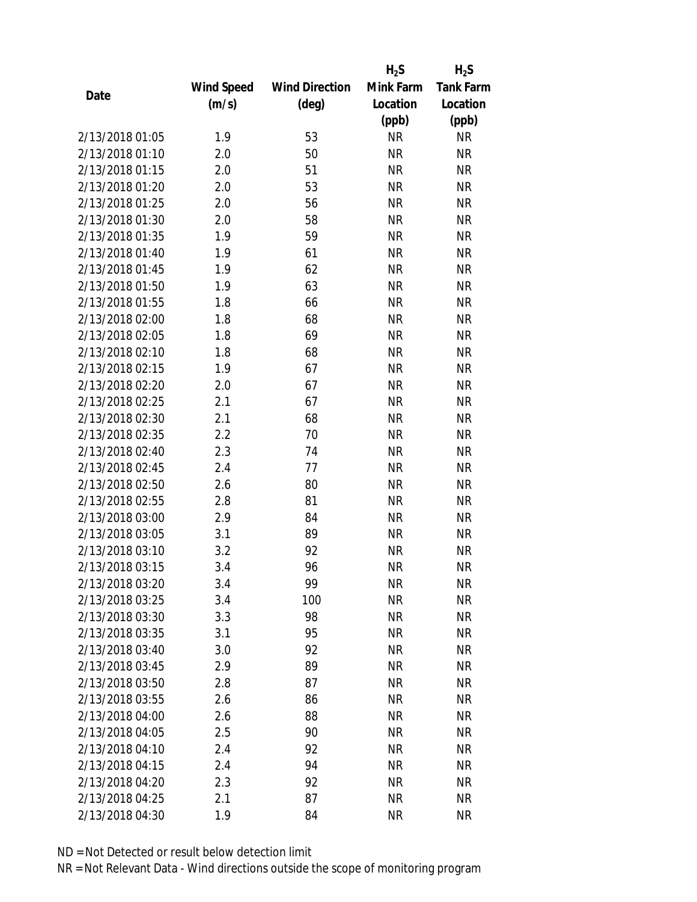|                 |            |                       | $H_2S$    | $H_2S$           |
|-----------------|------------|-----------------------|-----------|------------------|
|                 | Wind Speed | <b>Wind Direction</b> | Mink Farm | <b>Tank Farm</b> |
| Date            | (m/s)      | $(\text{deg})$        | Location  | Location         |
|                 |            |                       | (ppb)     | (ppb)            |
| 2/13/2018 01:05 | 1.9        | 53                    | <b>NR</b> | <b>NR</b>        |
| 2/13/2018 01:10 | 2.0        | 50                    | <b>NR</b> | <b>NR</b>        |
| 2/13/2018 01:15 | 2.0        | 51                    | <b>NR</b> | <b>NR</b>        |
| 2/13/2018 01:20 | 2.0        | 53                    | <b>NR</b> | <b>NR</b>        |
| 2/13/2018 01:25 | 2.0        | 56                    | <b>NR</b> | <b>NR</b>        |
| 2/13/2018 01:30 | 2.0        | 58                    | <b>NR</b> | <b>NR</b>        |
| 2/13/2018 01:35 | 1.9        | 59                    | <b>NR</b> | <b>NR</b>        |
| 2/13/2018 01:40 | 1.9        | 61                    | <b>NR</b> | <b>NR</b>        |
| 2/13/2018 01:45 | 1.9        | 62                    | <b>NR</b> | <b>NR</b>        |
| 2/13/2018 01:50 | 1.9        | 63                    | <b>NR</b> | <b>NR</b>        |
| 2/13/2018 01:55 | 1.8        | 66                    | <b>NR</b> | <b>NR</b>        |
| 2/13/2018 02:00 | 1.8        | 68                    | <b>NR</b> | <b>NR</b>        |
| 2/13/2018 02:05 | 1.8        | 69                    | <b>NR</b> | <b>NR</b>        |
| 2/13/2018 02:10 | 1.8        | 68                    | <b>NR</b> | <b>NR</b>        |
| 2/13/2018 02:15 | 1.9        | 67                    | <b>NR</b> | <b>NR</b>        |
| 2/13/2018 02:20 | 2.0        | 67                    | <b>NR</b> | <b>NR</b>        |
| 2/13/2018 02:25 | 2.1        | 67                    | <b>NR</b> | <b>NR</b>        |
| 2/13/2018 02:30 | 2.1        | 68                    | <b>NR</b> | <b>NR</b>        |
| 2/13/2018 02:35 | 2.2        | 70                    | <b>NR</b> | <b>NR</b>        |
| 2/13/2018 02:40 | 2.3        | 74                    | <b>NR</b> | <b>NR</b>        |
| 2/13/2018 02:45 | 2.4        | 77                    | <b>NR</b> | <b>NR</b>        |
| 2/13/2018 02:50 | 2.6        | 80                    | <b>NR</b> | <b>NR</b>        |
| 2/13/2018 02:55 | 2.8        | 81                    | <b>NR</b> | <b>NR</b>        |
| 2/13/2018 03:00 | 2.9        | 84                    | <b>NR</b> | <b>NR</b>        |
| 2/13/2018 03:05 | 3.1        | 89                    | <b>NR</b> | <b>NR</b>        |
| 2/13/2018 03:10 | 3.2        | 92                    | <b>NR</b> | <b>NR</b>        |
| 2/13/2018 03:15 | 3.4        | 96                    | <b>NR</b> | <b>NR</b>        |
| 2/13/2018 03:20 | 3.4        | 99                    | ΝR        | <b>NR</b>        |
| 2/13/2018 03:25 | 3.4        | 100                   | <b>NR</b> | <b>NR</b>        |
| 2/13/2018 03:30 | 3.3        | 98                    | <b>NR</b> | <b>NR</b>        |
| 2/13/2018 03:35 | 3.1        | 95                    | <b>NR</b> | <b>NR</b>        |
| 2/13/2018 03:40 | 3.0        | 92                    | <b>NR</b> | <b>NR</b>        |
| 2/13/2018 03:45 | 2.9        | 89                    | <b>NR</b> | <b>NR</b>        |
| 2/13/2018 03:50 | 2.8        | 87                    | <b>NR</b> | <b>NR</b>        |
| 2/13/2018 03:55 | 2.6        | 86                    | <b>NR</b> | <b>NR</b>        |
| 2/13/2018 04:00 | 2.6        | 88                    | <b>NR</b> | <b>NR</b>        |
| 2/13/2018 04:05 | 2.5        | 90                    | NR        | <b>NR</b>        |
| 2/13/2018 04:10 | 2.4        | 92                    | NR        | <b>NR</b>        |
| 2/13/2018 04:15 | 2.4        | 94                    | <b>NR</b> | <b>NR</b>        |
| 2/13/2018 04:20 | 2.3        | 92                    | NR        | <b>NR</b>        |
| 2/13/2018 04:25 | 2.1        | 87                    | <b>NR</b> | <b>NR</b>        |
| 2/13/2018 04:30 | 1.9        | 84                    | NR        | <b>NR</b>        |
|                 |            |                       |           |                  |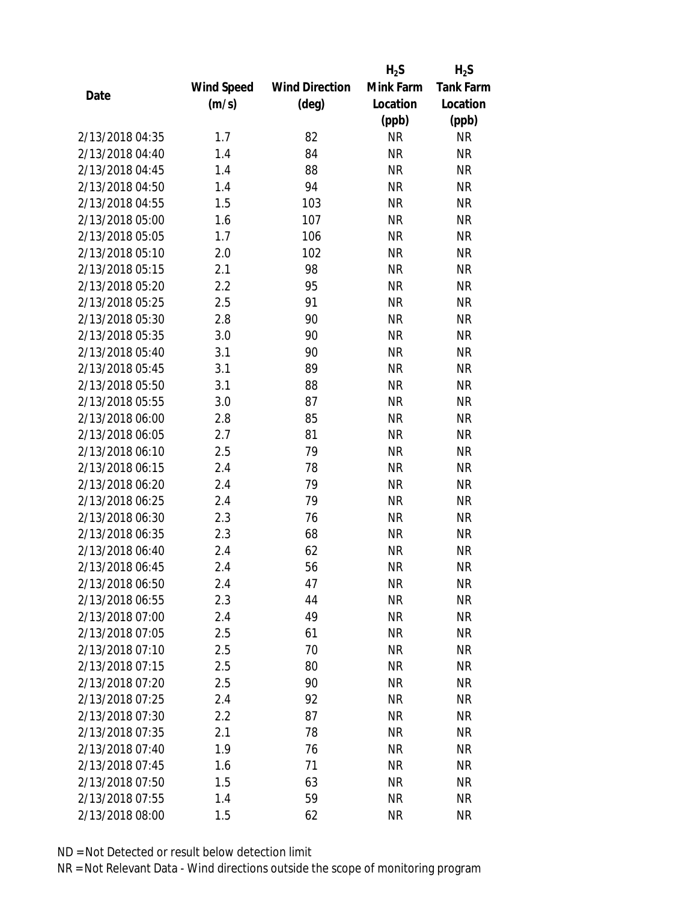|                 |            |                       | $H_2S$    | $H_2S$           |
|-----------------|------------|-----------------------|-----------|------------------|
|                 | Wind Speed | <b>Wind Direction</b> | Mink Farm | <b>Tank Farm</b> |
| Date            | (m/s)      | $(\text{deg})$        | Location  | Location         |
|                 |            |                       | (ppb)     | (ppb)            |
| 2/13/2018 04:35 | 1.7        | 82                    | <b>NR</b> | <b>NR</b>        |
| 2/13/2018 04:40 | 1.4        | 84                    | <b>NR</b> | <b>NR</b>        |
| 2/13/2018 04:45 | 1.4        | 88                    | <b>NR</b> | <b>NR</b>        |
| 2/13/2018 04:50 | 1.4        | 94                    | <b>NR</b> | <b>NR</b>        |
| 2/13/2018 04:55 | 1.5        | 103                   | <b>NR</b> | <b>NR</b>        |
| 2/13/2018 05:00 | 1.6        | 107                   | <b>NR</b> | <b>NR</b>        |
| 2/13/2018 05:05 | 1.7        | 106                   | <b>NR</b> | <b>NR</b>        |
| 2/13/2018 05:10 | 2.0        | 102                   | <b>NR</b> | <b>NR</b>        |
| 2/13/2018 05:15 | 2.1        | 98                    | <b>NR</b> | <b>NR</b>        |
| 2/13/2018 05:20 | 2.2        | 95                    | <b>NR</b> | <b>NR</b>        |
| 2/13/2018 05:25 | 2.5        | 91                    | <b>NR</b> | <b>NR</b>        |
| 2/13/2018 05:30 | 2.8        | 90                    | <b>NR</b> | <b>NR</b>        |
| 2/13/2018 05:35 | 3.0        | 90                    | <b>NR</b> | <b>NR</b>        |
| 2/13/2018 05:40 | 3.1        | 90                    | <b>NR</b> | <b>NR</b>        |
| 2/13/2018 05:45 | 3.1        | 89                    | <b>NR</b> | <b>NR</b>        |
| 2/13/2018 05:50 | 3.1        | 88                    | <b>NR</b> | <b>NR</b>        |
| 2/13/2018 05:55 | 3.0        | 87                    | <b>NR</b> | <b>NR</b>        |
| 2/13/2018 06:00 | 2.8        | 85                    | <b>NR</b> | <b>NR</b>        |
| 2/13/2018 06:05 | 2.7        | 81                    | <b>NR</b> | <b>NR</b>        |
| 2/13/2018 06:10 | 2.5        | 79                    | <b>NR</b> | <b>NR</b>        |
| 2/13/2018 06:15 | 2.4        | 78                    | <b>NR</b> | <b>NR</b>        |
| 2/13/2018 06:20 | 2.4        | 79                    | <b>NR</b> | <b>NR</b>        |
| 2/13/2018 06:25 | 2.4        | 79                    | <b>NR</b> | <b>NR</b>        |
| 2/13/2018 06:30 | 2.3        | 76                    | <b>NR</b> | <b>NR</b>        |
| 2/13/2018 06:35 | 2.3        | 68                    | <b>NR</b> | <b>NR</b>        |
| 2/13/2018 06:40 | 2.4        | 62                    | <b>NR</b> | <b>NR</b>        |
| 2/13/2018 06:45 | 2.4        | 56                    | <b>NR</b> | <b>NR</b>        |
| 2/13/2018 06:50 | 2.4        | 47                    | ΝR        | <b>NR</b>        |
| 2/13/2018 06:55 | 2.3        | 44                    | <b>NR</b> | <b>NR</b>        |
| 2/13/2018 07:00 | 2.4        | 49                    | NR        | <b>NR</b>        |
| 2/13/2018 07:05 | 2.5        | 61                    | <b>NR</b> | <b>NR</b>        |
| 2/13/2018 07:10 | 2.5        | 70                    | <b>NR</b> | <b>NR</b>        |
| 2/13/2018 07:15 | 2.5        | 80                    | NR        | <b>NR</b>        |
| 2/13/2018 07:20 | 2.5        | 90                    | <b>NR</b> | <b>NR</b>        |
| 2/13/2018 07:25 | 2.4        | 92                    | NR        | <b>NR</b>        |
| 2/13/2018 07:30 | 2.2        | 87                    | <b>NR</b> | <b>NR</b>        |
| 2/13/2018 07:35 | 2.1        | 78                    | ΝR        | <b>NR</b>        |
| 2/13/2018 07:40 | 1.9        | 76                    | ΝR        | <b>NR</b>        |
| 2/13/2018 07:45 | 1.6        | 71                    | <b>NR</b> | <b>NR</b>        |
| 2/13/2018 07:50 | 1.5        | 63                    | NR        | <b>NR</b>        |
| 2/13/2018 07:55 | 1.4        | 59                    | <b>NR</b> | <b>NR</b>        |
| 2/13/2018 08:00 | 1.5        | 62                    | <b>NR</b> | <b>NR</b>        |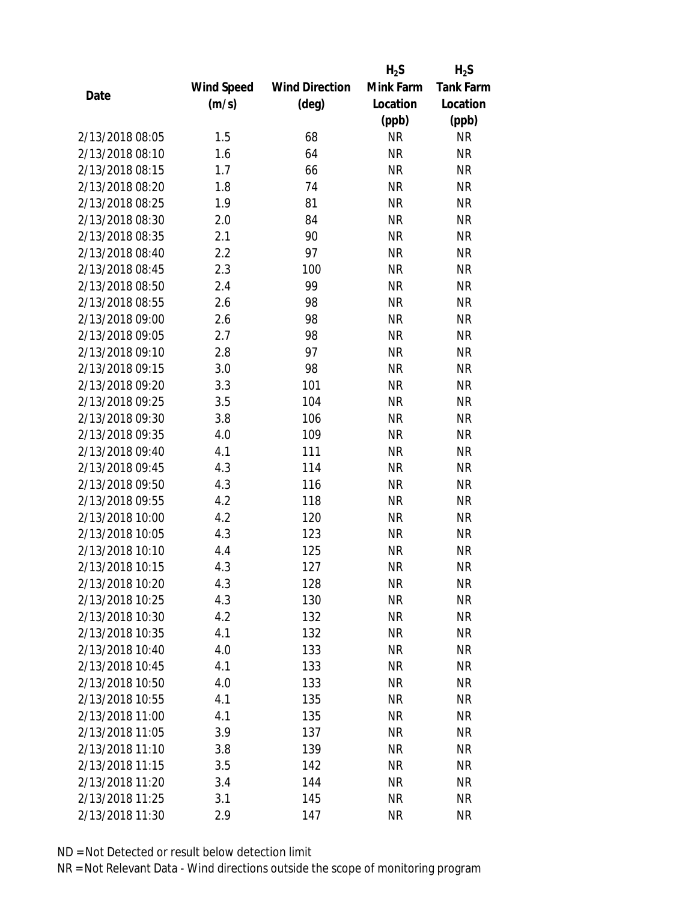|                 |            |                       | $H_2S$    | $H_2S$           |
|-----------------|------------|-----------------------|-----------|------------------|
|                 | Wind Speed | <b>Wind Direction</b> | Mink Farm | <b>Tank Farm</b> |
| Date            | (m/s)      | $(\text{deg})$        | Location  | Location         |
|                 |            |                       | (ppb)     | (ppb)            |
| 2/13/2018 08:05 | 1.5        | 68                    | <b>NR</b> | <b>NR</b>        |
| 2/13/2018 08:10 | 1.6        | 64                    | <b>NR</b> | <b>NR</b>        |
| 2/13/2018 08:15 | 1.7        | 66                    | <b>NR</b> | <b>NR</b>        |
| 2/13/2018 08:20 | 1.8        | 74                    | <b>NR</b> | <b>NR</b>        |
| 2/13/2018 08:25 | 1.9        | 81                    | <b>NR</b> | <b>NR</b>        |
| 2/13/2018 08:30 | 2.0        | 84                    | <b>NR</b> | <b>NR</b>        |
| 2/13/2018 08:35 | 2.1        | 90                    | <b>NR</b> | NR               |
| 2/13/2018 08:40 | 2.2        | 97                    | <b>NR</b> | <b>NR</b>        |
| 2/13/2018 08:45 | 2.3        | 100                   | <b>NR</b> | <b>NR</b>        |
| 2/13/2018 08:50 | 2.4        | 99                    | <b>NR</b> | <b>NR</b>        |
| 2/13/2018 08:55 | 2.6        | 98                    | <b>NR</b> | <b>NR</b>        |
| 2/13/2018 09:00 | 2.6        | 98                    | <b>NR</b> | <b>NR</b>        |
| 2/13/2018 09:05 | 2.7        | 98                    | <b>NR</b> | <b>NR</b>        |
| 2/13/2018 09:10 | 2.8        | 97                    | <b>NR</b> | <b>NR</b>        |
| 2/13/2018 09:15 | 3.0        | 98                    | <b>NR</b> | <b>NR</b>        |
| 2/13/2018 09:20 | 3.3        | 101                   | <b>NR</b> | <b>NR</b>        |
| 2/13/2018 09:25 | 3.5        | 104                   | <b>NR</b> | <b>NR</b>        |
| 2/13/2018 09:30 | 3.8        | 106                   | <b>NR</b> | <b>NR</b>        |
| 2/13/2018 09:35 | 4.0        | 109                   | <b>NR</b> | <b>NR</b>        |
| 2/13/2018 09:40 | 4.1        | 111                   | <b>NR</b> | <b>NR</b>        |
| 2/13/2018 09:45 | 4.3        | 114                   | <b>NR</b> | <b>NR</b>        |
| 2/13/2018 09:50 | 4.3        | 116                   | <b>NR</b> | <b>NR</b>        |
| 2/13/2018 09:55 | 4.2        | 118                   | <b>NR</b> | <b>NR</b>        |
| 2/13/2018 10:00 | 4.2        | 120                   | <b>NR</b> | <b>NR</b>        |
| 2/13/2018 10:05 | 4.3        | 123                   | <b>NR</b> | <b>NR</b>        |
| 2/13/2018 10:10 | 4.4        | 125                   | <b>NR</b> | <b>NR</b>        |
| 2/13/2018 10:15 | 4.3        | 127                   | <b>NR</b> | <b>NR</b>        |
| 2/13/2018 10:20 | 4.3        | 128                   | ΝR        | ΝR               |
| 2/13/2018 10:25 | 4.3        | 130                   | <b>NR</b> | <b>NR</b>        |
| 2/13/2018 10:30 | 4.2        | 132                   | <b>NR</b> | <b>NR</b>        |
| 2/13/2018 10:35 | 4.1        | 132                   | <b>NR</b> | NR               |
| 2/13/2018 10:40 | 4.0        | 133                   | <b>NR</b> | NR               |
| 2/13/2018 10:45 | 4.1        | 133                   | <b>NR</b> | NR               |
| 2/13/2018 10:50 | 4.0        | 133                   | <b>NR</b> | <b>NR</b>        |
| 2/13/2018 10:55 | 4.1        | 135                   | <b>NR</b> | <b>NR</b>        |
| 2/13/2018 11:00 | 4.1        | 135                   | <b>NR</b> | NR               |
| 2/13/2018 11:05 | 3.9        | 137                   | <b>NR</b> | NR               |
| 2/13/2018 11:10 | 3.8        | 139                   | <b>NR</b> | NR               |
| 2/13/2018 11:15 | 3.5        | 142                   | <b>NR</b> | NR               |
| 2/13/2018 11:20 | 3.4        | 144                   | <b>NR</b> | NR               |
| 2/13/2018 11:25 | 3.1        | 145                   | <b>NR</b> | NR               |
| 2/13/2018 11:30 | 2.9        | 147                   | <b>NR</b> | <b>NR</b>        |
|                 |            |                       |           |                  |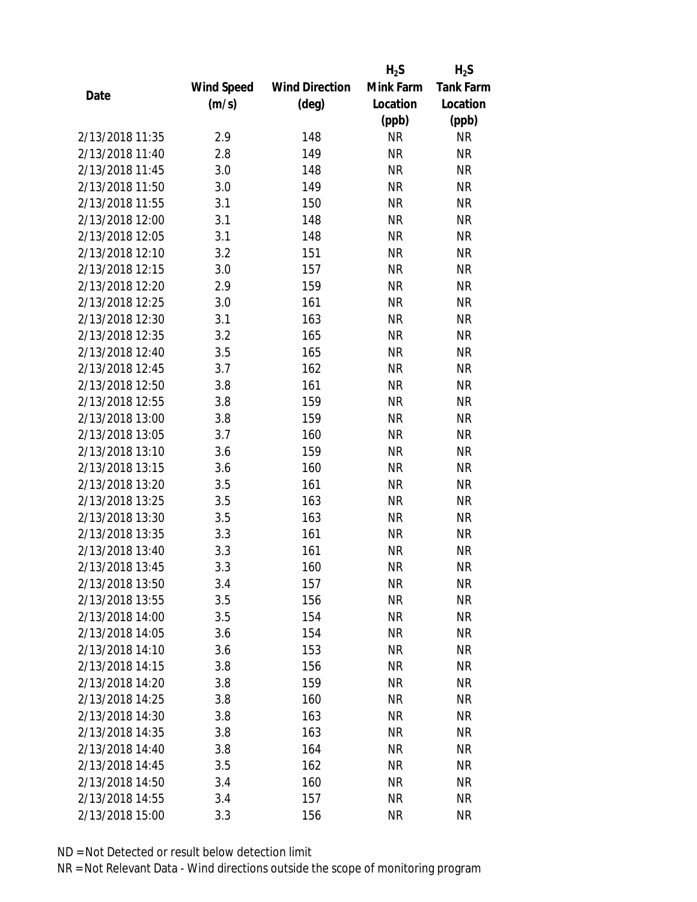|                 |            |                       | $H_2S$    | $H_2S$           |
|-----------------|------------|-----------------------|-----------|------------------|
|                 | Wind Speed | <b>Wind Direction</b> | Mink Farm | <b>Tank Farm</b> |
| Date            | (m/s)      | $(\text{deg})$        | Location  | Location         |
|                 |            |                       | (ppb)     | (ppb)            |
| 2/13/2018 11:35 | 2.9        | 148                   | <b>NR</b> | <b>NR</b>        |
| 2/13/2018 11:40 | 2.8        | 149                   | <b>NR</b> | <b>NR</b>        |
| 2/13/2018 11:45 | 3.0        | 148                   | <b>NR</b> | <b>NR</b>        |
| 2/13/2018 11:50 | 3.0        | 149                   | <b>NR</b> | <b>NR</b>        |
| 2/13/2018 11:55 | 3.1        | 150                   | <b>NR</b> | <b>NR</b>        |
| 2/13/2018 12:00 | 3.1        | 148                   | <b>NR</b> | <b>NR</b>        |
| 2/13/2018 12:05 | 3.1        | 148                   | <b>NR</b> | <b>NR</b>        |
| 2/13/2018 12:10 | 3.2        | 151                   | <b>NR</b> | <b>NR</b>        |
| 2/13/2018 12:15 | 3.0        | 157                   | <b>NR</b> | <b>NR</b>        |
| 2/13/2018 12:20 | 2.9        | 159                   | <b>NR</b> | <b>NR</b>        |
| 2/13/2018 12:25 | 3.0        | 161                   | <b>NR</b> | <b>NR</b>        |
| 2/13/2018 12:30 | 3.1        | 163                   | <b>NR</b> | <b>NR</b>        |
| 2/13/2018 12:35 | 3.2        | 165                   | <b>NR</b> | <b>NR</b>        |
| 2/13/2018 12:40 | 3.5        | 165                   | <b>NR</b> | <b>NR</b>        |
| 2/13/2018 12:45 | 3.7        | 162                   | <b>NR</b> | <b>NR</b>        |
| 2/13/2018 12:50 | 3.8        | 161                   | <b>NR</b> | <b>NR</b>        |
| 2/13/2018 12:55 | 3.8        | 159                   | <b>NR</b> | <b>NR</b>        |
| 2/13/2018 13:00 | 3.8        | 159                   | <b>NR</b> | <b>NR</b>        |
| 2/13/2018 13:05 | 3.7        | 160                   | <b>NR</b> | <b>NR</b>        |
| 2/13/2018 13:10 | 3.6        | 159                   | <b>NR</b> | <b>NR</b>        |
| 2/13/2018 13:15 | 3.6        | 160                   | <b>NR</b> | <b>NR</b>        |
| 2/13/2018 13:20 | 3.5        | 161                   | <b>NR</b> | <b>NR</b>        |
| 2/13/2018 13:25 | 3.5        | 163                   | <b>NR</b> | <b>NR</b>        |
| 2/13/2018 13:30 | 3.5        | 163                   | <b>NR</b> | <b>NR</b>        |
| 2/13/2018 13:35 | 3.3        | 161                   | <b>NR</b> | <b>NR</b>        |
| 2/13/2018 13:40 | 3.3        | 161                   | <b>NR</b> | <b>NR</b>        |
| 2/13/2018 13:45 | 3.3        | 160                   | <b>NR</b> | <b>NR</b>        |
| 2/13/2018 13:50 | 3.4        | 157                   | ΝR        | <b>NR</b>        |
| 2/13/2018 13:55 | 3.5        | 156                   | <b>NR</b> | <b>NR</b>        |
| 2/13/2018 14:00 | 3.5        | 154                   | NR        | <b>NR</b>        |
| 2/13/2018 14:05 | 3.6        | 154                   | <b>NR</b> | <b>NR</b>        |
| 2/13/2018 14:10 | 3.6        | 153                   | <b>NR</b> | <b>NR</b>        |
| 2/13/2018 14:15 | 3.8        | 156                   | ΝR        | <b>NR</b>        |
| 2/13/2018 14:20 | 3.8        | 159                   | <b>NR</b> | <b>NR</b>        |
| 2/13/2018 14:25 | 3.8        | 160                   | <b>NR</b> | <b>NR</b>        |
| 2/13/2018 14:30 | 3.8        | 163                   | <b>NR</b> | <b>NR</b>        |
| 2/13/2018 14:35 | 3.8        | 163                   | ΝR        | <b>NR</b>        |
| 2/13/2018 14:40 | 3.8        | 164                   | ΝR        | <b>NR</b>        |
| 2/13/2018 14:45 | 3.5        | 162                   | <b>NR</b> | <b>NR</b>        |
| 2/13/2018 14:50 | 3.4        | 160                   | ΝR        | <b>NR</b>        |
| 2/13/2018 14:55 | 3.4        | 157                   | <b>NR</b> | <b>NR</b>        |
| 2/13/2018 15:00 | 3.3        | 156                   | <b>NR</b> | <b>NR</b>        |
|                 |            |                       |           |                  |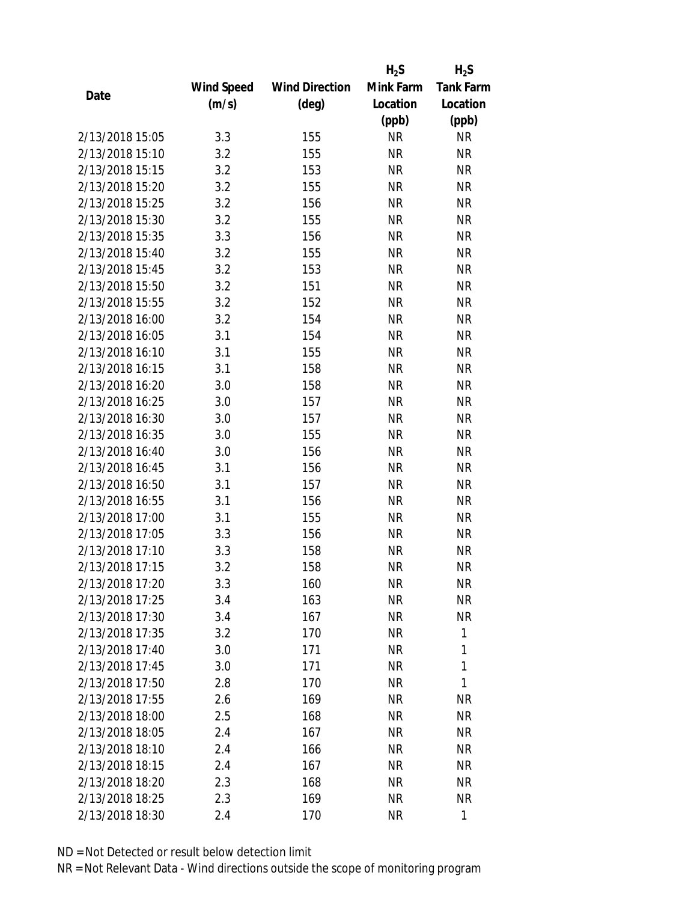|                 |            |                       | $H_2S$    | $H_2S$           |
|-----------------|------------|-----------------------|-----------|------------------|
|                 | Wind Speed | <b>Wind Direction</b> | Mink Farm | <b>Tank Farm</b> |
| Date            | (m/s)      | $(\text{deg})$        | Location  | Location         |
|                 |            |                       | (ppb)     | (ppb)            |
| 2/13/2018 15:05 | 3.3        | 155                   | <b>NR</b> | <b>NR</b>        |
| 2/13/2018 15:10 | 3.2        | 155                   | <b>NR</b> | <b>NR</b>        |
| 2/13/2018 15:15 | 3.2        | 153                   | <b>NR</b> | <b>NR</b>        |
| 2/13/2018 15:20 | 3.2        | 155                   | <b>NR</b> | <b>NR</b>        |
| 2/13/2018 15:25 | 3.2        | 156                   | <b>NR</b> | <b>NR</b>        |
| 2/13/2018 15:30 | 3.2        | 155                   | <b>NR</b> | <b>NR</b>        |
| 2/13/2018 15:35 | 3.3        | 156                   | <b>NR</b> | <b>NR</b>        |
| 2/13/2018 15:40 | 3.2        | 155                   | <b>NR</b> | <b>NR</b>        |
| 2/13/2018 15:45 | 3.2        | 153                   | <b>NR</b> | <b>NR</b>        |
| 2/13/2018 15:50 | 3.2        | 151                   | <b>NR</b> | <b>NR</b>        |
| 2/13/2018 15:55 | 3.2        | 152                   | <b>NR</b> | <b>NR</b>        |
| 2/13/2018 16:00 | 3.2        | 154                   | <b>NR</b> | <b>NR</b>        |
| 2/13/2018 16:05 | 3.1        | 154                   | <b>NR</b> | <b>NR</b>        |
| 2/13/2018 16:10 | 3.1        | 155                   | <b>NR</b> | <b>NR</b>        |
| 2/13/2018 16:15 | 3.1        | 158                   | <b>NR</b> | <b>NR</b>        |
| 2/13/2018 16:20 | 3.0        | 158                   | <b>NR</b> | <b>NR</b>        |
| 2/13/2018 16:25 | 3.0        | 157                   | <b>NR</b> | <b>NR</b>        |
| 2/13/2018 16:30 | 3.0        | 157                   | <b>NR</b> | <b>NR</b>        |
| 2/13/2018 16:35 | 3.0        | 155                   | <b>NR</b> | <b>NR</b>        |
| 2/13/2018 16:40 | 3.0        | 156                   | <b>NR</b> | <b>NR</b>        |
| 2/13/2018 16:45 | 3.1        | 156                   | <b>NR</b> | <b>NR</b>        |
| 2/13/2018 16:50 | 3.1        | 157                   | <b>NR</b> | <b>NR</b>        |
| 2/13/2018 16:55 | 3.1        | 156                   | <b>NR</b> | <b>NR</b>        |
| 2/13/2018 17:00 | 3.1        | 155                   | <b>NR</b> | <b>NR</b>        |
| 2/13/2018 17:05 | 3.3        | 156                   | <b>NR</b> | <b>NR</b>        |
| 2/13/2018 17:10 | 3.3        | 158                   | <b>NR</b> | <b>NR</b>        |
| 2/13/2018 17:15 | 3.2        | 158                   | <b>NR</b> | <b>NR</b>        |
| 2/13/2018 17:20 | 3.3        | 160                   | ΝR        | <b>NR</b>        |
| 2/13/2018 17:25 | 3.4        | 163                   | <b>NR</b> | <b>NR</b>        |
| 2/13/2018 17:30 | 3.4        | 167                   | NR        | <b>NR</b>        |
| 2/13/2018 17:35 | 3.2        | 170                   | <b>NR</b> | 1                |
| 2/13/2018 17:40 | 3.0        | 171                   | <b>NR</b> | 1                |
| 2/13/2018 17:45 | 3.0        | 171                   | NR        | 1                |
| 2/13/2018 17:50 | 2.8        | 170                   | <b>NR</b> | 1                |
| 2/13/2018 17:55 | 2.6        | 169                   | NR        | <b>NR</b>        |
| 2/13/2018 18:00 | 2.5        | 168                   | <b>NR</b> | <b>NR</b>        |
| 2/13/2018 18:05 | 2.4        | 167                   | ΝR        | NR               |
| 2/13/2018 18:10 | 2.4        | 166                   | ΝR        | <b>NR</b>        |
| 2/13/2018 18:15 | 2.4        | 167                   | <b>NR</b> | <b>NR</b>        |
| 2/13/2018 18:20 | 2.3        | 168                   | NR        | <b>NR</b>        |
| 2/13/2018 18:25 | 2.3        | 169                   | <b>NR</b> | NR               |
| 2/13/2018 18:30 | 2.4        | 170                   | <b>NR</b> | 1                |
|                 |            |                       |           |                  |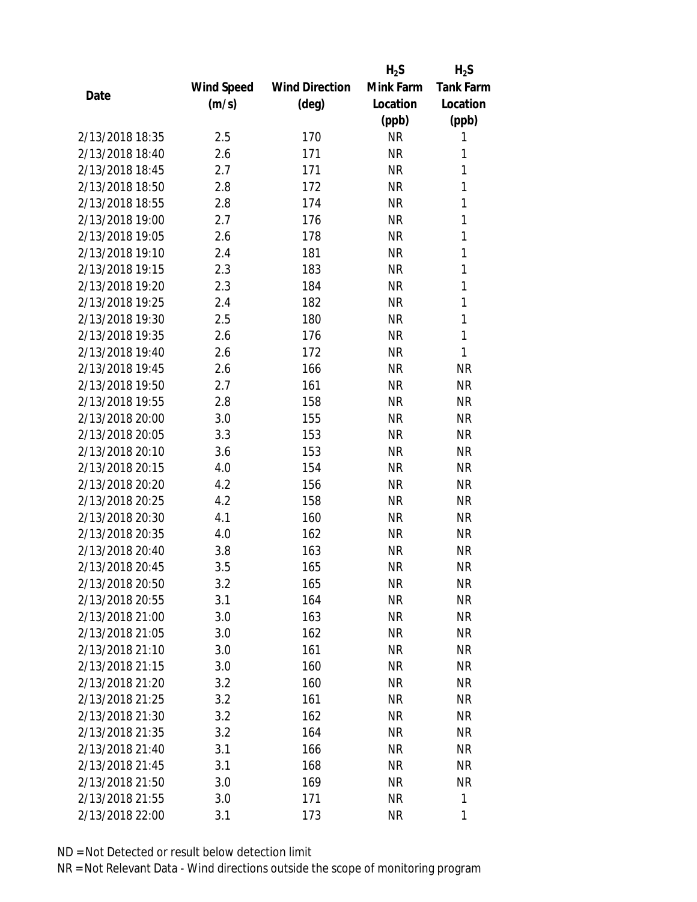|                 |            |                       | $H_2S$    | $H_2S$           |
|-----------------|------------|-----------------------|-----------|------------------|
|                 | Wind Speed | <b>Wind Direction</b> | Mink Farm | <b>Tank Farm</b> |
| Date            | (m/s)      | $(\text{deg})$        | Location  | Location         |
|                 |            |                       | (ppb)     | (ppb)            |
| 2/13/2018 18:35 | 2.5        | 170                   | <b>NR</b> | 1                |
| 2/13/2018 18:40 | 2.6        | 171                   | <b>NR</b> | 1                |
| 2/13/2018 18:45 | 2.7        | 171                   | <b>NR</b> | $\mathbf{1}$     |
| 2/13/2018 18:50 | 2.8        | 172                   | <b>NR</b> | 1                |
| 2/13/2018 18:55 | 2.8        | 174                   | <b>NR</b> | $\mathbf{1}$     |
| 2/13/2018 19:00 | 2.7        | 176                   | <b>NR</b> | 1                |
| 2/13/2018 19:05 | 2.6        | 178                   | <b>NR</b> | 1                |
| 2/13/2018 19:10 | 2.4        | 181                   | <b>NR</b> | 1                |
| 2/13/2018 19:15 | 2.3        | 183                   | <b>NR</b> | $\mathbf{1}$     |
| 2/13/2018 19:20 | 2.3        | 184                   | <b>NR</b> | $\mathbf{1}$     |
| 2/13/2018 19:25 | 2.4        | 182                   | <b>NR</b> | 1                |
| 2/13/2018 19:30 | 2.5        | 180                   | <b>NR</b> | $\mathbf{1}$     |
| 2/13/2018 19:35 | 2.6        | 176                   | <b>NR</b> | 1                |
| 2/13/2018 19:40 | 2.6        | 172                   | <b>NR</b> | 1                |
| 2/13/2018 19:45 | 2.6        | 166                   | <b>NR</b> | <b>NR</b>        |
| 2/13/2018 19:50 | 2.7        | 161                   | <b>NR</b> | <b>NR</b>        |
| 2/13/2018 19:55 | 2.8        | 158                   | <b>NR</b> | <b>NR</b>        |
| 2/13/2018 20:00 | 3.0        | 155                   | <b>NR</b> | <b>NR</b>        |
| 2/13/2018 20:05 | 3.3        | 153                   | <b>NR</b> | <b>NR</b>        |
| 2/13/2018 20:10 | 3.6        | 153                   | <b>NR</b> | <b>NR</b>        |
| 2/13/2018 20:15 | 4.0        | 154                   | <b>NR</b> | <b>NR</b>        |
| 2/13/2018 20:20 | 4.2        | 156                   | <b>NR</b> | <b>NR</b>        |
| 2/13/2018 20:25 | 4.2        | 158                   | <b>NR</b> | <b>NR</b>        |
| 2/13/2018 20:30 | 4.1        | 160                   | <b>NR</b> | <b>NR</b>        |
| 2/13/2018 20:35 | 4.0        | 162                   | <b>NR</b> | <b>NR</b>        |
| 2/13/2018 20:40 | 3.8        | 163                   | <b>NR</b> | <b>NR</b>        |
| 2/13/2018 20:45 | 3.5        | 165                   | <b>NR</b> | <b>NR</b>        |
| 2/13/2018 20:50 | 3.2        | 165                   | <b>NR</b> | <b>NR</b>        |
| 2/13/2018 20:55 | 3.1        | 164                   | <b>NR</b> | <b>NR</b>        |
| 2/13/2018 21:00 | 3.0        | 163                   | NR        | <b>NR</b>        |
| 2/13/2018 21:05 | 3.0        | 162                   | <b>NR</b> | <b>NR</b>        |
| 2/13/2018 21:10 | 3.0        | 161                   | <b>NR</b> | NR               |
| 2/13/2018 21:15 | 3.0        | 160                   | NR        | <b>NR</b>        |
| 2/13/2018 21:20 | 3.2        | 160                   | <b>NR</b> | <b>NR</b>        |
| 2/13/2018 21:25 | 3.2        | 161                   | NR        | <b>NR</b>        |
| 2/13/2018 21:30 | 3.2        | 162                   | <b>NR</b> | <b>NR</b>        |
| 2/13/2018 21:35 | 3.2        | 164                   | <b>NR</b> | <b>NR</b>        |
| 2/13/2018 21:40 | 3.1        | 166                   | NR        | <b>NR</b>        |
| 2/13/2018 21:45 | 3.1        | 168                   | <b>NR</b> | <b>NR</b>        |
| 2/13/2018 21:50 | 3.0        | 169                   | <b>NR</b> | <b>NR</b>        |
| 2/13/2018 21:55 | 3.0        | 171                   | <b>NR</b> | 1                |
| 2/13/2018 22:00 | 3.1        | 173                   | <b>NR</b> | 1                |
|                 |            |                       |           |                  |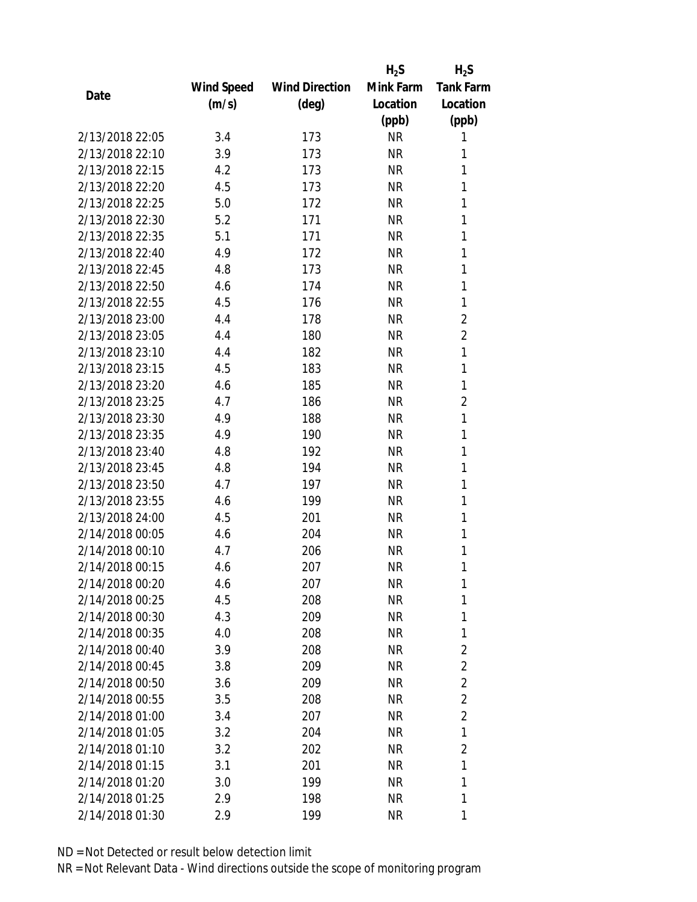|                 |            |                       | $H_2S$    | $H_2S$           |
|-----------------|------------|-----------------------|-----------|------------------|
|                 | Wind Speed | <b>Wind Direction</b> | Mink Farm | <b>Tank Farm</b> |
| Date            | (m/s)      | (deg)                 | Location  | Location         |
|                 |            |                       | (ppb)     | (ppb)            |
| 2/13/2018 22:05 | 3.4        | 173                   | <b>NR</b> | 1                |
| 2/13/2018 22:10 | 3.9        | 173                   | <b>NR</b> | 1                |
| 2/13/2018 22:15 | 4.2        | 173                   | <b>NR</b> | 1                |
| 2/13/2018 22:20 | 4.5        | 173                   | <b>NR</b> | 1                |
| 2/13/2018 22:25 | 5.0        | 172                   | <b>NR</b> | 1                |
| 2/13/2018 22:30 | 5.2        | 171                   | <b>NR</b> | 1                |
| 2/13/2018 22:35 | 5.1        | 171                   | <b>NR</b> | 1                |
| 2/13/2018 22:40 | 4.9        | 172                   | <b>NR</b> | 1                |
| 2/13/2018 22:45 | 4.8        | 173                   | <b>NR</b> | 1                |
| 2/13/2018 22:50 | 4.6        | 174                   | <b>NR</b> | 1                |
| 2/13/2018 22:55 | 4.5        | 176                   | <b>NR</b> | 1                |
| 2/13/2018 23:00 | 4.4        | 178                   | <b>NR</b> | $\overline{2}$   |
| 2/13/2018 23:05 | 4.4        | 180                   | <b>NR</b> | $\overline{2}$   |
| 2/13/2018 23:10 | 4.4        | 182                   | <b>NR</b> | 1                |
| 2/13/2018 23:15 | 4.5        | 183                   | <b>NR</b> | 1                |
| 2/13/2018 23:20 | 4.6        | 185                   | <b>NR</b> | 1                |
| 2/13/2018 23:25 | 4.7        | 186                   | <b>NR</b> | $\overline{2}$   |
| 2/13/2018 23:30 | 4.9        | 188                   | <b>NR</b> | 1                |
| 2/13/2018 23:35 | 4.9        | 190                   | <b>NR</b> | 1                |
| 2/13/2018 23:40 | 4.8        | 192                   | <b>NR</b> | 1                |
| 2/13/2018 23:45 | 4.8        | 194                   | <b>NR</b> | 1                |
| 2/13/2018 23:50 | 4.7        | 197                   | <b>NR</b> | 1                |
| 2/13/2018 23:55 | 4.6        | 199                   | <b>NR</b> | 1                |
| 2/13/2018 24:00 | 4.5        | 201                   | <b>NR</b> | 1                |
| 2/14/2018 00:05 | 4.6        | 204                   | <b>NR</b> | 1                |
| 2/14/2018 00:10 | 4.7        | 206                   | <b>NR</b> | 1                |
| 2/14/2018 00:15 | 4.6        | 207                   | <b>NR</b> | 1                |
| 2/14/2018 00:20 | 4.6        | 207                   | NR        | 1                |
| 2/14/2018 00:25 | 4.5        | 208                   | <b>NR</b> | 1                |
| 2/14/2018 00:30 | 4.3        | 209                   | NR        | 1                |
| 2/14/2018 00:35 | 4.0        | 208                   | NR        | 1                |
| 2/14/2018 00:40 | 3.9        | 208                   | <b>NR</b> | $\overline{c}$   |
| 2/14/2018 00:45 | 3.8        | 209                   | NR        | $\overline{2}$   |
| 2/14/2018 00:50 | 3.6        | 209                   | <b>NR</b> | $\overline{2}$   |
| 2/14/2018 00:55 | 3.5        | 208                   | NR        | $\overline{2}$   |
| 2/14/2018 01:00 | 3.4        | 207                   | ΝR        | $\overline{2}$   |
| 2/14/2018 01:05 | 3.2        | 204                   | ΝR        | 1                |
| 2/14/2018 01:10 | 3.2        | 202                   | ΝR        | $\overline{2}$   |
| 2/14/2018 01:15 | 3.1        | 201                   | <b>NR</b> | 1                |
| 2/14/2018 01:20 | 3.0        | 199                   | NR        | 1                |
| 2/14/2018 01:25 | 2.9        | 198                   | <b>NR</b> | 1                |
| 2/14/2018 01:30 | 2.9        | 199                   | <b>NR</b> | 1                |
|                 |            |                       |           |                  |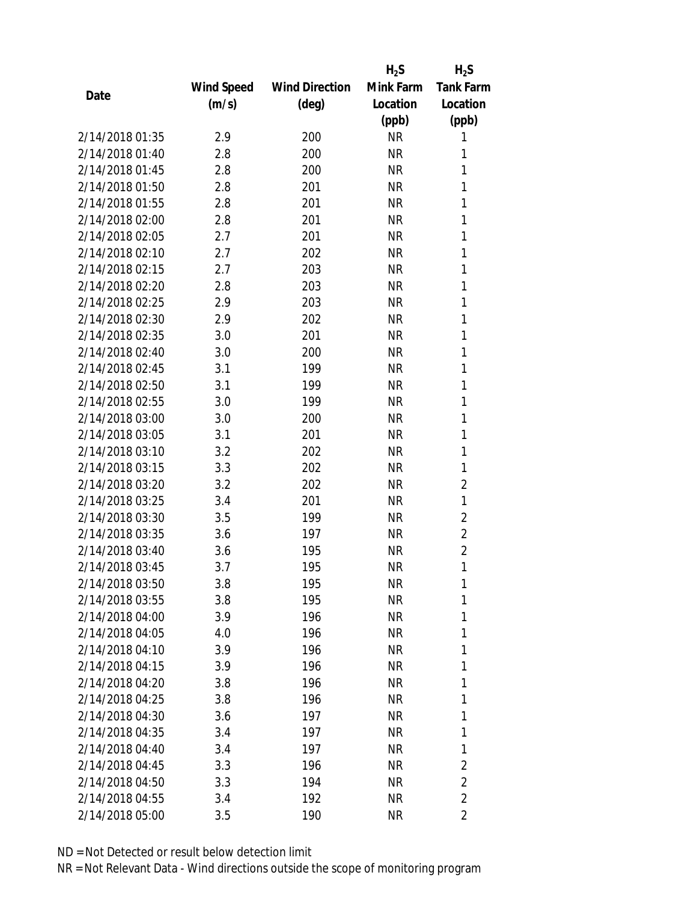|                 |                   |                       | $H_2S$    | $H_2S$           |
|-----------------|-------------------|-----------------------|-----------|------------------|
|                 | <b>Wind Speed</b> | <b>Wind Direction</b> | Mink Farm | <b>Tank Farm</b> |
| Date            | (m/s)             | (deg)                 | Location  | Location         |
|                 |                   |                       | (ppb)     | (ppb)            |
| 2/14/2018 01:35 | 2.9               | 200                   | <b>NR</b> | 1                |
| 2/14/2018 01:40 | 2.8               | 200                   | <b>NR</b> | 1                |
| 2/14/2018 01:45 | 2.8               | 200                   | <b>NR</b> | 1                |
| 2/14/2018 01:50 | 2.8               | 201                   | <b>NR</b> | 1                |
| 2/14/2018 01:55 | 2.8               | 201                   | <b>NR</b> | 1                |
| 2/14/2018 02:00 | 2.8               | 201                   | <b>NR</b> | 1                |
| 2/14/2018 02:05 | 2.7               | 201                   | <b>NR</b> | 1                |
| 2/14/2018 02:10 | 2.7               | 202                   | <b>NR</b> | 1                |
| 2/14/2018 02:15 | 2.7               | 203                   | <b>NR</b> | 1                |
| 2/14/2018 02:20 | 2.8               | 203                   | <b>NR</b> | 1                |
| 2/14/2018 02:25 | 2.9               | 203                   | <b>NR</b> | 1                |
| 2/14/2018 02:30 | 2.9               | 202                   | <b>NR</b> | 1                |
| 2/14/2018 02:35 | 3.0               | 201                   | <b>NR</b> | 1                |
| 2/14/2018 02:40 | 3.0               | 200                   | <b>NR</b> | 1                |
| 2/14/2018 02:45 | 3.1               | 199                   | <b>NR</b> | 1                |
| 2/14/2018 02:50 | 3.1               | 199                   | <b>NR</b> | 1                |
| 2/14/2018 02:55 | 3.0               | 199                   | <b>NR</b> | 1                |
| 2/14/2018 03:00 | 3.0               | 200                   | <b>NR</b> | 1                |
| 2/14/2018 03:05 | 3.1               | 201                   | <b>NR</b> | 1                |
| 2/14/2018 03:10 | 3.2               | 202                   | <b>NR</b> | 1                |
| 2/14/2018 03:15 | 3.3               | 202                   | <b>NR</b> | 1                |
| 2/14/2018 03:20 | 3.2               | 202                   | <b>NR</b> | $\overline{c}$   |
| 2/14/2018 03:25 | 3.4               | 201                   | <b>NR</b> | $\mathbf{1}$     |
| 2/14/2018 03:30 | 3.5               | 199                   | <b>NR</b> | $\overline{2}$   |
| 2/14/2018 03:35 | 3.6               | 197                   | <b>NR</b> | $\overline{2}$   |
| 2/14/2018 03:40 | 3.6               | 195                   | <b>NR</b> | $\overline{2}$   |
| 2/14/2018 03:45 | 3.7               | 195                   | <b>NR</b> | 1                |
| 2/14/2018 03:50 | 3.8               | 195                   | ΝR        | 1                |
| 2/14/2018 03:55 | 3.8               | 195                   | <b>NR</b> | 1                |
| 2/14/2018 04:00 | 3.9               | 196                   | NR        | 1                |
| 2/14/2018 04:05 | 4.0               | 196                   | <b>NR</b> | 1                |
| 2/14/2018 04:10 | 3.9               | 196                   | ΝR        | 1                |
| 2/14/2018 04:15 | 3.9               | 196                   | ΝR        | 1                |
| 2/14/2018 04:20 | 3.8               | 196                   | <b>NR</b> | 1                |
| 2/14/2018 04:25 | 3.8               | 196                   | NR        | 1                |
| 2/14/2018 04:30 | 3.6               | 197                   | <b>NR</b> | 1                |
| 2/14/2018 04:35 | 3.4               | 197                   | ΝR        | 1                |
| 2/14/2018 04:40 | 3.4               | 197                   | ΝR        | 1                |
| 2/14/2018 04:45 | 3.3               | 196                   | ΝR        | 2                |
| 2/14/2018 04:50 | 3.3               | 194                   | ΝR        | $\overline{2}$   |
| 2/14/2018 04:55 | 3.4               | 192                   | <b>NR</b> | $\overline{2}$   |
| 2/14/2018 05:00 | 3.5               | 190                   | <b>NR</b> | $\overline{2}$   |
|                 |                   |                       |           |                  |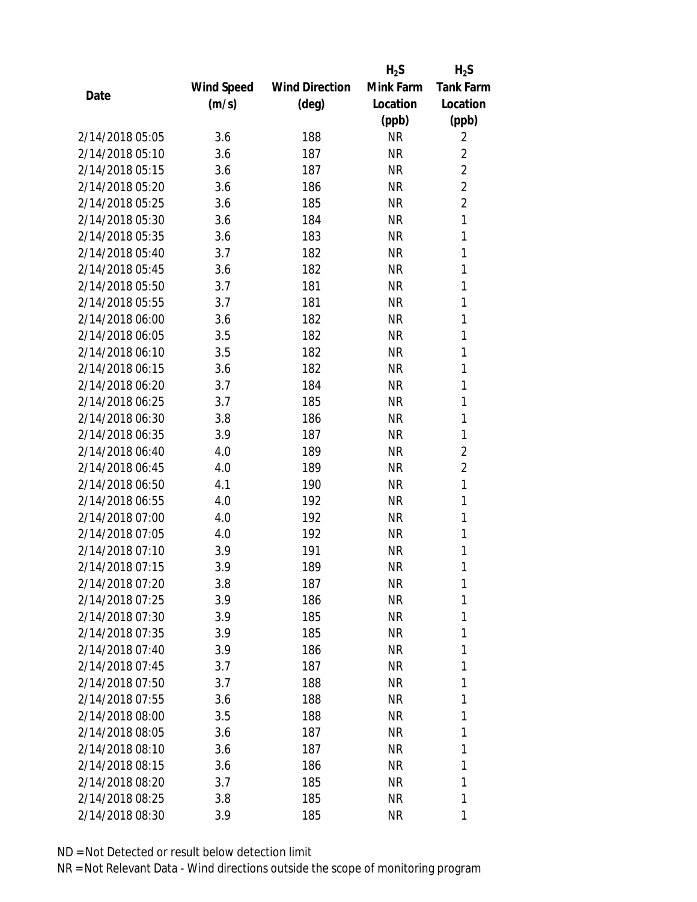|                 |            |                       | $H_2S$    | $H_2S$           |
|-----------------|------------|-----------------------|-----------|------------------|
|                 | Wind Speed | <b>Wind Direction</b> | Mink Farm | <b>Tank Farm</b> |
| Date            | (m/s)      | (deg)                 | Location  | Location         |
|                 |            |                       | (ppb)     | (ppb)            |
| 2/14/2018 05:05 | 3.6        | 188                   | <b>NR</b> | 2                |
| 2/14/2018 05:10 | 3.6        | 187                   | <b>NR</b> | $\overline{2}$   |
| 2/14/2018 05:15 | 3.6        | 187                   | <b>NR</b> | $\overline{2}$   |
| 2/14/2018 05:20 | 3.6        | 186                   | <b>NR</b> | $\overline{2}$   |
| 2/14/2018 05:25 | 3.6        | 185                   | <b>NR</b> | $\overline{2}$   |
| 2/14/2018 05:30 | 3.6        | 184                   | <b>NR</b> | 1                |
| 2/14/2018 05:35 | 3.6        | 183                   | <b>NR</b> | 1                |
| 2/14/2018 05:40 | 3.7        | 182                   | <b>NR</b> | 1                |
| 2/14/2018 05:45 | 3.6        | 182                   | <b>NR</b> | 1                |
| 2/14/2018 05:50 | 3.7        | 181                   | <b>NR</b> | 1                |
| 2/14/2018 05:55 | 3.7        | 181                   | <b>NR</b> | 1                |
| 2/14/2018 06:00 | 3.6        | 182                   | <b>NR</b> | 1                |
| 2/14/2018 06:05 | 3.5        | 182                   | <b>NR</b> | 1                |
| 2/14/2018 06:10 | 3.5        | 182                   | <b>NR</b> | 1                |
| 2/14/2018 06:15 | 3.6        | 182                   | <b>NR</b> | 1                |
| 2/14/2018 06:20 | 3.7        | 184                   | <b>NR</b> | 1                |
| 2/14/2018 06:25 | 3.7        | 185                   | <b>NR</b> | 1                |
| 2/14/2018 06:30 | 3.8        | 186                   | <b>NR</b> | 1                |
| 2/14/2018 06:35 | 3.9        | 187                   | <b>NR</b> | 1                |
| 2/14/2018 06:40 | 4.0        | 189                   | <b>NR</b> | $\overline{2}$   |
| 2/14/2018 06:45 | 4.0        | 189                   | <b>NR</b> | $\overline{c}$   |
| 2/14/2018 06:50 | 4.1        | 190                   | <b>NR</b> | 1                |
| 2/14/2018 06:55 | 4.0        | 192                   | <b>NR</b> | 1                |
| 2/14/2018 07:00 | 4.0        | 192                   | <b>NR</b> | 1                |
| 2/14/2018 07:05 | 4.0        | 192                   | <b>NR</b> | 1                |
| 2/14/2018 07:10 | 3.9        | 191                   | <b>NR</b> | 1                |
| 2/14/2018 07:15 | 3.9        | 189                   | <b>NR</b> | 1                |
| 2/14/2018 07:20 | 3.8        | 187                   | ΝR        | 1                |
| 2/14/2018 07:25 | 3.9        | 186                   | <b>NR</b> | 1                |
| 2/14/2018 07:30 | 3.9        | 185                   | NR        | 1                |
| 2/14/2018 07:35 | 3.9        | 185                   | <b>NR</b> | 1                |
| 2/14/2018 07:40 | 3.9        | 186                   | <b>NR</b> | 1                |
| 2/14/2018 07:45 | 3.7        | 187                   | NR        | 1                |
| 2/14/2018 07:50 | 3.7        | 188                   | <b>NR</b> | 1                |
| 2/14/2018 07:55 | 3.6        | 188                   | <b>NR</b> | 1                |
| 2/14/2018 08:00 | 3.5        | 188                   | <b>NR</b> | 1                |
| 2/14/2018 08:05 | 3.6        | 187                   | NR        | 1                |
| 2/14/2018 08:10 | 3.6        | 187                   | NR        | 1                |
| 2/14/2018 08:15 | 3.6        | 186                   | <b>NR</b> | 1                |
| 2/14/2018 08:20 | 3.7        | 185                   | NR        | 1                |
| 2/14/2018 08:25 | 3.8        | 185                   | <b>NR</b> | 1                |
| 2/14/2018 08:30 | 3.9        | 185                   | <b>NR</b> | 1                |
|                 |            |                       |           |                  |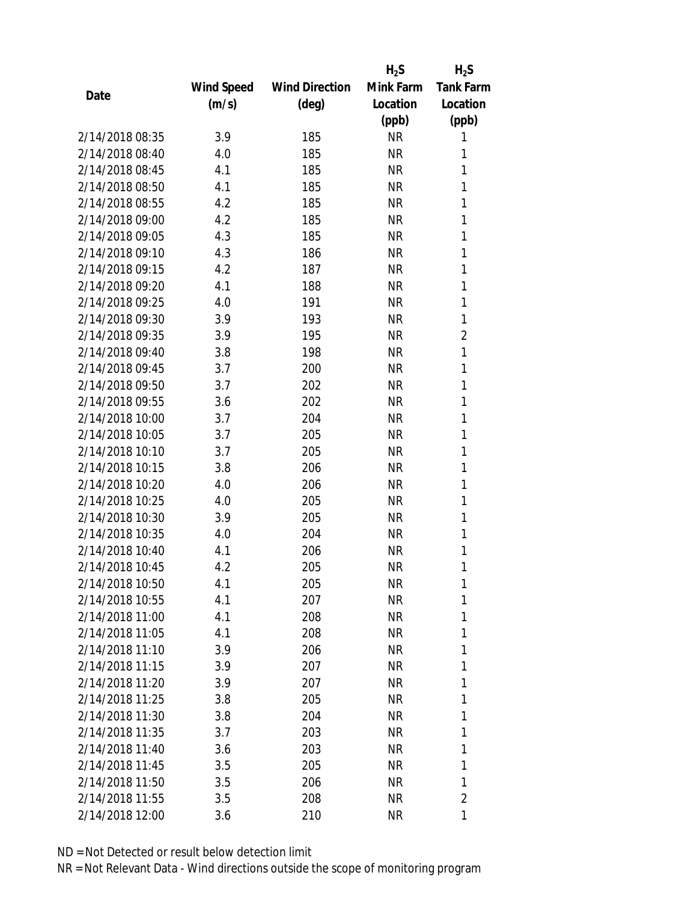|                 |            |                       | $H_2S$    | $H_2S$           |
|-----------------|------------|-----------------------|-----------|------------------|
|                 | Wind Speed | <b>Wind Direction</b> | Mink Farm | <b>Tank Farm</b> |
| Date            | (m/s)      | (deg)                 | Location  | Location         |
|                 |            |                       | (ppb)     | (ppb)            |
| 2/14/2018 08:35 | 3.9        | 185                   | <b>NR</b> | 1                |
| 2/14/2018 08:40 | 4.0        | 185                   | <b>NR</b> | 1                |
| 2/14/2018 08:45 | 4.1        | 185                   | <b>NR</b> | 1                |
| 2/14/2018 08:50 | 4.1        | 185                   | <b>NR</b> | 1                |
| 2/14/2018 08:55 | 4.2        | 185                   | <b>NR</b> | 1                |
| 2/14/2018 09:00 | 4.2        | 185                   | <b>NR</b> | 1                |
| 2/14/2018 09:05 | 4.3        | 185                   | <b>NR</b> | 1                |
| 2/14/2018 09:10 | 4.3        | 186                   | <b>NR</b> | 1                |
| 2/14/2018 09:15 | 4.2        | 187                   | <b>NR</b> | 1                |
| 2/14/2018 09:20 | 4.1        | 188                   | <b>NR</b> | 1                |
| 2/14/2018 09:25 | 4.0        | 191                   | <b>NR</b> | 1                |
| 2/14/2018 09:30 | 3.9        | 193                   | <b>NR</b> | 1                |
| 2/14/2018 09:35 | 3.9        | 195                   | <b>NR</b> | $\overline{2}$   |
| 2/14/2018 09:40 | 3.8        | 198                   | <b>NR</b> | 1                |
| 2/14/2018 09:45 | 3.7        | 200                   | <b>NR</b> | 1                |
| 2/14/2018 09:50 | 3.7        | 202                   | <b>NR</b> | 1                |
| 2/14/2018 09:55 | 3.6        | 202                   | <b>NR</b> | 1                |
| 2/14/2018 10:00 | 3.7        | 204                   | <b>NR</b> | 1                |
| 2/14/2018 10:05 | 3.7        | 205                   | <b>NR</b> | 1                |
| 2/14/2018 10:10 | 3.7        | 205                   | <b>NR</b> | 1                |
| 2/14/2018 10:15 | 3.8        | 206                   | <b>NR</b> | 1                |
| 2/14/2018 10:20 | 4.0        | 206                   | <b>NR</b> | 1                |
| 2/14/2018 10:25 | 4.0        | 205                   | <b>NR</b> | 1                |
| 2/14/2018 10:30 | 3.9        | 205                   | <b>NR</b> | 1                |
| 2/14/2018 10:35 | 4.0        | 204                   | <b>NR</b> | 1                |
| 2/14/2018 10:40 | 4.1        | 206                   | <b>NR</b> | 1                |
| 2/14/2018 10:45 | 4.2        | 205                   | <b>NR</b> | 1                |
| 2/14/2018 10:50 | 4.1        | 205                   | NR        | 1                |
| 2/14/2018 10:55 | 4.1        | 207                   | <b>NR</b> | 1                |
| 2/14/2018 11:00 | 4.1        | 208                   | NR        | 1                |
| 2/14/2018 11:05 | 4.1        | 208                   | NR        | 1                |
| 2/14/2018 11:10 | 3.9        | 206                   | NR        | 1                |
| 2/14/2018 11:15 | 3.9        | 207                   | NR        | 1                |
| 2/14/2018 11:20 | 3.9        | 207                   | <b>NR</b> | 1                |
| 2/14/2018 11:25 | 3.8        | 205                   | NR        | 1                |
| 2/14/2018 11:30 | 3.8        | 204                   | NR        | 1                |
| 2/14/2018 11:35 | 3.7        | 203                   | NR        | 1                |
| 2/14/2018 11:40 | 3.6        | 203                   | NR        | 1                |
| 2/14/2018 11:45 | 3.5        | 205                   | NR        | 1                |
| 2/14/2018 11:50 | 3.5        | 206                   | NR        | 1                |
| 2/14/2018 11:55 | 3.5        | 208                   | <b>NR</b> | $\overline{c}$   |
| 2/14/2018 12:00 | 3.6        | 210                   | <b>NR</b> | 1                |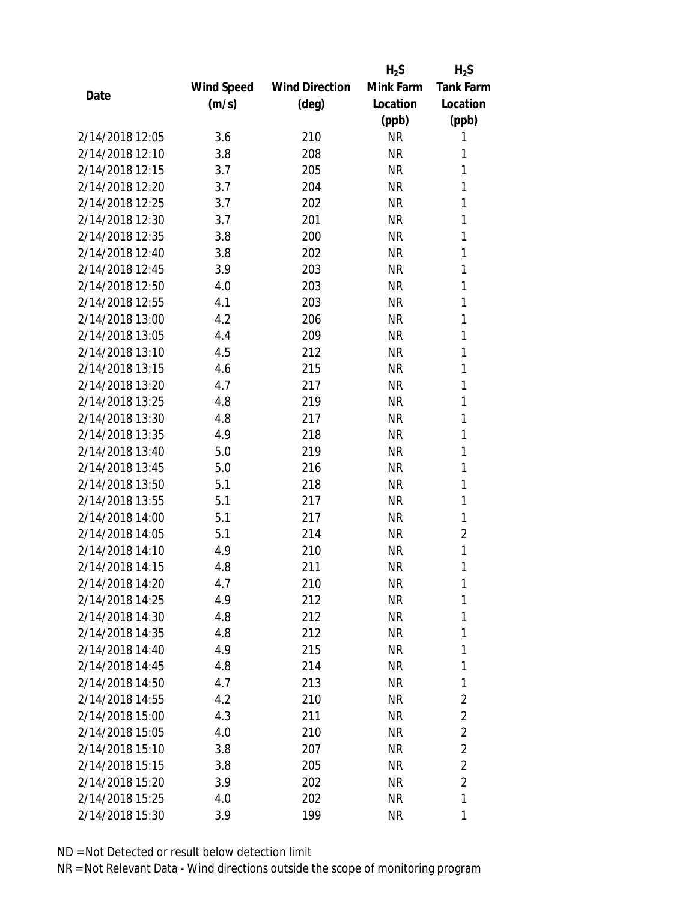|                 |                   |                       | $H_2S$    | $H_2S$           |
|-----------------|-------------------|-----------------------|-----------|------------------|
|                 | <b>Wind Speed</b> | <b>Wind Direction</b> | Mink Farm | <b>Tank Farm</b> |
| Date            | (m/s)             | (deg)                 | Location  | Location         |
|                 |                   |                       | (ppb)     | (ppb)            |
| 2/14/2018 12:05 | 3.6               | 210                   | <b>NR</b> | 1                |
| 2/14/2018 12:10 | 3.8               | 208                   | <b>NR</b> | 1                |
| 2/14/2018 12:15 | 3.7               | 205                   | <b>NR</b> | 1                |
| 2/14/2018 12:20 | 3.7               | 204                   | <b>NR</b> | 1                |
| 2/14/2018 12:25 | 3.7               | 202                   | <b>NR</b> | 1                |
| 2/14/2018 12:30 | 3.7               | 201                   | <b>NR</b> | 1                |
| 2/14/2018 12:35 | 3.8               | 200                   | <b>NR</b> | 1                |
| 2/14/2018 12:40 | 3.8               | 202                   | <b>NR</b> | 1                |
| 2/14/2018 12:45 | 3.9               | 203                   | <b>NR</b> | 1                |
| 2/14/2018 12:50 | 4.0               | 203                   | <b>NR</b> | 1                |
| 2/14/2018 12:55 | 4.1               | 203                   | <b>NR</b> | 1                |
| 2/14/2018 13:00 | 4.2               | 206                   | <b>NR</b> | 1                |
| 2/14/2018 13:05 | 4.4               | 209                   | <b>NR</b> | 1                |
| 2/14/2018 13:10 | 4.5               | 212                   | <b>NR</b> | 1                |
| 2/14/2018 13:15 | 4.6               | 215                   | <b>NR</b> | 1                |
| 2/14/2018 13:20 | 4.7               | 217                   | <b>NR</b> | 1                |
| 2/14/2018 13:25 | 4.8               | 219                   | <b>NR</b> | 1                |
| 2/14/2018 13:30 | 4.8               | 217                   | <b>NR</b> | 1                |
| 2/14/2018 13:35 | 4.9               | 218                   | <b>NR</b> | 1                |
| 2/14/2018 13:40 | 5.0               | 219                   | <b>NR</b> | 1                |
| 2/14/2018 13:45 | 5.0               | 216                   | <b>NR</b> | 1                |
| 2/14/2018 13:50 | 5.1               | 218                   | <b>NR</b> | 1                |
| 2/14/2018 13:55 | 5.1               | 217                   | <b>NR</b> | 1                |
| 2/14/2018 14:00 | 5.1               | 217                   | <b>NR</b> | 1                |
| 2/14/2018 14:05 | 5.1               | 214                   | <b>NR</b> | 2                |
| 2/14/2018 14:10 | 4.9               | 210                   | <b>NR</b> | 1                |
| 2/14/2018 14:15 | 4.8               | 211                   | <b>NR</b> | 1                |
| 2/14/2018 14:20 | 4.7               | 210                   | NR        | 1                |
| 2/14/2018 14:25 | 4.9               | 212                   | <b>NR</b> | 1                |
| 2/14/2018 14:30 | 4.8               | 212                   | NR        | 1                |
| 2/14/2018 14:35 | 4.8               | 212                   | <b>NR</b> | 1                |
| 2/14/2018 14:40 | 4.9               | 215                   | <b>NR</b> | 1                |
| 2/14/2018 14:45 | 4.8               | 214                   | NR        | 1                |
| 2/14/2018 14:50 | 4.7               | 213                   | <b>NR</b> | 1                |
| 2/14/2018 14:55 | 4.2               | 210                   | NR        | $\overline{2}$   |
| 2/14/2018 15:00 | 4.3               | 211                   | <b>NR</b> | $\overline{2}$   |
| 2/14/2018 15:05 | 4.0               | 210                   | NR        | $\overline{2}$   |
| 2/14/2018 15:10 | 3.8               | 207                   | NR        | $\overline{2}$   |
| 2/14/2018 15:15 | 3.8               | 205                   | NR        | $\overline{2}$   |
| 2/14/2018 15:20 | 3.9               | 202                   | NR        | $\overline{2}$   |
| 2/14/2018 15:25 | 4.0               | 202                   | <b>NR</b> | 1                |
| 2/14/2018 15:30 | 3.9               | 199                   | <b>NR</b> | 1                |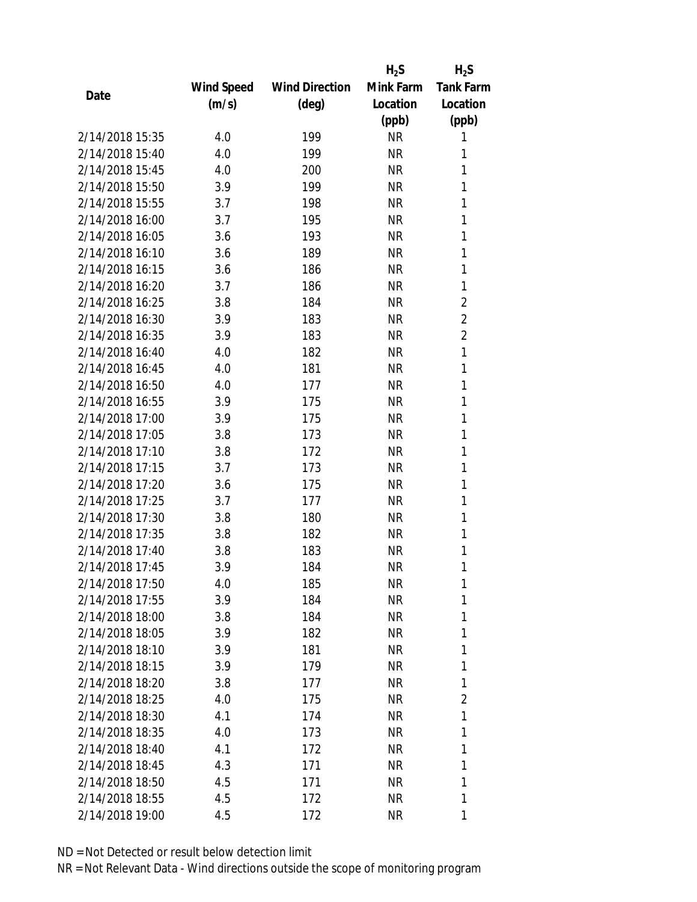|                 |            |                       | $H_2S$    | $H_2S$           |
|-----------------|------------|-----------------------|-----------|------------------|
|                 | Wind Speed | <b>Wind Direction</b> | Mink Farm | <b>Tank Farm</b> |
| Date            | (m/s)      | (deg)                 | Location  | Location         |
|                 |            |                       | (ppb)     | (ppb)            |
| 2/14/2018 15:35 | 4.0        | 199                   | <b>NR</b> | 1                |
| 2/14/2018 15:40 | 4.0        | 199                   | <b>NR</b> | 1                |
| 2/14/2018 15:45 | 4.0        | 200                   | <b>NR</b> | 1                |
| 2/14/2018 15:50 | 3.9        | 199                   | <b>NR</b> | 1                |
| 2/14/2018 15:55 | 3.7        | 198                   | <b>NR</b> | 1                |
| 2/14/2018 16:00 | 3.7        | 195                   | <b>NR</b> | 1                |
| 2/14/2018 16:05 | 3.6        | 193                   | <b>NR</b> | 1                |
| 2/14/2018 16:10 | 3.6        | 189                   | <b>NR</b> | 1                |
| 2/14/2018 16:15 | 3.6        | 186                   | <b>NR</b> | 1                |
| 2/14/2018 16:20 | 3.7        | 186                   | <b>NR</b> | 1                |
| 2/14/2018 16:25 | 3.8        | 184                   | <b>NR</b> | $\overline{2}$   |
| 2/14/2018 16:30 | 3.9        | 183                   | <b>NR</b> | $\overline{2}$   |
| 2/14/2018 16:35 | 3.9        | 183                   | <b>NR</b> | $\overline{2}$   |
| 2/14/2018 16:40 | 4.0        | 182                   | <b>NR</b> | 1                |
| 2/14/2018 16:45 | 4.0        | 181                   | <b>NR</b> | 1                |
| 2/14/2018 16:50 | 4.0        | 177                   | <b>NR</b> | 1                |
| 2/14/2018 16:55 | 3.9        | 175                   | <b>NR</b> | 1                |
| 2/14/2018 17:00 | 3.9        | 175                   | <b>NR</b> | 1                |
| 2/14/2018 17:05 | 3.8        | 173                   | <b>NR</b> | 1                |
| 2/14/2018 17:10 | 3.8        | 172                   | <b>NR</b> | 1                |
| 2/14/2018 17:15 | 3.7        | 173                   | <b>NR</b> | 1                |
| 2/14/2018 17:20 | 3.6        | 175                   | <b>NR</b> | 1                |
| 2/14/2018 17:25 | 3.7        | 177                   | <b>NR</b> | 1                |
| 2/14/2018 17:30 | 3.8        | 180                   | <b>NR</b> | 1                |
| 2/14/2018 17:35 | 3.8        | 182                   | <b>NR</b> | 1                |
| 2/14/2018 17:40 | 3.8        | 183                   | <b>NR</b> | 1                |
| 2/14/2018 17:45 | 3.9        | 184                   | <b>NR</b> | 1                |
| 2/14/2018 17:50 | 4.0        | 185                   | NR        | 1                |
| 2/14/2018 17:55 | 3.9        | 184                   | <b>NR</b> | 1                |
| 2/14/2018 18:00 | 3.8        | 184                   | NR        | 1                |
| 2/14/2018 18:05 | 3.9        | 182                   | <b>NR</b> | 1                |
| 2/14/2018 18:10 | 3.9        | 181                   | NR        | 1                |
| 2/14/2018 18:15 | 3.9        | 179                   | NR        | 1                |
| 2/14/2018 18:20 | 3.8        | 177                   | <b>NR</b> | 1                |
| 2/14/2018 18:25 | 4.0        | 175                   | NR        | $\overline{2}$   |
| 2/14/2018 18:30 | 4.1        | 174                   | <b>NR</b> | 1                |
| 2/14/2018 18:35 | 4.0        | 173                   | NR        | 1                |
| 2/14/2018 18:40 | 4.1        | 172                   | NR        | 1                |
| 2/14/2018 18:45 | 4.3        | 171                   | <b>NR</b> | 1                |
| 2/14/2018 18:50 | 4.5        | 171                   | NR        | 1                |
| 2/14/2018 18:55 | 4.5        | 172                   | <b>NR</b> | 1                |
| 2/14/2018 19:00 | 4.5        | 172                   | <b>NR</b> | 1                |
|                 |            |                       |           |                  |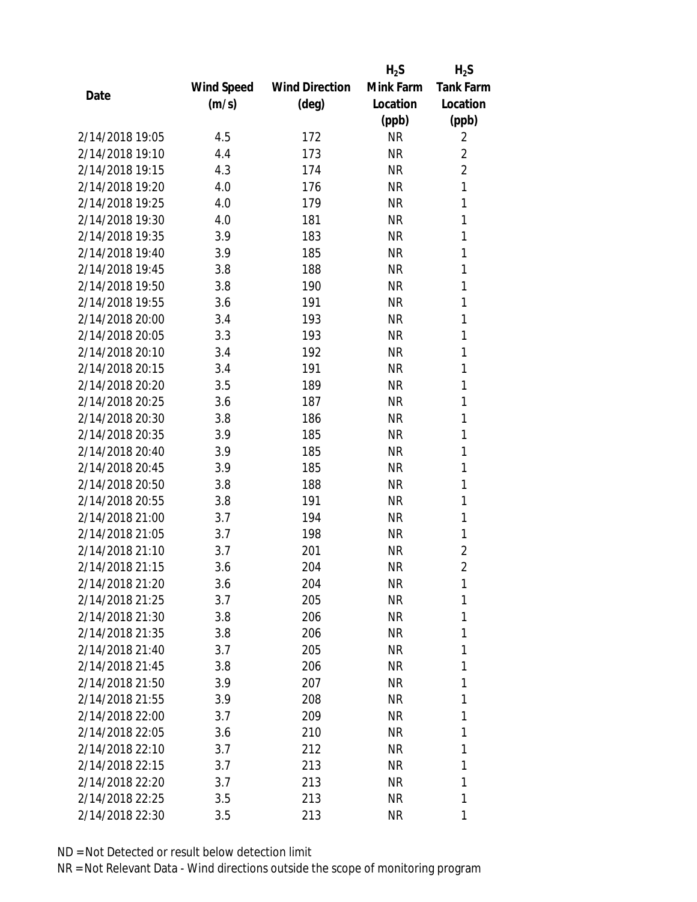|                 |            |                       | $H_2S$    | $H_2S$           |
|-----------------|------------|-----------------------|-----------|------------------|
|                 | Wind Speed | <b>Wind Direction</b> | Mink Farm | <b>Tank Farm</b> |
| Date            | (m/s)      | (deg)                 | Location  | Location         |
|                 |            |                       | (ppb)     | (ppb)            |
| 2/14/2018 19:05 | 4.5        | 172                   | <b>NR</b> | 2                |
| 2/14/2018 19:10 | 4.4        | 173                   | <b>NR</b> | $\overline{2}$   |
| 2/14/2018 19:15 | 4.3        | 174                   | <b>NR</b> | $\overline{2}$   |
| 2/14/2018 19:20 | 4.0        | 176                   | <b>NR</b> | $\mathbf{1}$     |
| 2/14/2018 19:25 | 4.0        | 179                   | <b>NR</b> | 1                |
| 2/14/2018 19:30 | 4.0        | 181                   | <b>NR</b> | 1                |
| 2/14/2018 19:35 | 3.9        | 183                   | <b>NR</b> | 1                |
| 2/14/2018 19:40 | 3.9        | 185                   | <b>NR</b> | 1                |
| 2/14/2018 19:45 | 3.8        | 188                   | <b>NR</b> | 1                |
| 2/14/2018 19:50 | 3.8        | 190                   | <b>NR</b> | 1                |
| 2/14/2018 19:55 | 3.6        | 191                   | <b>NR</b> | 1                |
| 2/14/2018 20:00 | 3.4        | 193                   | <b>NR</b> | 1                |
| 2/14/2018 20:05 | 3.3        | 193                   | <b>NR</b> | 1                |
| 2/14/2018 20:10 | 3.4        | 192                   | <b>NR</b> | 1                |
| 2/14/2018 20:15 | 3.4        | 191                   | <b>NR</b> | 1                |
| 2/14/2018 20:20 | 3.5        | 189                   | <b>NR</b> | 1                |
| 2/14/2018 20:25 | 3.6        | 187                   | <b>NR</b> | 1                |
| 2/14/2018 20:30 | 3.8        | 186                   | <b>NR</b> | 1                |
| 2/14/2018 20:35 | 3.9        | 185                   | <b>NR</b> | 1                |
| 2/14/2018 20:40 | 3.9        | 185                   | <b>NR</b> | 1                |
| 2/14/2018 20:45 | 3.9        | 185                   | <b>NR</b> | 1                |
| 2/14/2018 20:50 | 3.8        | 188                   | <b>NR</b> | 1                |
| 2/14/2018 20:55 | 3.8        | 191                   | <b>NR</b> | 1                |
| 2/14/2018 21:00 | 3.7        | 194                   | <b>NR</b> | 1                |
| 2/14/2018 21:05 | 3.7        | 198                   | <b>NR</b> | 1                |
| 2/14/2018 21:10 | 3.7        | 201                   | <b>NR</b> | $\overline{2}$   |
| 2/14/2018 21:15 | 3.6        | 204                   | <b>NR</b> | $\overline{2}$   |
| 2/14/2018 21:20 | 3.6        | 204                   | NR        | 1                |
| 2/14/2018 21:25 | 3.7        | 205                   | <b>NR</b> | 1                |
| 2/14/2018 21:30 | 3.8        | 206                   | NR        | 1                |
| 2/14/2018 21:35 | 3.8        | 206                   | NR        | 1                |
| 2/14/2018 21:40 | 3.7        | 205                   | <b>NR</b> | 1                |
| 2/14/2018 21:45 | 3.8        | 206                   | NR        | 1                |
| 2/14/2018 21:50 | 3.9        | 207                   | <b>NR</b> | 1                |
| 2/14/2018 21:55 | 3.9        | 208                   | NR        | 1                |
| 2/14/2018 22:00 | 3.7        | 209                   | NR        | 1                |
| 2/14/2018 22:05 |            | 210                   | ΝR        | 1                |
| 2/14/2018 22:10 | 3.6        | 212                   |           | 1                |
|                 | 3.7        |                       | ΝR        |                  |
| 2/14/2018 22:15 | 3.7        | 213                   | <b>NR</b> | 1<br>1           |
| 2/14/2018 22:20 | 3.7        | 213                   | NR        |                  |
| 2/14/2018 22:25 | 3.5        | 213                   | NR        | 1                |
| 2/14/2018 22:30 | 3.5        | 213                   | <b>NR</b> | 1                |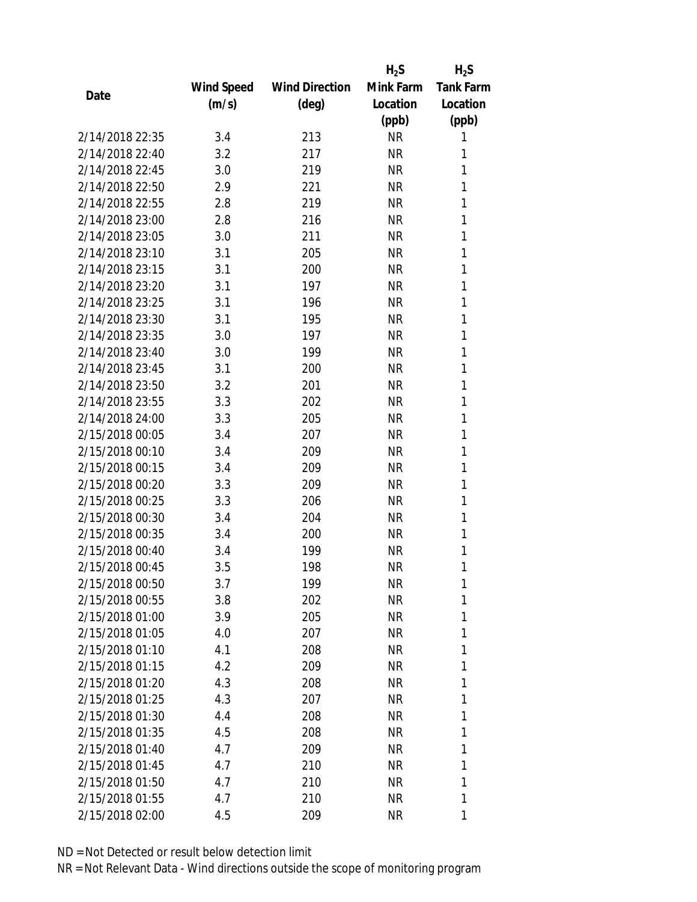|                 |            |                       | $H_2S$    | $H_2S$           |
|-----------------|------------|-----------------------|-----------|------------------|
|                 | Wind Speed | <b>Wind Direction</b> | Mink Farm | <b>Tank Farm</b> |
| Date            | (m/s)      | (deg)                 | Location  | Location         |
|                 |            |                       | (ppb)     | (ppb)            |
| 2/14/2018 22:35 | 3.4        | 213                   | <b>NR</b> | 1                |
| 2/14/2018 22:40 | 3.2        | 217                   | <b>NR</b> | 1                |
| 2/14/2018 22:45 | 3.0        | 219                   | <b>NR</b> | 1                |
| 2/14/2018 22:50 | 2.9        | 221                   | <b>NR</b> | 1                |
| 2/14/2018 22:55 | 2.8        | 219                   | <b>NR</b> | 1                |
| 2/14/2018 23:00 | 2.8        | 216                   | <b>NR</b> | 1                |
| 2/14/2018 23:05 | 3.0        | 211                   | <b>NR</b> | 1                |
| 2/14/2018 23:10 | 3.1        | 205                   | <b>NR</b> | 1                |
| 2/14/2018 23:15 | 3.1        | 200                   | <b>NR</b> | 1                |
| 2/14/2018 23:20 | 3.1        | 197                   | <b>NR</b> | 1                |
| 2/14/2018 23:25 | 3.1        | 196                   | <b>NR</b> | 1                |
| 2/14/2018 23:30 | 3.1        | 195                   | <b>NR</b> | 1                |
| 2/14/2018 23:35 | 3.0        | 197                   | <b>NR</b> | 1                |
| 2/14/2018 23:40 | 3.0        | 199                   | <b>NR</b> | 1                |
| 2/14/2018 23:45 | 3.1        | 200                   | <b>NR</b> | 1                |
| 2/14/2018 23:50 | 3.2        | 201                   | <b>NR</b> | 1                |
| 2/14/2018 23:55 | 3.3        | 202                   | <b>NR</b> | 1                |
| 2/14/2018 24:00 | 3.3        | 205                   | <b>NR</b> | 1                |
| 2/15/2018 00:05 | 3.4        | 207                   | <b>NR</b> | 1                |
| 2/15/2018 00:10 | 3.4        | 209                   | <b>NR</b> | 1                |
| 2/15/2018 00:15 | 3.4        | 209                   | <b>NR</b> | 1                |
| 2/15/2018 00:20 | 3.3        | 209                   | <b>NR</b> | 1                |
| 2/15/2018 00:25 | 3.3        | 206                   | <b>NR</b> | 1                |
| 2/15/2018 00:30 | 3.4        | 204                   | <b>NR</b> | 1                |
| 2/15/2018 00:35 | 3.4        | 200                   | <b>NR</b> | 1                |
| 2/15/2018 00:40 | 3.4        | 199                   | <b>NR</b> | 1                |
| 2/15/2018 00:45 | 3.5        | 198                   | <b>NR</b> | 1                |
| 2/15/2018 00:50 | 3.7        | 199                   | ΝR        | 1                |
| 2/15/2018 00:55 | 3.8        | 202                   | <b>NR</b> | 1                |
| 2/15/2018 01:00 | 3.9        | 205                   | NR        | 1                |
| 2/15/2018 01:05 | 4.0        | 207                   | NR        | 1                |
| 2/15/2018 01:10 | 4.1        | 208                   | <b>NR</b> | 1                |
| 2/15/2018 01:15 | 4.2        | 209                   | NR        | 1                |
| 2/15/2018 01:20 | 4.3        | 208                   | <b>NR</b> | 1                |
| 2/15/2018 01:25 | 4.3        | 207                   | NR        | 1                |
| 2/15/2018 01:30 | 4.4        | 208                   | ΝR        | 1                |
| 2/15/2018 01:35 | 4.5        | 208                   | ΝR        | 1                |
| 2/15/2018 01:40 | 4.7        | 209                   | ΝR        | 1                |
| 2/15/2018 01:45 | 4.7        | 210                   | <b>NR</b> | 1                |
| 2/15/2018 01:50 | 4.7        | 210                   | NR        | 1                |
| 2/15/2018 01:55 | 4.7        | 210                   | <b>NR</b> | 1                |
| 2/15/2018 02:00 | 4.5        | 209                   | ΝR        | 1                |
|                 |            |                       |           |                  |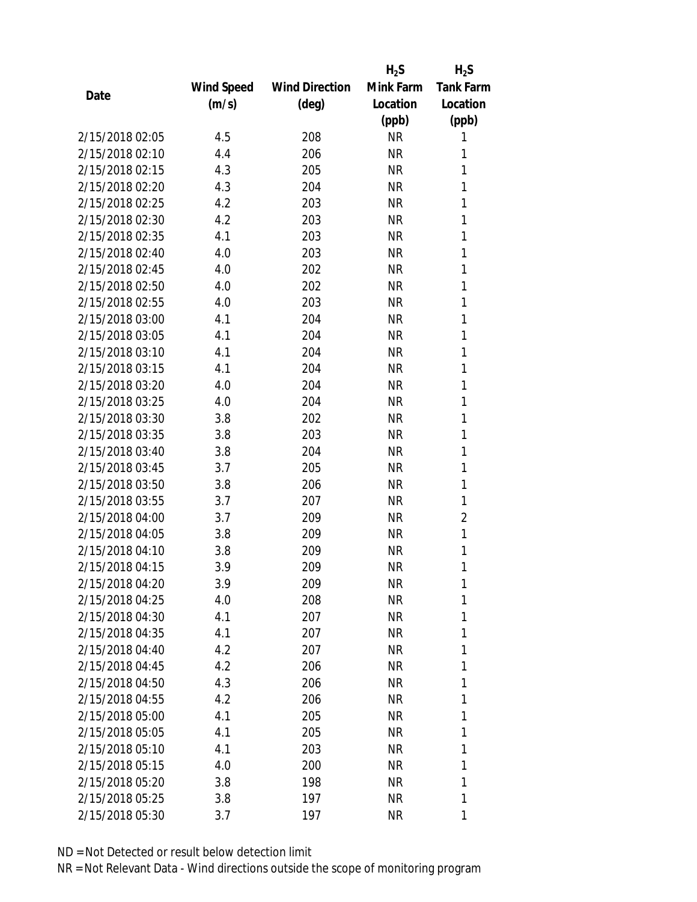|                 |                   |                       | $H_2S$    | $H_2S$           |
|-----------------|-------------------|-----------------------|-----------|------------------|
|                 | <b>Wind Speed</b> | <b>Wind Direction</b> | Mink Farm | <b>Tank Farm</b> |
| Date            | (m/s)             | $(\text{deg})$        | Location  | Location         |
|                 |                   |                       | (ppb)     | (ppb)            |
| 2/15/2018 02:05 | 4.5               | 208                   | <b>NR</b> | 1                |
| 2/15/2018 02:10 | 4.4               | 206                   | <b>NR</b> | 1                |
| 2/15/2018 02:15 | 4.3               | 205                   | <b>NR</b> | 1                |
| 2/15/2018 02:20 | 4.3               | 204                   | <b>NR</b> | 1                |
| 2/15/2018 02:25 | 4.2               | 203                   | <b>NR</b> | 1                |
| 2/15/2018 02:30 | 4.2               | 203                   | <b>NR</b> | 1                |
| 2/15/2018 02:35 | 4.1               | 203                   | <b>NR</b> | 1                |
| 2/15/2018 02:40 | 4.0               | 203                   | <b>NR</b> | 1                |
| 2/15/2018 02:45 | 4.0               | 202                   | <b>NR</b> | 1                |
| 2/15/2018 02:50 | 4.0               | 202                   | <b>NR</b> | 1                |
| 2/15/2018 02:55 | 4.0               | 203                   | <b>NR</b> | 1                |
| 2/15/2018 03:00 | 4.1               | 204                   | <b>NR</b> | 1                |
| 2/15/2018 03:05 | 4.1               | 204                   | <b>NR</b> | 1                |
| 2/15/2018 03:10 | 4.1               | 204                   | <b>NR</b> | 1                |
| 2/15/2018 03:15 | 4.1               | 204                   | <b>NR</b> | 1                |
| 2/15/2018 03:20 | 4.0               | 204                   | <b>NR</b> | 1                |
| 2/15/2018 03:25 | 4.0               | 204                   | <b>NR</b> | 1                |
| 2/15/2018 03:30 | 3.8               | 202                   | <b>NR</b> | 1                |
| 2/15/2018 03:35 | 3.8               | 203                   | <b>NR</b> | 1                |
| 2/15/2018 03:40 | 3.8               | 204                   | <b>NR</b> | 1                |
| 2/15/2018 03:45 | 3.7               | 205                   | <b>NR</b> | 1                |
| 2/15/2018 03:50 | 3.8               | 206                   | <b>NR</b> | 1                |
| 2/15/2018 03:55 | 3.7               | 207                   | <b>NR</b> | 1                |
| 2/15/2018 04:00 | 3.7               | 209                   | <b>NR</b> | $\overline{2}$   |
| 2/15/2018 04:05 | 3.8               | 209                   | <b>NR</b> | 1                |
| 2/15/2018 04:10 | 3.8               | 209                   | <b>NR</b> | 1                |
| 2/15/2018 04:15 | 3.9               | 209                   | <b>NR</b> | 1                |
| 2/15/2018 04:20 | 3.9               | 209                   | ΝR        | 1                |
| 2/15/2018 04:25 | 4.0               | 208                   | <b>NR</b> | 1                |
| 2/15/2018 04:30 | 4.1               | 207                   | NR        | 1                |
| 2/15/2018 04:35 | 4.1               | 207                   | ΝR        | 1                |
| 2/15/2018 04:40 | 4.2               | 207                   | ΝR        | 1                |
| 2/15/2018 04:45 | 4.2               | 206                   | NR        | 1                |
| 2/15/2018 04:50 | 4.3               | 206                   | <b>NR</b> | 1                |
| 2/15/2018 04:55 | 4.2               | 206                   | NR        | 1                |
| 2/15/2018 05:00 | 4.1               | 205                   | <b>NR</b> | 1                |
| 2/15/2018 05:05 | 4.1               | 205                   | NR        | 1                |
| 2/15/2018 05:10 | 4.1               | 203                   | NR        | 1                |
| 2/15/2018 05:15 | 4.0               | 200                   | NR        | 1                |
| 2/15/2018 05:20 | 3.8               | 198                   | NR        | 1                |
| 2/15/2018 05:25 | 3.8               | 197                   | <b>NR</b> | 1                |
| 2/15/2018 05:30 | 3.7               | 197                   | <b>NR</b> | 1                |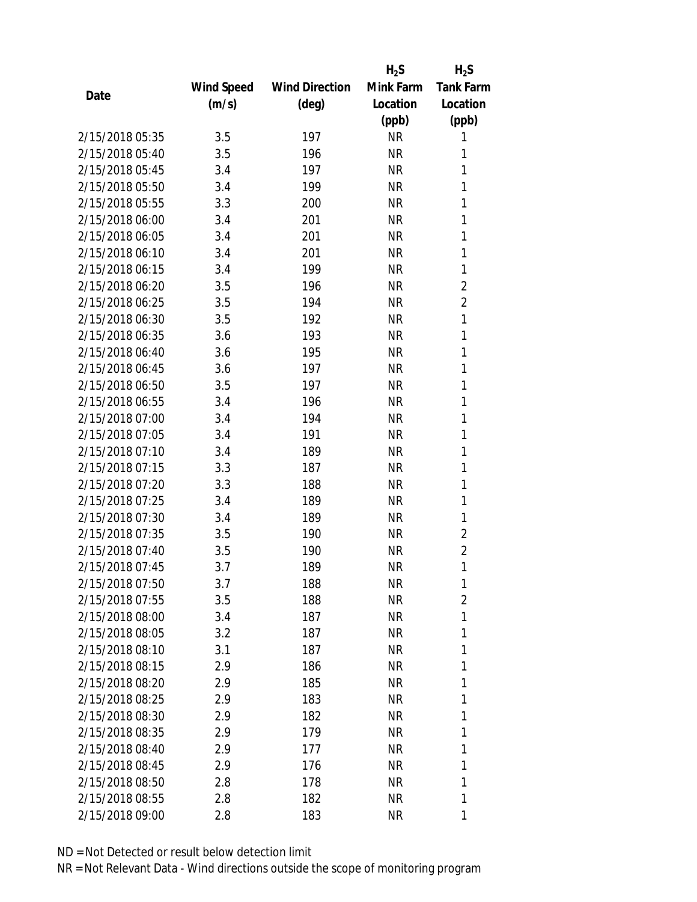|                 |            |                       | $H_2S$    | $H_2S$           |
|-----------------|------------|-----------------------|-----------|------------------|
|                 | Wind Speed | <b>Wind Direction</b> | Mink Farm | <b>Tank Farm</b> |
| Date            | (m/s)      | (deg)                 | Location  | Location         |
|                 |            |                       | (ppb)     | (ppb)            |
| 2/15/2018 05:35 | 3.5        | 197                   | <b>NR</b> | 1                |
| 2/15/2018 05:40 | 3.5        | 196                   | <b>NR</b> | 1                |
| 2/15/2018 05:45 | 3.4        | 197                   | <b>NR</b> | 1                |
| 2/15/2018 05:50 | 3.4        | 199                   | <b>NR</b> | 1                |
| 2/15/2018 05:55 | 3.3        | 200                   | <b>NR</b> | 1                |
| 2/15/2018 06:00 | 3.4        | 201                   | <b>NR</b> | 1                |
| 2/15/2018 06:05 | 3.4        | 201                   | <b>NR</b> | 1                |
| 2/15/2018 06:10 | 3.4        | 201                   | <b>NR</b> | 1                |
| 2/15/2018 06:15 | 3.4        | 199                   | <b>NR</b> | 1                |
| 2/15/2018 06:20 | 3.5        | 196                   | <b>NR</b> | $\overline{2}$   |
| 2/15/2018 06:25 | 3.5        | 194                   | <b>NR</b> | $\overline{2}$   |
| 2/15/2018 06:30 | 3.5        | 192                   | <b>NR</b> | 1                |
| 2/15/2018 06:35 | 3.6        | 193                   | <b>NR</b> | 1                |
| 2/15/2018 06:40 | 3.6        | 195                   | <b>NR</b> | 1                |
| 2/15/2018 06:45 | 3.6        | 197                   | <b>NR</b> | 1                |
| 2/15/2018 06:50 | 3.5        | 197                   | <b>NR</b> | 1                |
| 2/15/2018 06:55 | 3.4        | 196                   | <b>NR</b> | 1                |
| 2/15/2018 07:00 | 3.4        | 194                   | <b>NR</b> | 1                |
| 2/15/2018 07:05 | 3.4        | 191                   | <b>NR</b> | 1                |
| 2/15/2018 07:10 | 3.4        | 189                   | <b>NR</b> | 1                |
| 2/15/2018 07:15 | 3.3        | 187                   | <b>NR</b> | 1                |
| 2/15/2018 07:20 | 3.3        | 188                   | <b>NR</b> | 1                |
| 2/15/2018 07:25 | 3.4        | 189                   | <b>NR</b> | 1                |
| 2/15/2018 07:30 | 3.4        | 189                   | <b>NR</b> | 1                |
| 2/15/2018 07:35 | 3.5        | 190                   | <b>NR</b> | $\overline{2}$   |
| 2/15/2018 07:40 | 3.5        | 190                   | <b>NR</b> | $\overline{2}$   |
| 2/15/2018 07:45 | 3.7        | 189                   | <b>NR</b> | $\mathbf{1}$     |
| 2/15/2018 07:50 | 3.7        | 188                   | NR        | 1                |
| 2/15/2018 07:55 | 3.5        | 188                   | <b>NR</b> | $\overline{2}$   |
| 2/15/2018 08:00 | 3.4        | 187                   | NR        | 1                |
| 2/15/2018 08:05 | 3.2        | 187                   | NR        | 1                |
| 2/15/2018 08:10 | 3.1        | 187                   | <b>NR</b> | 1                |
| 2/15/2018 08:15 | 2.9        | 186                   | NR        | 1                |
| 2/15/2018 08:20 | 2.9        | 185                   | <b>NR</b> | 1                |
| 2/15/2018 08:25 | 2.9        | 183                   | NR        | 1                |
| 2/15/2018 08:30 | 2.9        | 182                   | <b>NR</b> | 1                |
| 2/15/2018 08:35 | 2.9        | 179                   | NR        | 1                |
| 2/15/2018 08:40 | 2.9        | 177                   | NR        | 1                |
| 2/15/2018 08:45 | 2.9        | 176                   | <b>NR</b> | 1                |
| 2/15/2018 08:50 | 2.8        | 178                   | NR        | 1                |
| 2/15/2018 08:55 | 2.8        | 182                   | <b>NR</b> | 1                |
| 2/15/2018 09:00 | 2.8        | 183                   | <b>NR</b> | 1                |
|                 |            |                       |           |                  |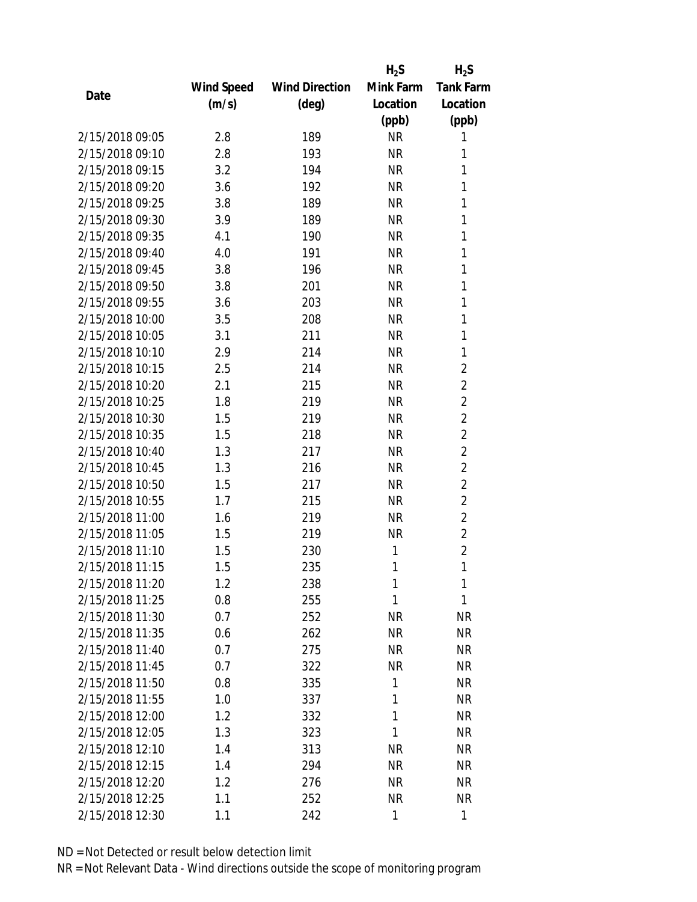|                 |            |                       | $H_2S$    | $H_2S$           |
|-----------------|------------|-----------------------|-----------|------------------|
|                 | Wind Speed | <b>Wind Direction</b> | Mink Farm | <b>Tank Farm</b> |
| Date            | (m/s)      | (deg)                 | Location  | Location         |
|                 |            |                       | (ppb)     | (ppb)            |
| 2/15/2018 09:05 | 2.8        | 189                   | <b>NR</b> | 1                |
| 2/15/2018 09:10 | 2.8        | 193                   | <b>NR</b> | 1                |
| 2/15/2018 09:15 | 3.2        | 194                   | <b>NR</b> | 1                |
| 2/15/2018 09:20 | 3.6        | 192                   | <b>NR</b> | 1                |
| 2/15/2018 09:25 | 3.8        | 189                   | <b>NR</b> | 1                |
| 2/15/2018 09:30 | 3.9        | 189                   | <b>NR</b> | 1                |
| 2/15/2018 09:35 | 4.1        | 190                   | <b>NR</b> | 1                |
| 2/15/2018 09:40 | 4.0        | 191                   | <b>NR</b> | 1                |
| 2/15/2018 09:45 | 3.8        | 196                   | <b>NR</b> | 1                |
| 2/15/2018 09:50 | 3.8        | 201                   | <b>NR</b> | 1                |
| 2/15/2018 09:55 | 3.6        | 203                   | <b>NR</b> | 1                |
| 2/15/2018 10:00 | 3.5        | 208                   | <b>NR</b> | 1                |
| 2/15/2018 10:05 | 3.1        | 211                   | <b>NR</b> | 1                |
| 2/15/2018 10:10 | 2.9        | 214                   | <b>NR</b> | 1                |
| 2/15/2018 10:15 | 2.5        | 214                   | <b>NR</b> | $\overline{2}$   |
| 2/15/2018 10:20 | 2.1        | 215                   | <b>NR</b> | $\overline{2}$   |
| 2/15/2018 10:25 | 1.8        | 219                   | <b>NR</b> | $\overline{2}$   |
| 2/15/2018 10:30 | 1.5        | 219                   | <b>NR</b> | $\overline{2}$   |
| 2/15/2018 10:35 | 1.5        | 218                   | <b>NR</b> | $\overline{2}$   |
| 2/15/2018 10:40 | 1.3        | 217                   | <b>NR</b> | $\overline{2}$   |
| 2/15/2018 10:45 | 1.3        | 216                   | <b>NR</b> | $\overline{2}$   |
| 2/15/2018 10:50 | 1.5        | 217                   | <b>NR</b> | $\overline{2}$   |
| 2/15/2018 10:55 | 1.7        | 215                   | <b>NR</b> | $\overline{2}$   |
| 2/15/2018 11:00 | 1.6        | 219                   | <b>NR</b> | $\overline{2}$   |
| 2/15/2018 11:05 | 1.5        | 219                   | <b>NR</b> | $\overline{2}$   |
| 2/15/2018 11:10 | 1.5        | 230                   | 1         | $\overline{2}$   |
| 2/15/2018 11:15 | 1.5        | 235                   | 1         | 1                |
| 2/15/2018 11:20 | 1.2        | 238                   | 1         | 1                |
| 2/15/2018 11:25 | 0.8        | 255                   | 1         | 1                |
| 2/15/2018 11:30 | 0.7        | 252                   | NR        | <b>NR</b>        |
| 2/15/2018 11:35 | 0.6        | 262                   | <b>NR</b> | <b>NR</b>        |
| 2/15/2018 11:40 | 0.7        | 275                   | <b>NR</b> | <b>NR</b>        |
| 2/15/2018 11:45 | 0.7        | 322                   | <b>NR</b> | <b>NR</b>        |
| 2/15/2018 11:50 | 0.8        | 335                   | 1         | <b>NR</b>        |
| 2/15/2018 11:55 | 1.0        | 337                   | 1         | <b>NR</b>        |
| 2/15/2018 12:00 | 1.2        | 332                   | 1         | <b>NR</b>        |
| 2/15/2018 12:05 | 1.3        | 323                   | 1         | <b>NR</b>        |
| 2/15/2018 12:10 | 1.4        | 313                   | <b>NR</b> | <b>NR</b>        |
| 2/15/2018 12:15 | 1.4        | 294                   | <b>NR</b> | <b>NR</b>        |
| 2/15/2018 12:20 | 1.2        | 276                   | NR        | <b>NR</b>        |
| 2/15/2018 12:25 | 1.1        | 252                   | <b>NR</b> | NR               |
| 2/15/2018 12:30 | 1.1        | 242                   | 1         | 1                |
|                 |            |                       |           |                  |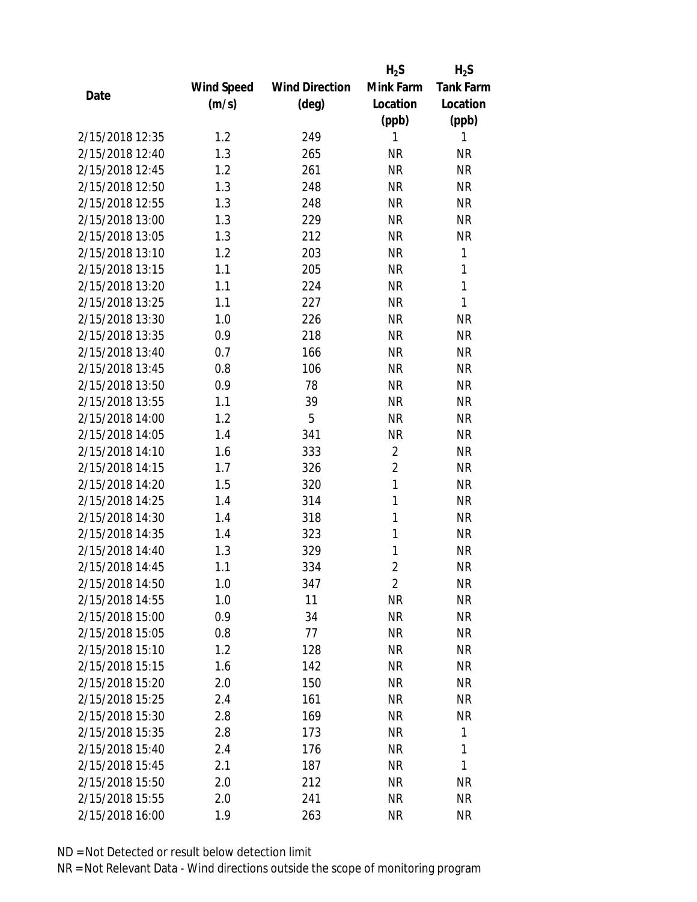|                 |            |                       | $H_2S$         | $H_2S$           |
|-----------------|------------|-----------------------|----------------|------------------|
|                 | Wind Speed | <b>Wind Direction</b> | Mink Farm      | <b>Tank Farm</b> |
| Date            | (m/s)      | (deg)                 | Location       | Location         |
|                 |            |                       | (ppb)          | (ppb)            |
| 2/15/2018 12:35 | 1.2        | 249                   | 1              | 1                |
| 2/15/2018 12:40 | 1.3        | 265                   | <b>NR</b>      | <b>NR</b>        |
| 2/15/2018 12:45 | 1.2        | 261                   | <b>NR</b>      | <b>NR</b>        |
| 2/15/2018 12:50 | 1.3        | 248                   | <b>NR</b>      | <b>NR</b>        |
| 2/15/2018 12:55 | 1.3        | 248                   | <b>NR</b>      | <b>NR</b>        |
| 2/15/2018 13:00 | 1.3        | 229                   | <b>NR</b>      | <b>NR</b>        |
| 2/15/2018 13:05 | 1.3        | 212                   | <b>NR</b>      | <b>NR</b>        |
| 2/15/2018 13:10 | 1.2        | 203                   | <b>NR</b>      | $\mathbf{1}$     |
| 2/15/2018 13:15 | 1.1        | 205                   | <b>NR</b>      | $\mathbf{1}$     |
| 2/15/2018 13:20 | 1.1        | 224                   | <b>NR</b>      | $\mathbf{1}$     |
| 2/15/2018 13:25 | 1.1        | 227                   | <b>NR</b>      | 1                |
| 2/15/2018 13:30 | 1.0        | 226                   | <b>NR</b>      | <b>NR</b>        |
| 2/15/2018 13:35 | 0.9        | 218                   | <b>NR</b>      | <b>NR</b>        |
| 2/15/2018 13:40 | 0.7        | 166                   | <b>NR</b>      | <b>NR</b>        |
| 2/15/2018 13:45 | 0.8        | 106                   | <b>NR</b>      | <b>NR</b>        |
| 2/15/2018 13:50 | 0.9        | 78                    | <b>NR</b>      | <b>NR</b>        |
| 2/15/2018 13:55 | 1.1        | 39                    | <b>NR</b>      | <b>NR</b>        |
| 2/15/2018 14:00 | 1.2        | 5                     | <b>NR</b>      | <b>NR</b>        |
| 2/15/2018 14:05 | 1.4        | 341                   | <b>NR</b>      | <b>NR</b>        |
| 2/15/2018 14:10 | 1.6        | 333                   | $\overline{2}$ | <b>NR</b>        |
| 2/15/2018 14:15 | 1.7        | 326                   | $\overline{2}$ | <b>NR</b>        |
| 2/15/2018 14:20 | 1.5        | 320                   | 1              | <b>NR</b>        |
| 2/15/2018 14:25 | 1.4        | 314                   | 1              | <b>NR</b>        |
| 2/15/2018 14:30 | 1.4        | 318                   | 1              | <b>NR</b>        |
| 2/15/2018 14:35 | 1.4        | 323                   | 1              | <b>NR</b>        |
| 2/15/2018 14:40 | 1.3        | 329                   | 1              | <b>NR</b>        |
| 2/15/2018 14:45 | 1.1        | 334                   | $\overline{2}$ | <b>NR</b>        |
| 2/15/2018 14:50 | 1.0        | 347                   | $\overline{2}$ | <b>NR</b>        |
| 2/15/2018 14:55 | 1.0        | 11                    | <b>NR</b>      | <b>NR</b>        |
| 2/15/2018 15:00 | 0.9        | 34                    | <b>NR</b>      | <b>NR</b>        |
| 2/15/2018 15:05 | 0.8        | 77                    | <b>NR</b>      | <b>NR</b>        |
| 2/15/2018 15:10 | 1.2        | 128                   | <b>NR</b>      | NR               |
| 2/15/2018 15:15 | 1.6        | 142                   | <b>NR</b>      | <b>NR</b>        |
| 2/15/2018 15:20 | 2.0        | 150                   | <b>NR</b>      | <b>NR</b>        |
| 2/15/2018 15:25 | 2.4        | 161                   | NR             | <b>NR</b>        |
| 2/15/2018 15:30 | 2.8        | 169                   | <b>NR</b>      | <b>NR</b>        |
| 2/15/2018 15:35 | 2.8        | 173                   | <b>NR</b>      | 1                |
| 2/15/2018 15:40 | 2.4        | 176                   | NR             | 1                |
| 2/15/2018 15:45 | 2.1        | 187                   | <b>NR</b>      | 1                |
| 2/15/2018 15:50 | 2.0        | 212                   | NR             | <b>NR</b>        |
| 2/15/2018 15:55 | 2.0        | 241                   | <b>NR</b>      | <b>NR</b>        |
| 2/15/2018 16:00 | 1.9        | 263                   | <b>NR</b>      | <b>NR</b>        |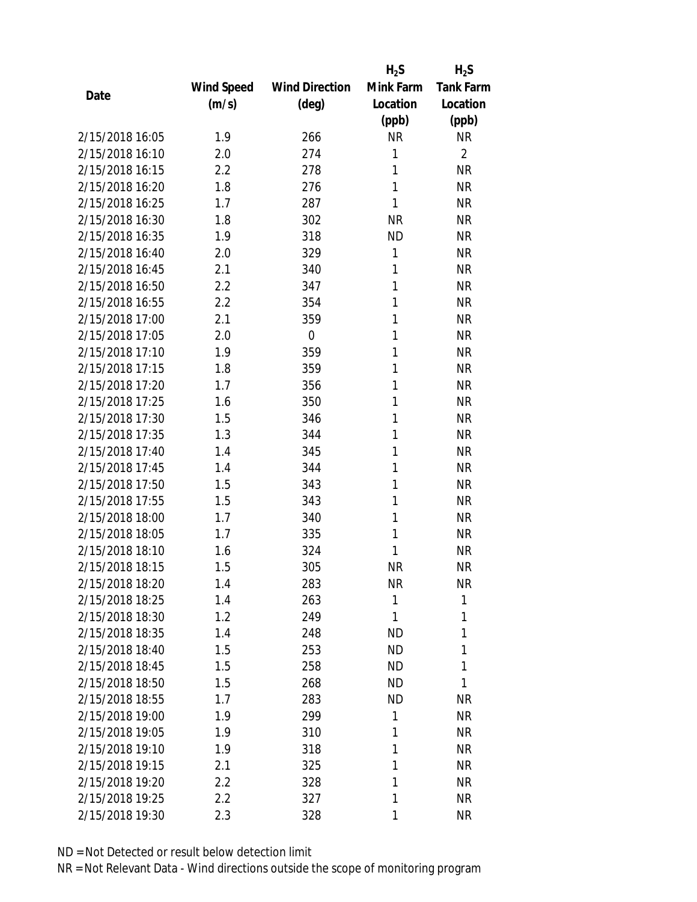|                 |            |                       | $H_2S$       | $H_2S$           |
|-----------------|------------|-----------------------|--------------|------------------|
|                 | Wind Speed | <b>Wind Direction</b> | Mink Farm    | <b>Tank Farm</b> |
| Date            | (m/s)      | (deg)                 | Location     | Location         |
|                 |            |                       | (ppb)        | (ppb)            |
| 2/15/2018 16:05 | 1.9        | 266                   | <b>NR</b>    | <b>NR</b>        |
| 2/15/2018 16:10 | 2.0        | 274                   | 1            | $\overline{2}$   |
| 2/15/2018 16:15 | 2.2        | 278                   | 1            | <b>NR</b>        |
| 2/15/2018 16:20 | 1.8        | 276                   | 1            | <b>NR</b>        |
| 2/15/2018 16:25 | 1.7        | 287                   | 1            | <b>NR</b>        |
| 2/15/2018 16:30 | 1.8        | 302                   | <b>NR</b>    | <b>NR</b>        |
| 2/15/2018 16:35 | 1.9        | 318                   | <b>ND</b>    | <b>NR</b>        |
| 2/15/2018 16:40 | 2.0        | 329                   | 1            | <b>NR</b>        |
| 2/15/2018 16:45 | 2.1        | 340                   | 1            | <b>NR</b>        |
| 2/15/2018 16:50 | 2.2        | 347                   | 1            | <b>NR</b>        |
| 2/15/2018 16:55 | 2.2        | 354                   | 1            | <b>NR</b>        |
| 2/15/2018 17:00 | 2.1        | 359                   | 1            | <b>NR</b>        |
| 2/15/2018 17:05 | 2.0        | $\mathbf 0$           | 1            | <b>NR</b>        |
| 2/15/2018 17:10 | 1.9        | 359                   | 1            | <b>NR</b>        |
| 2/15/2018 17:15 | 1.8        | 359                   | 1            | <b>NR</b>        |
| 2/15/2018 17:20 | 1.7        | 356                   | 1            | <b>NR</b>        |
| 2/15/2018 17:25 | 1.6        | 350                   | 1            | <b>NR</b>        |
| 2/15/2018 17:30 | 1.5        | 346                   | 1            | <b>NR</b>        |
| 2/15/2018 17:35 | 1.3        | 344                   | 1            | <b>NR</b>        |
| 2/15/2018 17:40 | 1.4        | 345                   | 1            | <b>NR</b>        |
| 2/15/2018 17:45 | 1.4        | 344                   | 1            | <b>NR</b>        |
| 2/15/2018 17:50 | 1.5        | 343                   | 1            | <b>NR</b>        |
| 2/15/2018 17:55 | 1.5        | 343                   | 1            | <b>NR</b>        |
| 2/15/2018 18:00 | 1.7        | 340                   | 1            | <b>NR</b>        |
| 2/15/2018 18:05 | 1.7        | 335                   | 1            | <b>NR</b>        |
| 2/15/2018 18:10 | 1.6        | 324                   | 1            | <b>NR</b>        |
| 2/15/2018 18:15 | 1.5        | 305                   | <b>NR</b>    | <b>NR</b>        |
| 2/15/2018 18:20 | 1.4        | 283                   | ΝR           | ΝR               |
| 2/15/2018 18:25 | 1.4        | 263                   | $\mathbf{1}$ | 1                |
| 2/15/2018 18:30 | 1.2        | 249                   | 1            | 1                |
| 2/15/2018 18:35 | 1.4        | 248                   | <b>ND</b>    | 1                |
| 2/15/2018 18:40 | 1.5        | 253                   | <b>ND</b>    | 1                |
| 2/15/2018 18:45 | 1.5        | 258                   | <b>ND</b>    | 1                |
| 2/15/2018 18:50 | 1.5        | 268                   | <b>ND</b>    | 1                |
| 2/15/2018 18:55 | 1.7        | 283                   | <b>ND</b>    | <b>NR</b>        |
| 2/15/2018 19:00 | 1.9        | 299                   | 1            | <b>NR</b>        |
| 2/15/2018 19:05 | 1.9        | 310                   | 1            | <b>NR</b>        |
| 2/15/2018 19:10 | 1.9        | 318                   | 1            | <b>NR</b>        |
| 2/15/2018 19:15 | 2.1        | 325                   | 1            | <b>NR</b>        |
| 2/15/2018 19:20 | 2.2        | 328                   | 1            | <b>NR</b>        |
| 2/15/2018 19:25 | 2.2        | 327                   | 1            | <b>NR</b>        |
|                 |            |                       |              |                  |
| 2/15/2018 19:30 | 2.3        | 328                   | 1            | <b>NR</b>        |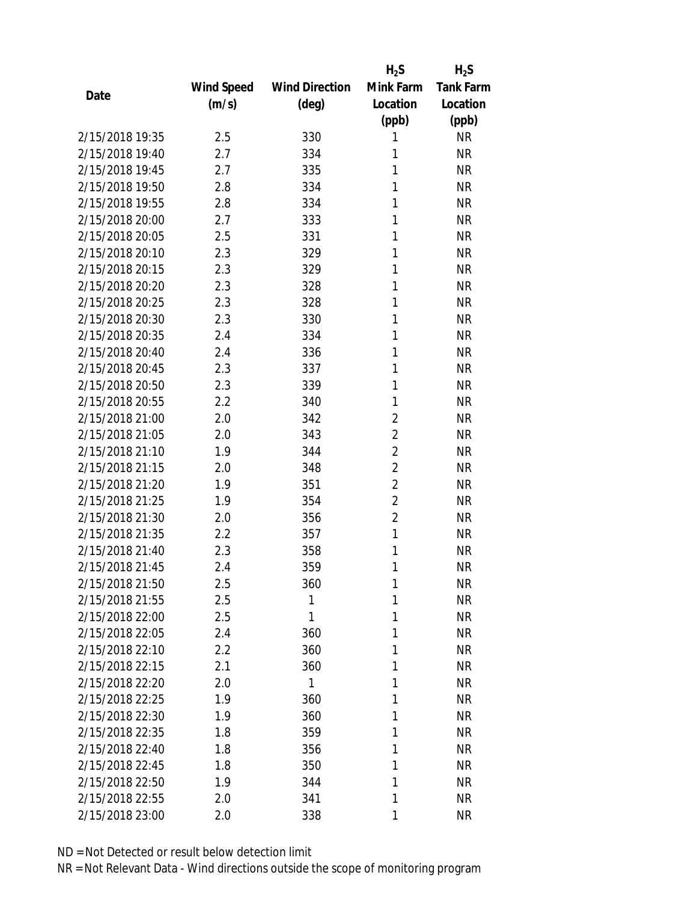|                 |            |                       | $H_2S$         | $H_2S$           |
|-----------------|------------|-----------------------|----------------|------------------|
|                 | Wind Speed | <b>Wind Direction</b> | Mink Farm      | <b>Tank Farm</b> |
| Date            | (m/s)      | $(\text{deg})$        | Location       | Location         |
|                 |            |                       | (ppb)          | (ppb)            |
| 2/15/2018 19:35 | 2.5        | 330                   | 1              | <b>NR</b>        |
| 2/15/2018 19:40 | 2.7        | 334                   | 1              | <b>NR</b>        |
| 2/15/2018 19:45 | 2.7        | 335                   | 1              | <b>NR</b>        |
| 2/15/2018 19:50 | 2.8        | 334                   | 1              | <b>NR</b>        |
| 2/15/2018 19:55 | 2.8        | 334                   | 1              | <b>NR</b>        |
| 2/15/2018 20:00 | 2.7        | 333                   | 1              | <b>NR</b>        |
| 2/15/2018 20:05 | 2.5        | 331                   | 1              | <b>NR</b>        |
| 2/15/2018 20:10 | 2.3        | 329                   | 1              | <b>NR</b>        |
| 2/15/2018 20:15 | 2.3        | 329                   | 1              | <b>NR</b>        |
| 2/15/2018 20:20 | 2.3        | 328                   | 1              | <b>NR</b>        |
| 2/15/2018 20:25 | 2.3        | 328                   | 1              | <b>NR</b>        |
| 2/15/2018 20:30 | 2.3        | 330                   | 1              | <b>NR</b>        |
| 2/15/2018 20:35 | 2.4        | 334                   | 1              | <b>NR</b>        |
| 2/15/2018 20:40 | 2.4        | 336                   | 1              | <b>NR</b>        |
| 2/15/2018 20:45 | 2.3        | 337                   | 1              | <b>NR</b>        |
| 2/15/2018 20:50 | 2.3        | 339                   | 1              | <b>NR</b>        |
| 2/15/2018 20:55 | 2.2        | 340                   | 1              | <b>NR</b>        |
| 2/15/2018 21:00 | 2.0        | 342                   | $\overline{2}$ | <b>NR</b>        |
| 2/15/2018 21:05 | 2.0        | 343                   | 2              | <b>NR</b>        |
| 2/15/2018 21:10 | 1.9        | 344                   | $\overline{2}$ | <b>NR</b>        |
| 2/15/2018 21:15 | 2.0        | 348                   | $\overline{2}$ | <b>NR</b>        |
| 2/15/2018 21:20 | 1.9        | 351                   | $\overline{2}$ | <b>NR</b>        |
| 2/15/2018 21:25 | 1.9        | 354                   | $\overline{2}$ | <b>NR</b>        |
| 2/15/2018 21:30 | 2.0        | 356                   | $\overline{2}$ | <b>NR</b>        |
| 2/15/2018 21:35 | 2.2        | 357                   | 1              | <b>NR</b>        |
| 2/15/2018 21:40 | 2.3        | 358                   | 1              | <b>NR</b>        |
| 2/15/2018 21:45 | 2.4        | 359                   | 1              | <b>NR</b>        |
| 2/15/2018 21:50 | 2.5        | 360                   | 1              | <b>NR</b>        |
| 2/15/2018 21:55 | 2.5        | 1                     | 1              | <b>NR</b>        |
| 2/15/2018 22:00 | 2.5        | 1                     | 1              | <b>NR</b>        |
| 2/15/2018 22:05 | 2.4        | 360                   | 1              | <b>NR</b>        |
| 2/15/2018 22:10 | 2.2        | 360                   | 1              | <b>NR</b>        |
| 2/15/2018 22:15 | 2.1        | 360                   | 1              | <b>NR</b>        |
| 2/15/2018 22:20 | 2.0        | $\mathbf{1}$          | 1              | <b>NR</b>        |
| 2/15/2018 22:25 | 1.9        | 360                   | 1              | <b>NR</b>        |
| 2/15/2018 22:30 | 1.9        | 360                   | 1              | <b>NR</b>        |
| 2/15/2018 22:35 | 1.8        | 359                   | 1              | <b>NR</b>        |
| 2/15/2018 22:40 | 1.8        | 356                   | 1              | <b>NR</b>        |
| 2/15/2018 22:45 | 1.8        | 350                   | 1              | <b>NR</b>        |
| 2/15/2018 22:50 | 1.9        | 344                   | 1              | <b>NR</b>        |
| 2/15/2018 22:55 | 2.0        | 341                   | 1              | <b>NR</b>        |
| 2/15/2018 23:00 | 2.0        | 338                   | 1              | <b>NR</b>        |
|                 |            |                       |                |                  |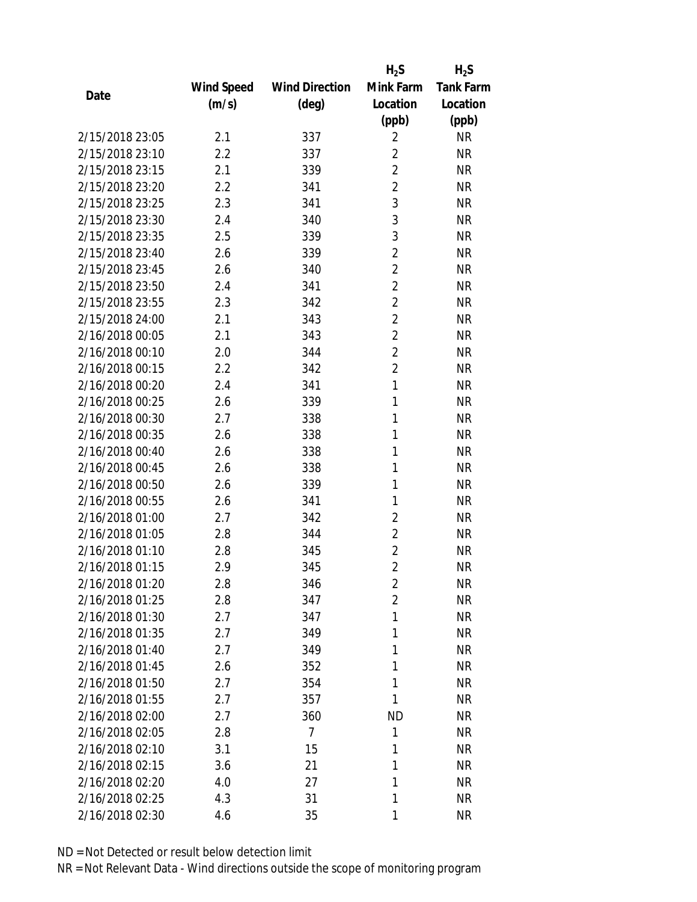|                                    |            |                       | $H_2S$         | $H_2S$           |
|------------------------------------|------------|-----------------------|----------------|------------------|
|                                    | Wind Speed | <b>Wind Direction</b> | Mink Farm      | <b>Tank Farm</b> |
| Date                               | (m/s)      | (deg)                 | Location       | Location         |
|                                    |            |                       | (ppb)          | (ppb)            |
| 2/15/2018 23:05                    | 2.1        | 337                   | $\overline{2}$ | NR               |
| 2/15/2018 23:10                    | 2.2        | 337                   | $\overline{2}$ | <b>NR</b>        |
| 2/15/2018 23:15                    | 2.1        | 339                   | $\overline{2}$ | <b>NR</b>        |
| 2/15/2018 23:20                    | 2.2        | 341                   | $\overline{c}$ | <b>NR</b>        |
| 2/15/2018 23:25                    | 2.3        | 341                   | 3              | <b>NR</b>        |
| 2/15/2018 23:30                    | 2.4        | 340                   | 3              | <b>NR</b>        |
| 2/15/2018 23:35                    | 2.5        | 339                   | 3              | <b>NR</b>        |
| 2/15/2018 23:40                    | 2.6        | 339                   | $\overline{2}$ | <b>NR</b>        |
| 2/15/2018 23:45                    | 2.6        | 340                   | $\overline{2}$ | <b>NR</b>        |
| 2/15/2018 23:50                    | 2.4        | 341                   | $\overline{2}$ | <b>NR</b>        |
| 2/15/2018 23:55                    | 2.3        | 342                   | $\overline{2}$ | <b>NR</b>        |
| 2/15/2018 24:00                    | 2.1        | 343                   | 2              | <b>NR</b>        |
| 2/16/2018 00:05                    | 2.1        | 343                   | $\overline{2}$ | <b>NR</b>        |
| 2/16/2018 00:10                    | 2.0        | 344                   | $\overline{2}$ | <b>NR</b>        |
| 2/16/2018 00:15                    | 2.2        | 342                   | $\overline{2}$ | <b>NR</b>        |
| 2/16/2018 00:20                    | 2.4        | 341                   | 1              | <b>NR</b>        |
| 2/16/2018 00:25                    | 2.6        | 339                   | 1              | <b>NR</b>        |
| 2/16/2018 00:30                    | 2.7        | 338                   | 1              | <b>NR</b>        |
| 2/16/2018 00:35                    | 2.6        | 338                   | 1              | <b>NR</b>        |
| 2/16/2018 00:40                    | 2.6        | 338                   | 1              | <b>NR</b>        |
| 2/16/2018 00:45                    | 2.6        | 338                   | 1              | <b>NR</b>        |
| 2/16/2018 00:50                    | 2.6        | 339                   | 1              | <b>NR</b>        |
| 2/16/2018 00:55                    | 2.6        | 341                   | 1              | <b>NR</b>        |
| 2/16/2018 01:00                    | 2.7        | 342                   | 2              | <b>NR</b>        |
| 2/16/2018 01:05                    | 2.8        | 344                   | $\overline{2}$ | <b>NR</b>        |
| 2/16/2018 01:10                    | 2.8        | 345                   | 2              | <b>NR</b>        |
| 2/16/2018 01:15                    | 2.9        | 345                   | $\overline{2}$ | <b>NR</b>        |
| 2/16/2018 01:20                    | 2.8        | 346                   | 2              | <b>NR</b>        |
| 2/16/2018 01:25                    | 2.8        | 347                   | $\overline{c}$ | <b>NR</b>        |
| 2/16/2018 01:30                    | 2.7        | 347                   | 1              | <b>NR</b>        |
| 2/16/2018 01:35                    | 2.7        | 349                   | 1              | <b>NR</b>        |
| 2/16/2018 01:40                    | 2.7        | 349                   | 1              | <b>NR</b>        |
| 2/16/2018 01:45                    | 2.6        |                       | 1              | <b>NR</b>        |
| 2/16/2018 01:50                    | 2.7        | 352<br>354            | 1              | <b>NR</b>        |
|                                    |            |                       | 1              |                  |
| 2/16/2018 01:55<br>2/16/2018 02:00 | 2.7        | 357                   |                | <b>NR</b>        |
|                                    | 2.7        | 360                   | <b>ND</b>      | NR               |
| 2/16/2018 02:05                    | 2.8        | $\overline{7}$        | 1              | <b>NR</b>        |
| 2/16/2018 02:10                    | 3.1        | 15                    | 1              | NR               |
| 2/16/2018 02:15                    | 3.6        | 21                    | 1              | <b>NR</b>        |
| 2/16/2018 02:20                    | 4.0        | 27                    | 1              | <b>NR</b>        |
| 2/16/2018 02:25                    | 4.3        | 31                    | 1              | NR               |
| 2/16/2018 02:30                    | 4.6        | 35                    | 1              | <b>NR</b>        |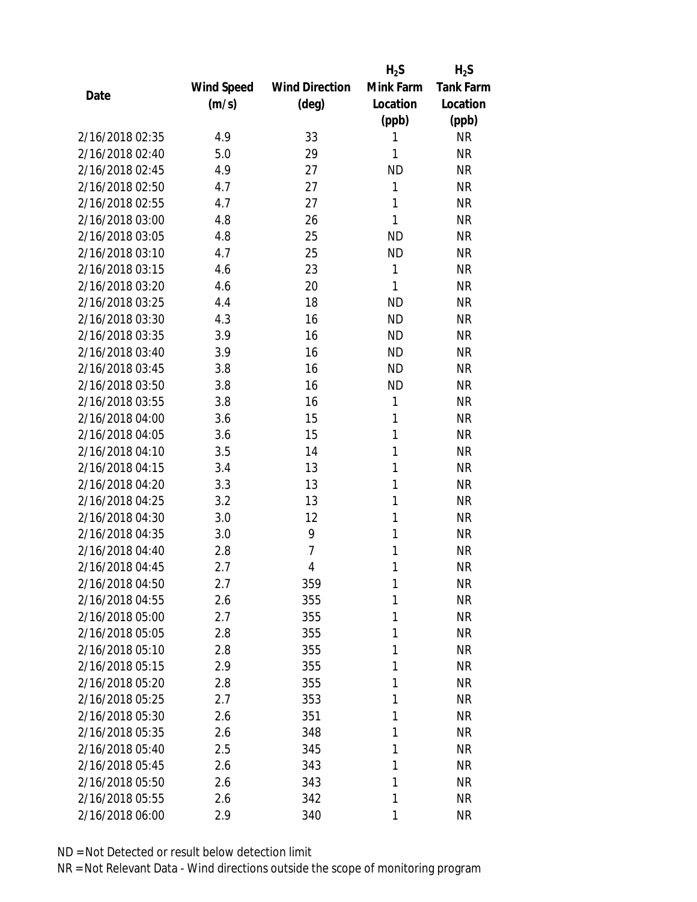|                 |            |                       | $H_2S$       | $H_2S$           |
|-----------------|------------|-----------------------|--------------|------------------|
|                 | Wind Speed | <b>Wind Direction</b> | Mink Farm    | <b>Tank Farm</b> |
| Date            | (m/s)      | $(\text{deg})$        | Location     | Location         |
|                 |            |                       | (ppb)        | (ppb)            |
| 2/16/2018 02:35 | 4.9        | 33                    | 1            | <b>NR</b>        |
| 2/16/2018 02:40 | 5.0        | 29                    | 1            | <b>NR</b>        |
| 2/16/2018 02:45 | 4.9        | 27                    | <b>ND</b>    | <b>NR</b>        |
| 2/16/2018 02:50 | 4.7        | 27                    | 1            | <b>NR</b>        |
| 2/16/2018 02:55 | 4.7        | 27                    | 1            | <b>NR</b>        |
| 2/16/2018 03:00 | 4.8        | 26                    | 1            | <b>NR</b>        |
| 2/16/2018 03:05 | 4.8        | 25                    | <b>ND</b>    | <b>NR</b>        |
| 2/16/2018 03:10 | 4.7        | 25                    | <b>ND</b>    | <b>NR</b>        |
| 2/16/2018 03:15 | 4.6        | 23                    | $\mathbf{1}$ | <b>NR</b>        |
| 2/16/2018 03:20 | 4.6        | 20                    | 1            | <b>NR</b>        |
| 2/16/2018 03:25 | 4.4        | 18                    | <b>ND</b>    | <b>NR</b>        |
| 2/16/2018 03:30 | 4.3        | 16                    | <b>ND</b>    | <b>NR</b>        |
| 2/16/2018 03:35 | 3.9        | 16                    | <b>ND</b>    | <b>NR</b>        |
| 2/16/2018 03:40 | 3.9        | 16                    | <b>ND</b>    | <b>NR</b>        |
| 2/16/2018 03:45 | 3.8        | 16                    | <b>ND</b>    | <b>NR</b>        |
| 2/16/2018 03:50 | 3.8        | 16                    | <b>ND</b>    | <b>NR</b>        |
| 2/16/2018 03:55 | 3.8        | 16                    | 1            | <b>NR</b>        |
| 2/16/2018 04:00 | 3.6        | 15                    | 1            | <b>NR</b>        |
| 2/16/2018 04:05 | 3.6        | 15                    | 1            | <b>NR</b>        |
| 2/16/2018 04:10 | 3.5        | 14                    | 1            | <b>NR</b>        |
| 2/16/2018 04:15 | 3.4        | 13                    | 1            | <b>NR</b>        |
| 2/16/2018 04:20 | 3.3        | 13                    | 1            | <b>NR</b>        |
| 2/16/2018 04:25 | 3.2        | 13                    | 1            | <b>NR</b>        |
| 2/16/2018 04:30 | 3.0        | 12                    | 1            | <b>NR</b>        |
| 2/16/2018 04:35 | 3.0        | 9                     | 1            | <b>NR</b>        |
| 2/16/2018 04:40 | 2.8        | $\overline{7}$        | 1            | <b>NR</b>        |
| 2/16/2018 04:45 | 2.7        | $\overline{4}$        | 1            | <b>NR</b>        |
| 2/16/2018 04:50 | 2.7        | 359                   | 1            | <b>NR</b>        |
| 2/16/2018 04:55 | 2.6        | 355                   | 1            | <b>NR</b>        |
| 2/16/2018 05:00 | 2.7        | 355                   | 1            | <b>NR</b>        |
| 2/16/2018 05:05 | 2.8        | 355                   | 1            | <b>NR</b>        |
| 2/16/2018 05:10 | 2.8        | 355                   | 1            | <b>NR</b>        |
| 2/16/2018 05:15 | 2.9        | 355                   | 1            | <b>NR</b>        |
| 2/16/2018 05:20 | 2.8        | 355                   | 1            | <b>NR</b>        |
| 2/16/2018 05:25 | 2.7        | 353                   | 1            | <b>NR</b>        |
| 2/16/2018 05:30 | 2.6        | 351                   | 1            | <b>NR</b>        |
| 2/16/2018 05:35 | 2.6        | 348                   | 1            | <b>NR</b>        |
| 2/16/2018 05:40 | 2.5        | 345                   | 1            | <b>NR</b>        |
| 2/16/2018 05:45 | 2.6        | 343                   | 1            | <b>NR</b>        |
| 2/16/2018 05:50 | 2.6        | 343                   | 1            | <b>NR</b>        |
| 2/16/2018 05:55 | 2.6        | 342                   | 1            | <b>NR</b>        |
| 2/16/2018 06:00 | 2.9        | 340                   | 1            | <b>NR</b>        |
|                 |            |                       |              |                  |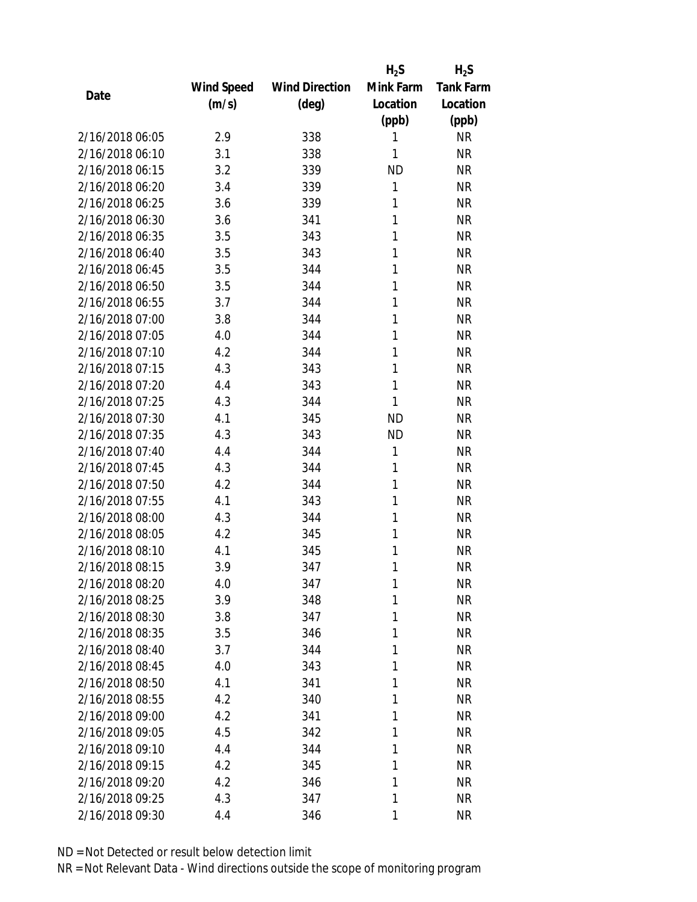|                 |            |                       | $H_2S$    | $H_2S$           |
|-----------------|------------|-----------------------|-----------|------------------|
|                 | Wind Speed | <b>Wind Direction</b> | Mink Farm | <b>Tank Farm</b> |
| Date            | (m/s)      | (deg)                 | Location  | Location         |
|                 |            |                       | (ppb)     | (ppb)            |
| 2/16/2018 06:05 | 2.9        | 338                   | 1         | <b>NR</b>        |
| 2/16/2018 06:10 | 3.1        | 338                   | 1         | <b>NR</b>        |
| 2/16/2018 06:15 | 3.2        | 339                   | <b>ND</b> | <b>NR</b>        |
| 2/16/2018 06:20 | 3.4        | 339                   | 1         | <b>NR</b>        |
| 2/16/2018 06:25 | 3.6        | 339                   | 1         | <b>NR</b>        |
| 2/16/2018 06:30 | 3.6        | 341                   | 1         | <b>NR</b>        |
| 2/16/2018 06:35 | 3.5        | 343                   | 1         | <b>NR</b>        |
| 2/16/2018 06:40 | 3.5        | 343                   | 1         | <b>NR</b>        |
| 2/16/2018 06:45 | 3.5        | 344                   | 1         | <b>NR</b>        |
| 2/16/2018 06:50 | 3.5        | 344                   | 1         | <b>NR</b>        |
| 2/16/2018 06:55 | 3.7        | 344                   | 1         | <b>NR</b>        |
| 2/16/2018 07:00 | 3.8        | 344                   | 1         | <b>NR</b>        |
| 2/16/2018 07:05 | 4.0        | 344                   | 1         | <b>NR</b>        |
| 2/16/2018 07:10 | 4.2        | 344                   | 1         | <b>NR</b>        |
| 2/16/2018 07:15 | 4.3        | 343                   | 1         | <b>NR</b>        |
| 2/16/2018 07:20 | 4.4        | 343                   | 1         | <b>NR</b>        |
| 2/16/2018 07:25 | 4.3        | 344                   | 1         | <b>NR</b>        |
| 2/16/2018 07:30 | 4.1        | 345                   | <b>ND</b> | <b>NR</b>        |
| 2/16/2018 07:35 | 4.3        | 343                   | <b>ND</b> | <b>NR</b>        |
| 2/16/2018 07:40 | 4.4        | 344                   | 1         | <b>NR</b>        |
| 2/16/2018 07:45 | 4.3        | 344                   | 1         | <b>NR</b>        |
| 2/16/2018 07:50 | 4.2        | 344                   | 1         | <b>NR</b>        |
| 2/16/2018 07:55 | 4.1        | 343                   | 1         | <b>NR</b>        |
| 2/16/2018 08:00 | 4.3        | 344                   | 1         | <b>NR</b>        |
| 2/16/2018 08:05 | 4.2        | 345                   | 1         | <b>NR</b>        |
| 2/16/2018 08:10 | 4.1        | 345                   | 1         | <b>NR</b>        |
| 2/16/2018 08:15 | 3.9        | 347                   | 1         | <b>NR</b>        |
| 2/16/2018 08:20 | 4.0        | 347                   | 1         | <b>NR</b>        |
| 2/16/2018 08:25 | 3.9        | 348                   | 1         | <b>NR</b>        |
| 2/16/2018 08:30 | 3.8        | 347                   | 1         | <b>NR</b>        |
| 2/16/2018 08:35 | 3.5        | 346                   | 1         | <b>NR</b>        |
| 2/16/2018 08:40 | 3.7        | 344                   | 1         | <b>NR</b>        |
| 2/16/2018 08:45 | 4.0        | 343                   | 1         | <b>NR</b>        |
| 2/16/2018 08:50 | 4.1        | 341                   | 1         | <b>NR</b>        |
| 2/16/2018 08:55 | 4.2        | 340                   | 1         | <b>NR</b>        |
| 2/16/2018 09:00 | 4.2        | 341                   | 1         | <b>NR</b>        |
| 2/16/2018 09:05 | 4.5        | 342                   | 1         | <b>NR</b>        |
| 2/16/2018 09:10 | 4.4        | 344                   | 1         | <b>NR</b>        |
| 2/16/2018 09:15 | 4.2        | 345                   | 1         | <b>NR</b>        |
| 2/16/2018 09:20 | 4.2        | 346                   | 1         | <b>NR</b>        |
| 2/16/2018 09:25 | 4.3        | 347                   | 1         | <b>NR</b>        |
| 2/16/2018 09:30 | 4.4        | 346                   | 1         | <b>NR</b>        |
|                 |            |                       |           |                  |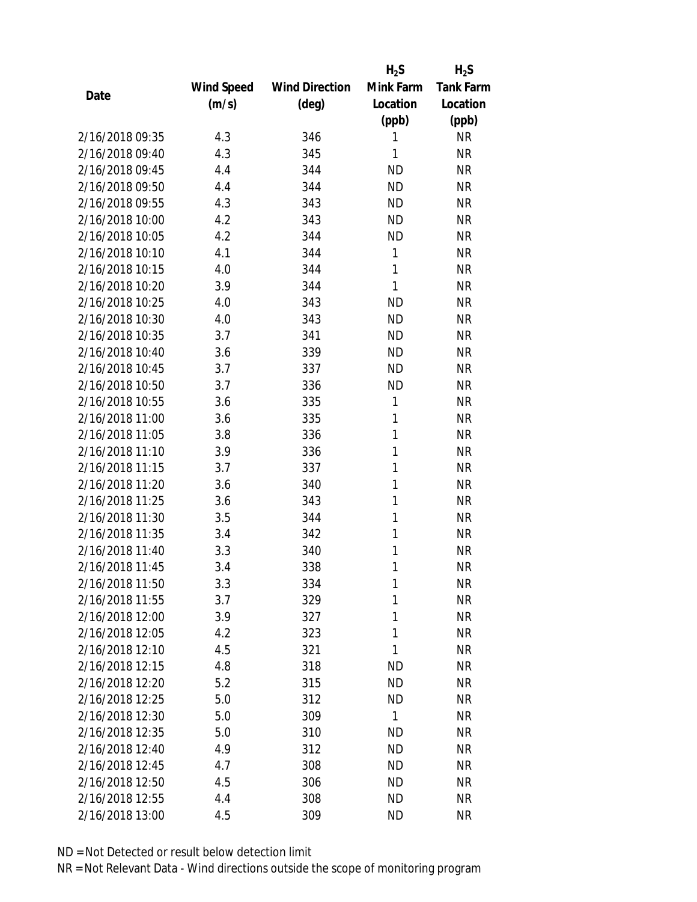|                 |            |                       | $H_2S$    | $H_2S$           |
|-----------------|------------|-----------------------|-----------|------------------|
|                 | Wind Speed | <b>Wind Direction</b> | Mink Farm | <b>Tank Farm</b> |
| Date            | (m/s)      | $(\text{deg})$        | Location  | Location         |
|                 |            |                       | (ppb)     | (ppb)            |
| 2/16/2018 09:35 | 4.3        | 346                   | 1         | <b>NR</b>        |
| 2/16/2018 09:40 | 4.3        | 345                   | 1         | <b>NR</b>        |
| 2/16/2018 09:45 | 4.4        | 344                   | <b>ND</b> | <b>NR</b>        |
| 2/16/2018 09:50 | 4.4        | 344                   | <b>ND</b> | <b>NR</b>        |
| 2/16/2018 09:55 | 4.3        | 343                   | <b>ND</b> | <b>NR</b>        |
| 2/16/2018 10:00 | 4.2        | 343                   | <b>ND</b> | <b>NR</b>        |
| 2/16/2018 10:05 | 4.2        | 344                   | <b>ND</b> | <b>NR</b>        |
| 2/16/2018 10:10 | 4.1        | 344                   | 1         | <b>NR</b>        |
| 2/16/2018 10:15 | 4.0        | 344                   | 1         | <b>NR</b>        |
| 2/16/2018 10:20 | 3.9        | 344                   | 1         | <b>NR</b>        |
| 2/16/2018 10:25 | 4.0        | 343                   | <b>ND</b> | <b>NR</b>        |
| 2/16/2018 10:30 | 4.0        | 343                   | <b>ND</b> | <b>NR</b>        |
| 2/16/2018 10:35 | 3.7        | 341                   | <b>ND</b> | <b>NR</b>        |
| 2/16/2018 10:40 | 3.6        | 339                   | <b>ND</b> | <b>NR</b>        |
| 2/16/2018 10:45 | 3.7        | 337                   | <b>ND</b> | <b>NR</b>        |
| 2/16/2018 10:50 | 3.7        | 336                   | <b>ND</b> | <b>NR</b>        |
| 2/16/2018 10:55 | 3.6        | 335                   | 1         | <b>NR</b>        |
| 2/16/2018 11:00 | 3.6        | 335                   | 1         | <b>NR</b>        |
| 2/16/2018 11:05 | 3.8        | 336                   | 1         | <b>NR</b>        |
| 2/16/2018 11:10 | 3.9        | 336                   | 1         | <b>NR</b>        |
| 2/16/2018 11:15 | 3.7        | 337                   | 1         | <b>NR</b>        |
| 2/16/2018 11:20 | 3.6        | 340                   | 1         | <b>NR</b>        |
| 2/16/2018 11:25 | 3.6        | 343                   | 1         | <b>NR</b>        |
| 2/16/2018 11:30 | 3.5        | 344                   | 1         | <b>NR</b>        |
| 2/16/2018 11:35 | 3.4        | 342                   | 1         | <b>NR</b>        |
| 2/16/2018 11:40 | 3.3        | 340                   | 1         | <b>NR</b>        |
| 2/16/2018 11:45 | 3.4        | 338                   | 1         | <b>NR</b>        |
| 2/16/2018 11:50 | 3.3        | 334                   | 1         | <b>NR</b>        |
| 2/16/2018 11:55 | 3.7        | 329                   | 1         | <b>NR</b>        |
| 2/16/2018 12:00 | 3.9        | 327                   | 1         | <b>NR</b>        |
| 2/16/2018 12:05 | 4.2        | 323                   | 1         | <b>NR</b>        |
| 2/16/2018 12:10 | 4.5        | 321                   | 1         | <b>NR</b>        |
| 2/16/2018 12:15 | 4.8        | 318                   | <b>ND</b> | <b>NR</b>        |
| 2/16/2018 12:20 | 5.2        | 315                   | <b>ND</b> | <b>NR</b>        |
| 2/16/2018 12:25 | 5.0        | 312                   | <b>ND</b> | <b>NR</b>        |
| 2/16/2018 12:30 | 5.0        | 309                   | 1         | <b>NR</b>        |
| 2/16/2018 12:35 | 5.0        | 310                   | <b>ND</b> | <b>NR</b>        |
| 2/16/2018 12:40 | 4.9        | 312                   | <b>ND</b> | <b>NR</b>        |
| 2/16/2018 12:45 | 4.7        | 308                   | <b>ND</b> | <b>NR</b>        |
| 2/16/2018 12:50 | 4.5        | 306                   | <b>ND</b> | <b>NR</b>        |
| 2/16/2018 12:55 | 4.4        | 308                   | <b>ND</b> | <b>NR</b>        |
| 2/16/2018 13:00 | 4.5        | 309                   | <b>ND</b> | <b>NR</b>        |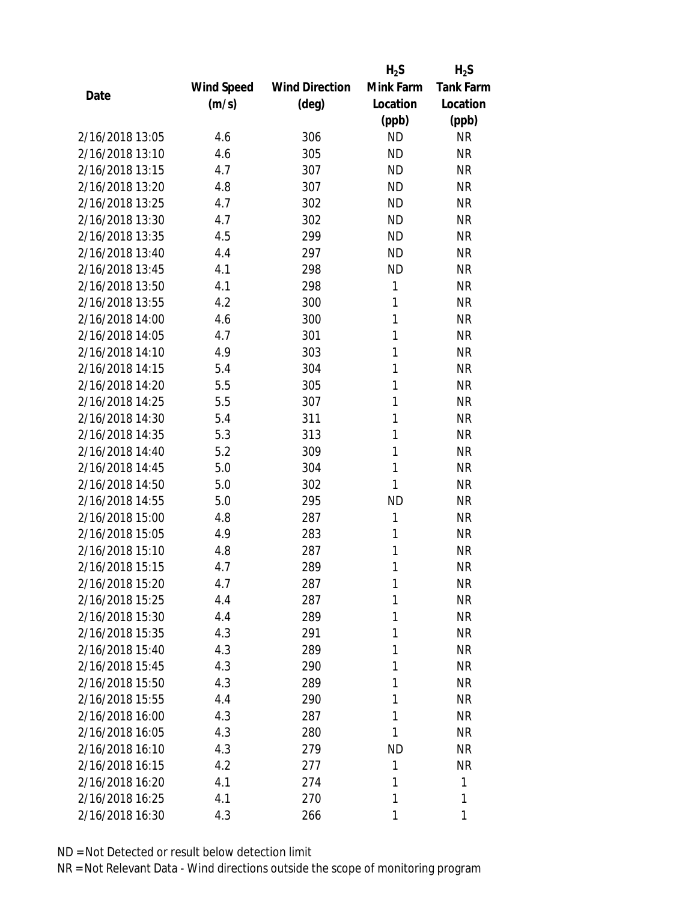|                 |            |                       | $H_2S$    | $H_2S$           |
|-----------------|------------|-----------------------|-----------|------------------|
|                 | Wind Speed | <b>Wind Direction</b> | Mink Farm | <b>Tank Farm</b> |
| Date            | (m/s)      | (deg)                 | Location  | Location         |
|                 |            |                       | (ppb)     | (ppb)            |
| 2/16/2018 13:05 | 4.6        | 306                   | <b>ND</b> | <b>NR</b>        |
| 2/16/2018 13:10 | 4.6        | 305                   | <b>ND</b> | <b>NR</b>        |
| 2/16/2018 13:15 | 4.7        | 307                   | <b>ND</b> | <b>NR</b>        |
| 2/16/2018 13:20 | 4.8        | 307                   | <b>ND</b> | <b>NR</b>        |
| 2/16/2018 13:25 | 4.7        | 302                   | <b>ND</b> | <b>NR</b>        |
| 2/16/2018 13:30 | 4.7        | 302                   | <b>ND</b> | <b>NR</b>        |
| 2/16/2018 13:35 | 4.5        | 299                   | <b>ND</b> | <b>NR</b>        |
| 2/16/2018 13:40 | 4.4        | 297                   | <b>ND</b> | <b>NR</b>        |
| 2/16/2018 13:45 | 4.1        | 298                   | <b>ND</b> | <b>NR</b>        |
| 2/16/2018 13:50 | 4.1        | 298                   | 1         | <b>NR</b>        |
| 2/16/2018 13:55 | 4.2        | 300                   | 1         | <b>NR</b>        |
| 2/16/2018 14:00 | 4.6        | 300                   | 1         | <b>NR</b>        |
| 2/16/2018 14:05 | 4.7        | 301                   | 1         | <b>NR</b>        |
| 2/16/2018 14:10 | 4.9        | 303                   | 1         | <b>NR</b>        |
| 2/16/2018 14:15 | 5.4        | 304                   | 1         | <b>NR</b>        |
| 2/16/2018 14:20 | 5.5        | 305                   | 1         | <b>NR</b>        |
| 2/16/2018 14:25 | 5.5        | 307                   | 1         | <b>NR</b>        |
| 2/16/2018 14:30 | 5.4        | 311                   | 1         | <b>NR</b>        |
| 2/16/2018 14:35 | 5.3        | 313                   | 1         | <b>NR</b>        |
| 2/16/2018 14:40 | 5.2        | 309                   | 1         | <b>NR</b>        |
| 2/16/2018 14:45 | 5.0        | 304                   | 1         | <b>NR</b>        |
| 2/16/2018 14:50 | 5.0        | 302                   | 1         | <b>NR</b>        |
| 2/16/2018 14:55 | 5.0        | 295                   | <b>ND</b> | <b>NR</b>        |
| 2/16/2018 15:00 | 4.8        | 287                   | 1         | <b>NR</b>        |
| 2/16/2018 15:05 | 4.9        | 283                   | 1         | <b>NR</b>        |
| 2/16/2018 15:10 | 4.8        | 287                   | 1         | <b>NR</b>        |
| 2/16/2018 15:15 | 4.7        | 289                   | 1         | <b>NR</b>        |
| 2/16/2018 15:20 | 4.7        | 287                   | 1         | <b>NR</b>        |
| 2/16/2018 15:25 | 4.4        | 287                   | 1         | <b>NR</b>        |
| 2/16/2018 15:30 | 4.4        | 289                   | 1         | <b>NR</b>        |
| 2/16/2018 15:35 | 4.3        | 291                   | 1         | <b>NR</b>        |
| 2/16/2018 15:40 | 4.3        | 289                   | 1         | <b>NR</b>        |
| 2/16/2018 15:45 | 4.3        | 290                   | 1         | <b>NR</b>        |
| 2/16/2018 15:50 | 4.3        | 289                   | 1         | <b>NR</b>        |
| 2/16/2018 15:55 | 4.4        | 290                   | 1         | <b>NR</b>        |
| 2/16/2018 16:00 | 4.3        | 287                   | 1         | <b>NR</b>        |
| 2/16/2018 16:05 | 4.3        | 280                   | 1         | <b>NR</b>        |
| 2/16/2018 16:10 | 4.3        | 279                   | <b>ND</b> | <b>NR</b>        |
| 2/16/2018 16:15 | 4.2        | 277                   | 1         | <b>NR</b>        |
| 2/16/2018 16:20 | 4.1        | 274                   | 1         | 1                |
| 2/16/2018 16:25 | 4.1        | 270                   | 1         | 1                |
| 2/16/2018 16:30 | 4.3        | 266                   | 1         | 1                |
|                 |            |                       |           |                  |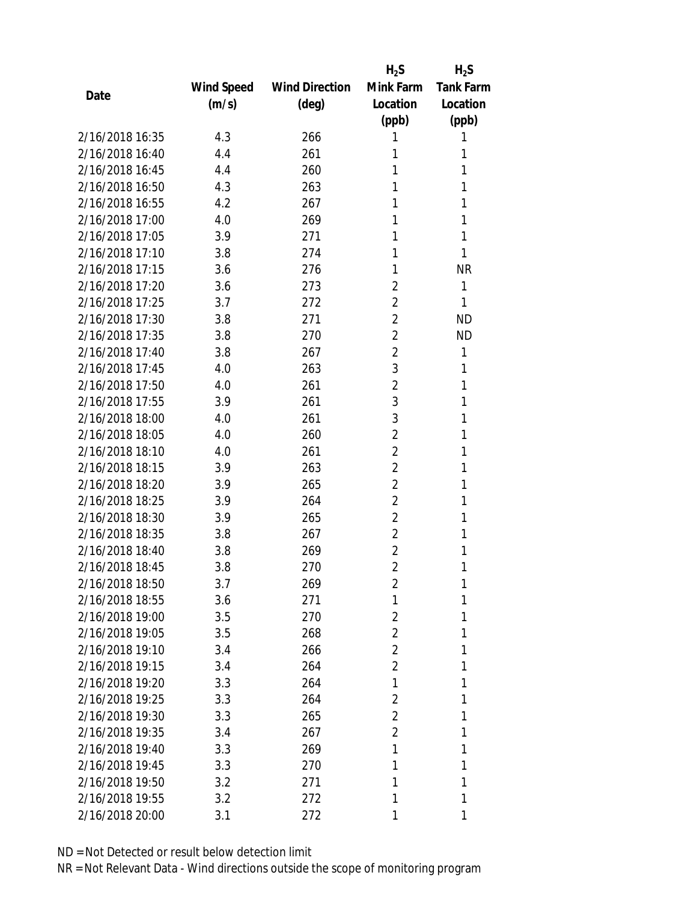|                 |            |                       | $H_2S$         | $H_2S$           |
|-----------------|------------|-----------------------|----------------|------------------|
|                 | Wind Speed | <b>Wind Direction</b> | Mink Farm      | <b>Tank Farm</b> |
| Date            | (m/s)      | $(\text{deg})$        | Location       | Location         |
|                 |            |                       | (ppb)          | (ppb)            |
| 2/16/2018 16:35 | 4.3        | 266                   | 1              | 1                |
| 2/16/2018 16:40 | 4.4        | 261                   | 1              | 1                |
| 2/16/2018 16:45 | 4.4        | 260                   | 1              | 1                |
| 2/16/2018 16:50 | 4.3        | 263                   | 1              | 1                |
| 2/16/2018 16:55 | 4.2        | 267                   | 1              | 1                |
| 2/16/2018 17:00 | 4.0        | 269                   | 1              | 1                |
| 2/16/2018 17:05 | 3.9        | 271                   | 1              | 1                |
| 2/16/2018 17:10 | 3.8        | 274                   | 1              | 1                |
| 2/16/2018 17:15 | 3.6        | 276                   | 1              | <b>NR</b>        |
| 2/16/2018 17:20 | 3.6        | 273                   | $\overline{2}$ | 1                |
| 2/16/2018 17:25 | 3.7        | 272                   | 2              | 1                |
| 2/16/2018 17:30 | 3.8        | 271                   | $\overline{2}$ | <b>ND</b>        |
| 2/16/2018 17:35 | 3.8        | 270                   | 2              | <b>ND</b>        |
| 2/16/2018 17:40 | 3.8        | 267                   | $\overline{2}$ | 1                |
| 2/16/2018 17:45 | 4.0        | 263                   | 3              | 1                |
| 2/16/2018 17:50 | 4.0        | 261                   | $\overline{2}$ | 1                |
| 2/16/2018 17:55 | 3.9        | 261                   | 3              | 1                |
| 2/16/2018 18:00 | 4.0        | 261                   | 3              | 1                |
| 2/16/2018 18:05 | 4.0        | 260                   | $\overline{2}$ | 1                |
| 2/16/2018 18:10 | 4.0        | 261                   | $\overline{2}$ | 1                |
| 2/16/2018 18:15 | 3.9        | 263                   | 2              | 1                |
| 2/16/2018 18:20 | 3.9        | 265                   | $\overline{2}$ | 1                |
| 2/16/2018 18:25 | 3.9        | 264                   | 2              | 1                |
| 2/16/2018 18:30 | 3.9        | 265                   | 2              | 1                |
| 2/16/2018 18:35 | 3.8        | 267                   | 2              | 1                |
| 2/16/2018 18:40 | 3.8        | 269                   | 2              | 1                |
| 2/16/2018 18:45 | 3.8        | 270                   | $\overline{2}$ | 1                |
| 2/16/2018 18:50 | 3.7        | 269                   | $\overline{2}$ | 1                |
| 2/16/2018 18:55 | 3.6        | 271                   | 1              | 1                |
| 2/16/2018 19:00 | 3.5        | 270                   | 2              | 1                |
| 2/16/2018 19:05 | 3.5        | 268                   | 2              | 1                |
| 2/16/2018 19:10 | 3.4        | 266                   | $\overline{2}$ | 1                |
| 2/16/2018 19:15 | 3.4        | 264                   | 2              | 1                |
| 2/16/2018 19:20 | 3.3        | 264                   | 1              | 1                |
| 2/16/2018 19:25 | 3.3        | 264                   | 2              | 1                |
| 2/16/2018 19:30 | 3.3        | 265                   | $\overline{2}$ | 1                |
| 2/16/2018 19:35 | 3.4        | 267                   | $\overline{2}$ | 1                |
| 2/16/2018 19:40 | 3.3        | 269                   | 1              | 1                |
| 2/16/2018 19:45 | 3.3        | 270                   | 1              | 1                |
| 2/16/2018 19:50 | 3.2        | 271                   | 1              | 1                |
| 2/16/2018 19:55 | 3.2        | 272                   | 1              | 1                |
| 2/16/2018 20:00 | 3.1        | 272                   | 1              | 1                |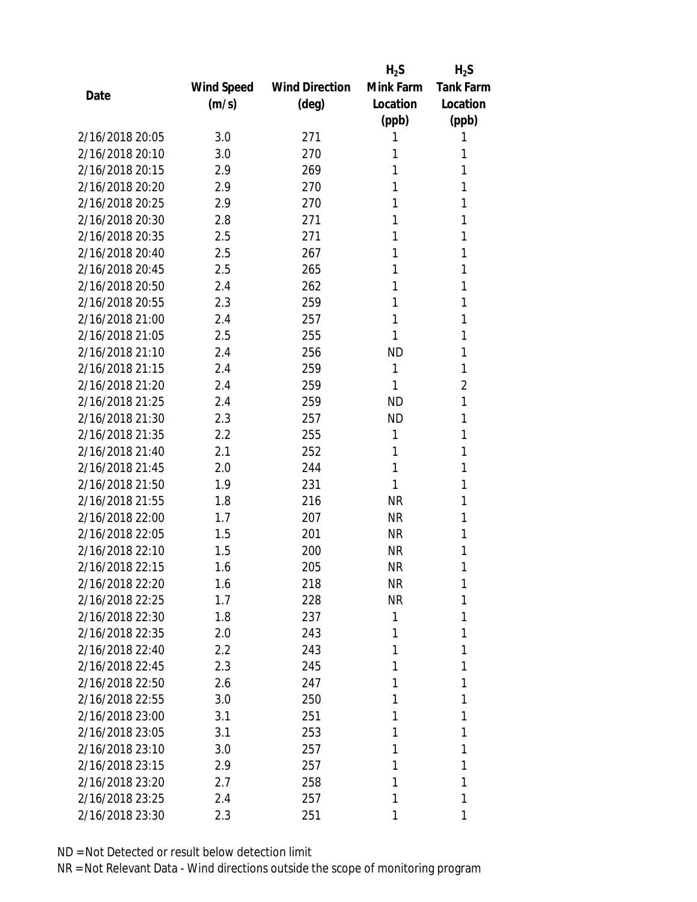|                 |            |                       | $H_2S$    | $H_2S$           |
|-----------------|------------|-----------------------|-----------|------------------|
|                 | Wind Speed | <b>Wind Direction</b> | Mink Farm | <b>Tank Farm</b> |
| Date            | (m/s)      | $(\text{deg})$        | Location  | Location         |
|                 |            |                       | (ppb)     | (ppb)            |
| 2/16/2018 20:05 | 3.0        | 271                   | 1         | 1                |
| 2/16/2018 20:10 | 3.0        | 270                   | 1         | 1                |
| 2/16/2018 20:15 | 2.9        | 269                   | 1         | 1                |
| 2/16/2018 20:20 | 2.9        | 270                   | 1         | 1                |
| 2/16/2018 20:25 | 2.9        | 270                   | 1         | 1                |
| 2/16/2018 20:30 | 2.8        | 271                   | 1         | 1                |
| 2/16/2018 20:35 | 2.5        | 271                   | 1         | 1                |
| 2/16/2018 20:40 | 2.5        | 267                   | 1         | 1                |
| 2/16/2018 20:45 | 2.5        | 265                   | 1         | 1                |
| 2/16/2018 20:50 | 2.4        | 262                   | 1         | 1                |
| 2/16/2018 20:55 | 2.3        | 259                   | 1         | 1                |
| 2/16/2018 21:00 | 2.4        | 257                   | 1         | 1                |
| 2/16/2018 21:05 | 2.5        | 255                   | 1         | 1                |
| 2/16/2018 21:10 | 2.4        | 256                   | <b>ND</b> | 1                |
| 2/16/2018 21:15 | 2.4        | 259                   | 1         | 1                |
| 2/16/2018 21:20 | 2.4        | 259                   | 1         | $\overline{2}$   |
| 2/16/2018 21:25 | 2.4        | 259                   | <b>ND</b> | 1                |
| 2/16/2018 21:30 | 2.3        | 257                   | <b>ND</b> | 1                |
| 2/16/2018 21:35 | 2.2        | 255                   | 1         | 1                |
| 2/16/2018 21:40 | 2.1        | 252                   | 1         | 1                |
| 2/16/2018 21:45 | 2.0        | 244                   | 1         | 1                |
| 2/16/2018 21:50 | 1.9        | 231                   | 1         | 1                |
| 2/16/2018 21:55 | 1.8        | 216                   | <b>NR</b> | 1                |
| 2/16/2018 22:00 | 1.7        | 207                   | <b>NR</b> | 1                |
| 2/16/2018 22:05 | 1.5        | 201                   | <b>NR</b> | 1                |
| 2/16/2018 22:10 | 1.5        | 200                   | <b>NR</b> | 1                |
| 2/16/2018 22:15 | 1.6        | 205                   | <b>NR</b> | 1                |
| 2/16/2018 22:20 | 1.6        | 218                   | <b>NR</b> | 1                |
| 2/16/2018 22:25 | 1.7        | 228                   | <b>NR</b> | 1                |
| 2/16/2018 22:30 | 1.8        | 237                   | 1         | 1                |
| 2/16/2018 22:35 | 2.0        | 243                   | 1         | 1                |
| 2/16/2018 22:40 | 2.2        | 243                   | 1         | 1                |
| 2/16/2018 22:45 | 2.3        | 245                   | 1         | 1                |
| 2/16/2018 22:50 | 2.6        | 247                   | 1         | 1                |
| 2/16/2018 22:55 | 3.0        | 250                   | 1         | 1                |
| 2/16/2018 23:00 | 3.1        | 251                   | 1         | 1                |
| 2/16/2018 23:05 | 3.1        | 253                   | 1         | 1                |
| 2/16/2018 23:10 | 3.0        | 257                   | 1         | 1                |
| 2/16/2018 23:15 | 2.9        | 257                   | 1         | 1                |
| 2/16/2018 23:20 |            |                       | 1         | 1                |
|                 | 2.7        | 258                   |           |                  |
| 2/16/2018 23:25 | 2.4        | 257                   | 1         | 1                |
| 2/16/2018 23:30 | 2.3        | 251                   | 1         | 1                |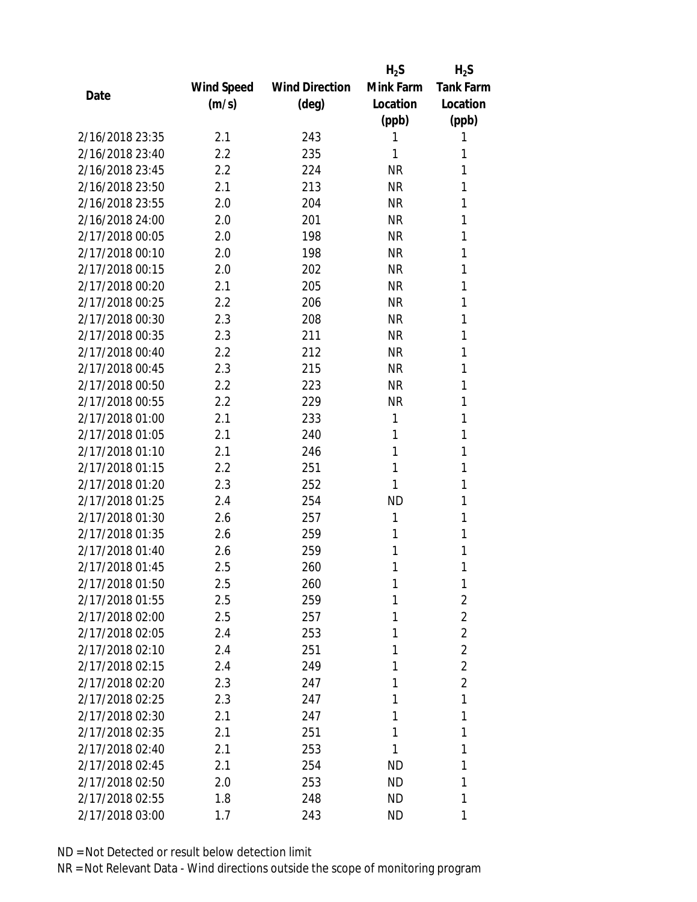|                 |            |                       | $H_2S$    | $H_2S$           |
|-----------------|------------|-----------------------|-----------|------------------|
|                 | Wind Speed | <b>Wind Direction</b> | Mink Farm | <b>Tank Farm</b> |
| Date            | (m/s)      | $(\text{deg})$        | Location  | Location         |
|                 |            |                       | (ppb)     | (ppb)            |
| 2/16/2018 23:35 | 2.1        | 243                   | 1         | 1                |
| 2/16/2018 23:40 | 2.2        | 235                   | 1         | 1                |
| 2/16/2018 23:45 | 2.2        | 224                   | <b>NR</b> | 1                |
| 2/16/2018 23:50 | 2.1        | 213                   | <b>NR</b> | 1                |
| 2/16/2018 23:55 | 2.0        | 204                   | <b>NR</b> | 1                |
| 2/16/2018 24:00 | 2.0        | 201                   | <b>NR</b> | 1                |
| 2/17/2018 00:05 | 2.0        | 198                   | <b>NR</b> | 1                |
| 2/17/2018 00:10 | 2.0        | 198                   | <b>NR</b> | 1                |
| 2/17/2018 00:15 | 2.0        | 202                   | <b>NR</b> | 1                |
| 2/17/2018 00:20 | 2.1        | 205                   | <b>NR</b> | 1                |
| 2/17/2018 00:25 | 2.2        | 206                   | <b>NR</b> | 1                |
| 2/17/2018 00:30 | 2.3        | 208                   | <b>NR</b> | 1                |
| 2/17/2018 00:35 | 2.3        | 211                   | <b>NR</b> | 1                |
| 2/17/2018 00:40 | 2.2        | 212                   | <b>NR</b> | 1                |
| 2/17/2018 00:45 | 2.3        | 215                   | <b>NR</b> | 1                |
| 2/17/2018 00:50 | 2.2        | 223                   | <b>NR</b> | 1                |
| 2/17/2018 00:55 | 2.2        | 229                   | <b>NR</b> | 1                |
| 2/17/2018 01:00 | 2.1        | 233                   | 1         | 1                |
| 2/17/2018 01:05 | 2.1        | 240                   | 1         | 1                |
| 2/17/2018 01:10 | 2.1        | 246                   | 1         | 1                |
| 2/17/2018 01:15 | 2.2        | 251                   | 1         | 1                |
| 2/17/2018 01:20 | 2.3        | 252                   | 1         | 1                |
| 2/17/2018 01:25 | 2.4        | 254                   | <b>ND</b> | 1                |
| 2/17/2018 01:30 | 2.6        | 257                   | 1         | 1                |
| 2/17/2018 01:35 | 2.6        | 259                   | 1         | 1                |
| 2/17/2018 01:40 | 2.6        | 259                   | 1         | 1                |
| 2/17/2018 01:45 | 2.5        | 260                   | 1         | 1                |
| 2/17/2018 01:50 | 2.5        | 260                   | 1         | 1                |
| 2/17/2018 01:55 | 2.5        | 259                   | 1         | $\overline{2}$   |
| 2/17/2018 02:00 | 2.5        | 257                   | 1         | $\overline{2}$   |
| 2/17/2018 02:05 | 2.4        | 253                   | 1         | $\overline{2}$   |
| 2/17/2018 02:10 | 2.4        | 251                   | 1         | $\overline{2}$   |
| 2/17/2018 02:15 | 2.4        | 249                   | 1         | $\overline{2}$   |
| 2/17/2018 02:20 | 2.3        | 247                   | 1         | $\overline{2}$   |
| 2/17/2018 02:25 | 2.3        | 247                   | 1         | 1                |
| 2/17/2018 02:30 | 2.1        | 247                   | 1         | 1                |
| 2/17/2018 02:35 | 2.1        | 251                   | 1         | 1                |
| 2/17/2018 02:40 | 2.1        | 253                   | 1         | 1                |
| 2/17/2018 02:45 | 2.1        | 254                   | <b>ND</b> | 1                |
| 2/17/2018 02:50 | 2.0        | 253                   | ND        | 1                |
| 2/17/2018 02:55 | 1.8        | 248                   | ND        | 1                |
|                 |            |                       |           | 1                |
| 2/17/2018 03:00 | 1.7        | 243                   | ND        |                  |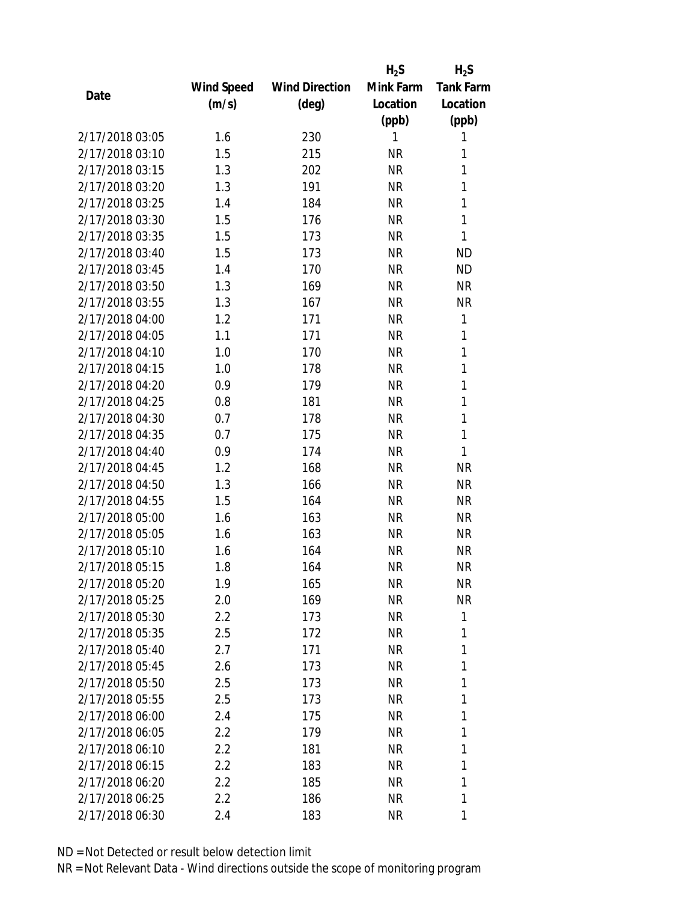|                 |            |                       | $H_2S$    | $H_2S$           |
|-----------------|------------|-----------------------|-----------|------------------|
|                 | Wind Speed | <b>Wind Direction</b> | Mink Farm | <b>Tank Farm</b> |
| Date            | (m/s)      | $(\text{deg})$        | Location  | Location         |
|                 |            |                       | (ppb)     | (ppb)            |
| 2/17/2018 03:05 | 1.6        | 230                   | 1         | 1                |
| 2/17/2018 03:10 | 1.5        | 215                   | <b>NR</b> | 1                |
| 2/17/2018 03:15 | 1.3        | 202                   | <b>NR</b> | 1                |
| 2/17/2018 03:20 | 1.3        | 191                   | <b>NR</b> | 1                |
| 2/17/2018 03:25 | 1.4        | 184                   | <b>NR</b> | 1                |
| 2/17/2018 03:30 | 1.5        | 176                   | <b>NR</b> | $\mathbf{1}$     |
| 2/17/2018 03:35 | 1.5        | 173                   | <b>NR</b> | 1                |
| 2/17/2018 03:40 | 1.5        | 173                   | <b>NR</b> | <b>ND</b>        |
| 2/17/2018 03:45 | 1.4        | 170                   | <b>NR</b> | <b>ND</b>        |
| 2/17/2018 03:50 | 1.3        | 169                   | <b>NR</b> | <b>NR</b>        |
| 2/17/2018 03:55 | 1.3        | 167                   | <b>NR</b> | <b>NR</b>        |
| 2/17/2018 04:00 | 1.2        | 171                   | <b>NR</b> | 1                |
| 2/17/2018 04:05 | 1.1        | 171                   | <b>NR</b> | 1                |
| 2/17/2018 04:10 | 1.0        | 170                   | <b>NR</b> | 1                |
| 2/17/2018 04:15 | 1.0        | 178                   | <b>NR</b> | $\mathbf{1}$     |
| 2/17/2018 04:20 | 0.9        | 179                   | <b>NR</b> | 1                |
| 2/17/2018 04:25 | 0.8        | 181                   | <b>NR</b> | 1                |
| 2/17/2018 04:30 | 0.7        | 178                   | <b>NR</b> | $\mathbf{1}$     |
| 2/17/2018 04:35 | 0.7        | 175                   | <b>NR</b> | $\mathbf{1}$     |
| 2/17/2018 04:40 | 0.9        | 174                   | <b>NR</b> | 1                |
| 2/17/2018 04:45 | 1.2        | 168                   | <b>NR</b> | <b>NR</b>        |
| 2/17/2018 04:50 | 1.3        | 166                   | <b>NR</b> | <b>NR</b>        |
| 2/17/2018 04:55 | 1.5        | 164                   | <b>NR</b> | <b>NR</b>        |
| 2/17/2018 05:00 | 1.6        | 163                   | <b>NR</b> | <b>NR</b>        |
| 2/17/2018 05:05 | 1.6        | 163                   | <b>NR</b> | <b>NR</b>        |
| 2/17/2018 05:10 | 1.6        | 164                   | <b>NR</b> | <b>NR</b>        |
| 2/17/2018 05:15 | 1.8        | 164                   | <b>NR</b> | <b>NR</b>        |
| 2/17/2018 05:20 | 1.9        | 165                   | NR        | <b>NR</b>        |
| 2/17/2018 05:25 | 2.0        | 169                   | <b>NR</b> | <b>NR</b>        |
| 2/17/2018 05:30 | 2.2        | 173                   | NR        | 1                |
| 2/17/2018 05:35 | 2.5        | 172                   | NR        | 1                |
| 2/17/2018 05:40 | 2.7        | 171                   | <b>NR</b> | 1                |
| 2/17/2018 05:45 | 2.6        | 173                   | NR        | 1                |
| 2/17/2018 05:50 | 2.5        | 173                   | <b>NR</b> | 1                |
| 2/17/2018 05:55 | 2.5        | 173                   | NR        | 1                |
| 2/17/2018 06:00 | 2.4        | 175                   | NR        | 1                |
| 2/17/2018 06:05 | 2.2        | 179                   | ΝR        | 1                |
| 2/17/2018 06:10 | 2.2        | 181                   | ΝR        | 1                |
| 2/17/2018 06:15 | 2.2        | 183                   | <b>NR</b> | 1                |
| 2/17/2018 06:20 | 2.2        | 185                   | NR        | 1                |
| 2/17/2018 06:25 | 2.2        | 186                   | <b>NR</b> | 1                |
| 2/17/2018 06:30 | 2.4        | 183                   | NR        | 1                |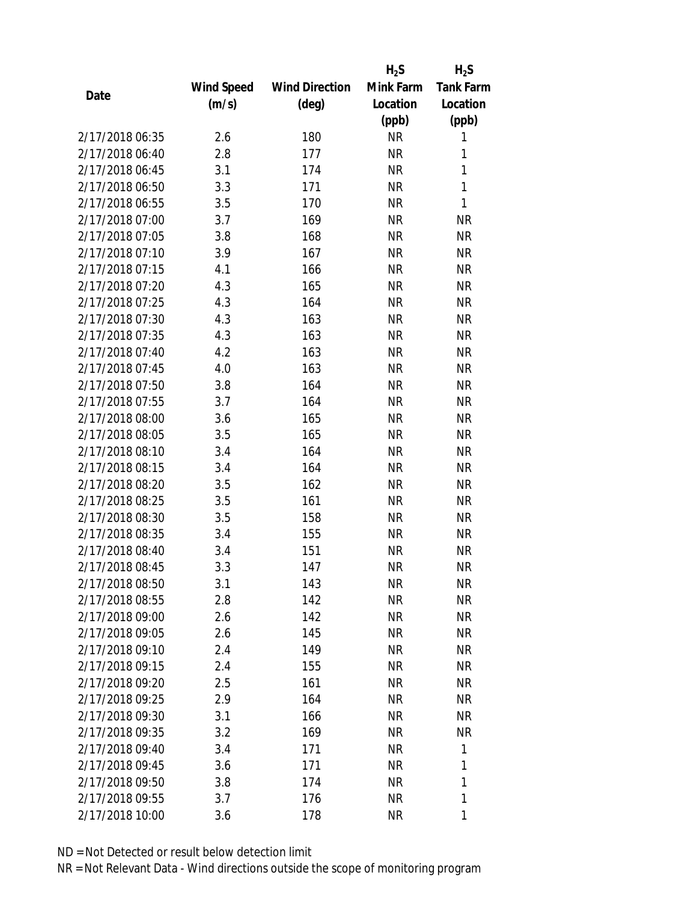|                 |            |                       | $H_2S$    | $H_2S$           |
|-----------------|------------|-----------------------|-----------|------------------|
|                 | Wind Speed | <b>Wind Direction</b> | Mink Farm | <b>Tank Farm</b> |
| Date            | (m/s)      | (deg)                 | Location  | Location         |
|                 |            |                       | (ppb)     | (ppb)            |
| 2/17/2018 06:35 | 2.6        | 180                   | <b>NR</b> | 1                |
| 2/17/2018 06:40 | 2.8        | 177                   | <b>NR</b> | 1                |
| 2/17/2018 06:45 | 3.1        | 174                   | <b>NR</b> | $\mathbf{1}$     |
| 2/17/2018 06:50 | 3.3        | 171                   | <b>NR</b> | 1                |
| 2/17/2018 06:55 | 3.5        | 170                   | <b>NR</b> | 1                |
| 2/17/2018 07:00 | 3.7        | 169                   | <b>NR</b> | <b>NR</b>        |
| 2/17/2018 07:05 | 3.8        | 168                   | <b>NR</b> | <b>NR</b>        |
| 2/17/2018 07:10 | 3.9        | 167                   | <b>NR</b> | <b>NR</b>        |
| 2/17/2018 07:15 | 4.1        | 166                   | <b>NR</b> | <b>NR</b>        |
| 2/17/2018 07:20 | 4.3        | 165                   | <b>NR</b> | <b>NR</b>        |
| 2/17/2018 07:25 | 4.3        | 164                   | <b>NR</b> | <b>NR</b>        |
| 2/17/2018 07:30 | 4.3        | 163                   | <b>NR</b> | <b>NR</b>        |
| 2/17/2018 07:35 | 4.3        | 163                   | <b>NR</b> | <b>NR</b>        |
| 2/17/2018 07:40 | 4.2        | 163                   | <b>NR</b> | <b>NR</b>        |
| 2/17/2018 07:45 | 4.0        | 163                   | <b>NR</b> | <b>NR</b>        |
| 2/17/2018 07:50 | 3.8        | 164                   | <b>NR</b> | <b>NR</b>        |
| 2/17/2018 07:55 | 3.7        | 164                   | <b>NR</b> | <b>NR</b>        |
| 2/17/2018 08:00 | 3.6        | 165                   | <b>NR</b> | <b>NR</b>        |
| 2/17/2018 08:05 | 3.5        | 165                   | <b>NR</b> | <b>NR</b>        |
| 2/17/2018 08:10 | 3.4        | 164                   | <b>NR</b> | <b>NR</b>        |
| 2/17/2018 08:15 | 3.4        | 164                   | <b>NR</b> | <b>NR</b>        |
| 2/17/2018 08:20 | 3.5        | 162                   | <b>NR</b> | <b>NR</b>        |
| 2/17/2018 08:25 | 3.5        | 161                   | <b>NR</b> | <b>NR</b>        |
| 2/17/2018 08:30 | 3.5        | 158                   | <b>NR</b> | <b>NR</b>        |
| 2/17/2018 08:35 | 3.4        | 155                   | <b>NR</b> | <b>NR</b>        |
| 2/17/2018 08:40 | 3.4        | 151                   | <b>NR</b> | <b>NR</b>        |
| 2/17/2018 08:45 | 3.3        | 147                   | <b>NR</b> | <b>NR</b>        |
| 2/17/2018 08:50 | 3.1        | 143                   | ΝR        | ΝR               |
| 2/17/2018 08:55 | 2.8        | 142                   | <b>NR</b> | <b>NR</b>        |
| 2/17/2018 09:00 | 2.6        | 142                   | NR        | <b>NR</b>        |
| 2/17/2018 09:05 | 2.6        | 145                   | <b>NR</b> | NR               |
| 2/17/2018 09:10 | 2.4        | 149                   | <b>NR</b> | NR.              |
| 2/17/2018 09:15 | 2.4        | 155                   | NR        | NR               |
| 2/17/2018 09:20 | 2.5        | 161                   | <b>NR</b> | <b>NR</b>        |
| 2/17/2018 09:25 | 2.9        | 164                   | <b>NR</b> | <b>NR</b>        |
| 2/17/2018 09:30 | 3.1        | 166                   | <b>NR</b> | <b>NR</b>        |
|                 |            |                       |           |                  |
| 2/17/2018 09:35 | 3.2        | 169                   | NR        | NR               |
| 2/17/2018 09:40 | 3.4        | 171                   | NR        | 1                |
| 2/17/2018 09:45 | 3.6        | 171                   | <b>NR</b> | 1                |
| 2/17/2018 09:50 | 3.8        | 174                   | NR        | 1                |
| 2/17/2018 09:55 | 3.7        | 176                   | <b>NR</b> | 1                |
| 2/17/2018 10:00 | 3.6        | 178                   | <b>NR</b> | 1                |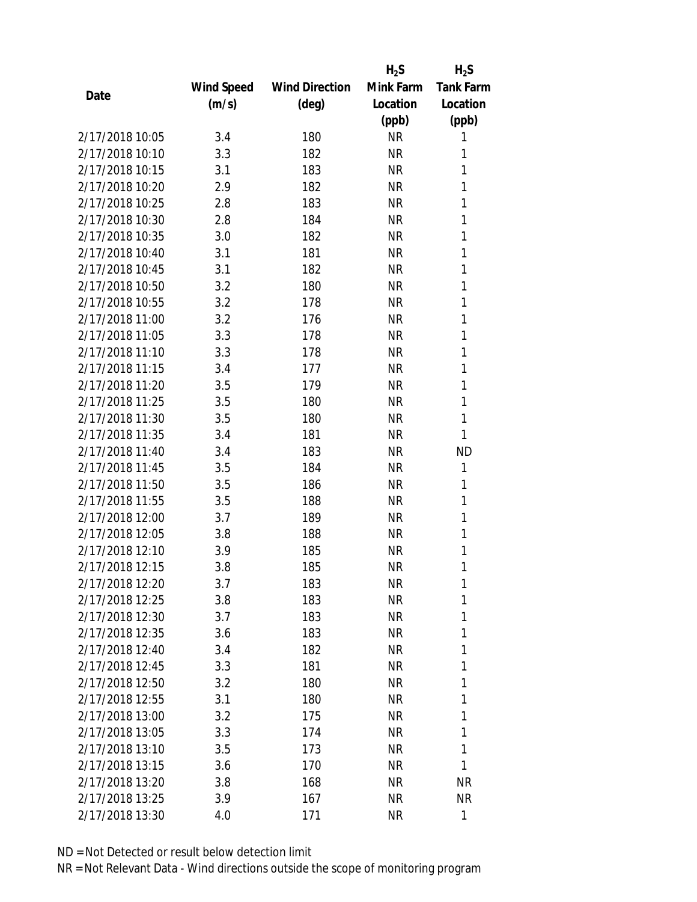|                 |            |                       | $H_2S$    | $H_2S$           |
|-----------------|------------|-----------------------|-----------|------------------|
|                 | Wind Speed | <b>Wind Direction</b> | Mink Farm | <b>Tank Farm</b> |
| Date            | (m/s)      | (deg)                 | Location  | Location         |
|                 |            |                       | (ppb)     | (ppb)            |
| 2/17/2018 10:05 | 3.4        | 180                   | <b>NR</b> | 1                |
| 2/17/2018 10:10 | 3.3        | 182                   | <b>NR</b> | 1                |
| 2/17/2018 10:15 | 3.1        | 183                   | <b>NR</b> | 1                |
| 2/17/2018 10:20 | 2.9        | 182                   | <b>NR</b> | 1                |
| 2/17/2018 10:25 | 2.8        | 183                   | <b>NR</b> | 1                |
| 2/17/2018 10:30 | 2.8        | 184                   | <b>NR</b> | 1                |
| 2/17/2018 10:35 | 3.0        | 182                   | <b>NR</b> | 1                |
| 2/17/2018 10:40 | 3.1        | 181                   | <b>NR</b> | 1                |
| 2/17/2018 10:45 | 3.1        | 182                   | <b>NR</b> | 1                |
| 2/17/2018 10:50 | 3.2        | 180                   | <b>NR</b> | 1                |
| 2/17/2018 10:55 | 3.2        | 178                   | <b>NR</b> | 1                |
| 2/17/2018 11:00 | 3.2        | 176                   | <b>NR</b> | 1                |
| 2/17/2018 11:05 | 3.3        | 178                   | <b>NR</b> | 1                |
| 2/17/2018 11:10 | 3.3        | 178                   | <b>NR</b> | 1                |
| 2/17/2018 11:15 | 3.4        | 177                   | <b>NR</b> | 1                |
| 2/17/2018 11:20 | 3.5        | 179                   | <b>NR</b> | 1                |
| 2/17/2018 11:25 | 3.5        | 180                   | <b>NR</b> | 1                |
| 2/17/2018 11:30 | 3.5        | 180                   | <b>NR</b> | 1                |
| 2/17/2018 11:35 | 3.4        | 181                   | <b>NR</b> | 1                |
| 2/17/2018 11:40 | 3.4        | 183                   | <b>NR</b> | <b>ND</b>        |
| 2/17/2018 11:45 | 3.5        | 184                   | <b>NR</b> | 1                |
| 2/17/2018 11:50 | 3.5        | 186                   | <b>NR</b> | 1                |
| 2/17/2018 11:55 | 3.5        | 188                   | <b>NR</b> | 1                |
| 2/17/2018 12:00 | 3.7        | 189                   | <b>NR</b> | 1                |
| 2/17/2018 12:05 | 3.8        | 188                   | <b>NR</b> | 1                |
| 2/17/2018 12:10 | 3.9        | 185                   | <b>NR</b> | 1                |
| 2/17/2018 12:15 | 3.8        | 185                   | <b>NR</b> | 1                |
| 2/17/2018 12:20 | 3.7        | 183                   | <b>NR</b> | 1                |
| 2/17/2018 12:25 | 3.8        | 183                   | <b>NR</b> | 1                |
| 2/17/2018 12:30 | 3.7        | 183                   | NR        | 1                |
| 2/17/2018 12:35 | 3.6        | 183                   | <b>NR</b> | 1                |
| 2/17/2018 12:40 | 3.4        | 182                   | <b>NR</b> | 1                |
| 2/17/2018 12:45 | 3.3        | 181                   | <b>NR</b> | 1                |
| 2/17/2018 12:50 | 3.2        | 180                   | <b>NR</b> | 1                |
| 2/17/2018 12:55 | 3.1        | 180                   | NR        | 1                |
| 2/17/2018 13:00 | 3.2        | 175                   | <b>NR</b> | 1                |
| 2/17/2018 13:05 | 3.3        | 174                   | NR        | 1                |
| 2/17/2018 13:10 | 3.5        | 173                   | NR        | 1                |
| 2/17/2018 13:15 | 3.6        | 170                   | <b>NR</b> | 1                |
| 2/17/2018 13:20 | 3.8        | 168                   | NR        | <b>NR</b>        |
| 2/17/2018 13:25 | 3.9        | 167                   | <b>NR</b> | <b>NR</b>        |
| 2/17/2018 13:30 | 4.0        | 171                   | <b>NR</b> | 1                |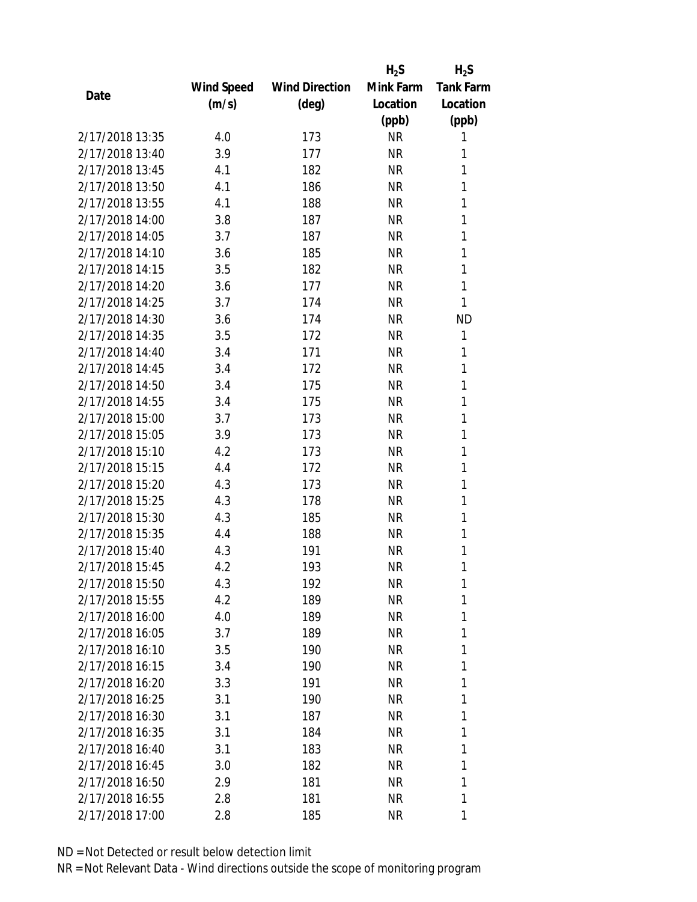|                 |            |                       | $H_2S$    | $H_2S$           |
|-----------------|------------|-----------------------|-----------|------------------|
|                 | Wind Speed | <b>Wind Direction</b> | Mink Farm | <b>Tank Farm</b> |
| Date            | (m/s)      | (deg)                 | Location  | Location         |
|                 |            |                       | (ppb)     | (ppb)            |
| 2/17/2018 13:35 | 4.0        | 173                   | <b>NR</b> | 1                |
| 2/17/2018 13:40 | 3.9        | 177                   | <b>NR</b> | 1                |
| 2/17/2018 13:45 | 4.1        | 182                   | <b>NR</b> | 1                |
| 2/17/2018 13:50 | 4.1        | 186                   | <b>NR</b> | 1                |
| 2/17/2018 13:55 | 4.1        | 188                   | <b>NR</b> | 1                |
| 2/17/2018 14:00 | 3.8        | 187                   | <b>NR</b> | 1                |
| 2/17/2018 14:05 | 3.7        | 187                   | <b>NR</b> | 1                |
| 2/17/2018 14:10 | 3.6        | 185                   | <b>NR</b> | 1                |
| 2/17/2018 14:15 | 3.5        | 182                   | <b>NR</b> | 1                |
| 2/17/2018 14:20 | 3.6        | 177                   | <b>NR</b> | 1                |
| 2/17/2018 14:25 | 3.7        | 174                   | <b>NR</b> | 1                |
| 2/17/2018 14:30 | 3.6        | 174                   | <b>NR</b> | <b>ND</b>        |
| 2/17/2018 14:35 | 3.5        | 172                   | <b>NR</b> | 1                |
| 2/17/2018 14:40 | 3.4        | 171                   | <b>NR</b> | 1                |
| 2/17/2018 14:45 | 3.4        | 172                   | <b>NR</b> | 1                |
| 2/17/2018 14:50 | 3.4        | 175                   | <b>NR</b> | 1                |
| 2/17/2018 14:55 | 3.4        | 175                   | <b>NR</b> | 1                |
| 2/17/2018 15:00 | 3.7        | 173                   | <b>NR</b> | 1                |
| 2/17/2018 15:05 | 3.9        | 173                   | <b>NR</b> | 1                |
| 2/17/2018 15:10 | 4.2        | 173                   | <b>NR</b> | 1                |
| 2/17/2018 15:15 | 4.4        | 172                   | <b>NR</b> | 1                |
| 2/17/2018 15:20 | 4.3        | 173                   | <b>NR</b> | 1                |
| 2/17/2018 15:25 | 4.3        | 178                   | <b>NR</b> | 1                |
| 2/17/2018 15:30 | 4.3        | 185                   | <b>NR</b> | 1                |
| 2/17/2018 15:35 | 4.4        | 188                   | <b>NR</b> | 1                |
| 2/17/2018 15:40 | 4.3        | 191                   | <b>NR</b> | 1                |
| 2/17/2018 15:45 | 4.2        | 193                   | <b>NR</b> | 1                |
| 2/17/2018 15:50 | 4.3        | 192                   | ΝR        | 1                |
| 2/17/2018 15:55 | 4.2        | 189                   | <b>NR</b> | 1                |
| 2/17/2018 16:00 | 4.0        | 189                   | NR        | 1                |
| 2/17/2018 16:05 | 3.7        | 189                   | ΝR        | 1                |
| 2/17/2018 16:10 | 3.5        | 190                   | ΝR        | 1                |
| 2/17/2018 16:15 | 3.4        | 190                   | ΝR        | 1                |
| 2/17/2018 16:20 | 3.3        | 191                   | <b>NR</b> | 1                |
| 2/17/2018 16:25 | 3.1        | 190                   | NR        | 1                |
| 2/17/2018 16:30 | 3.1        | 187                   | <b>NR</b> | 1                |
| 2/17/2018 16:35 | 3.1        | 184                   | ΝR        | 1                |
| 2/17/2018 16:40 | 3.1        | 183                   | ΝR        | 1                |
| 2/17/2018 16:45 | 3.0        | 182                   | ΝR        | 1                |
| 2/17/2018 16:50 | 2.9        | 181                   | ΝR        | 1                |
| 2/17/2018 16:55 | 2.8        | 181                   | <b>NR</b> | 1                |
| 2/17/2018 17:00 | 2.8        | 185                   | <b>NR</b> | 1                |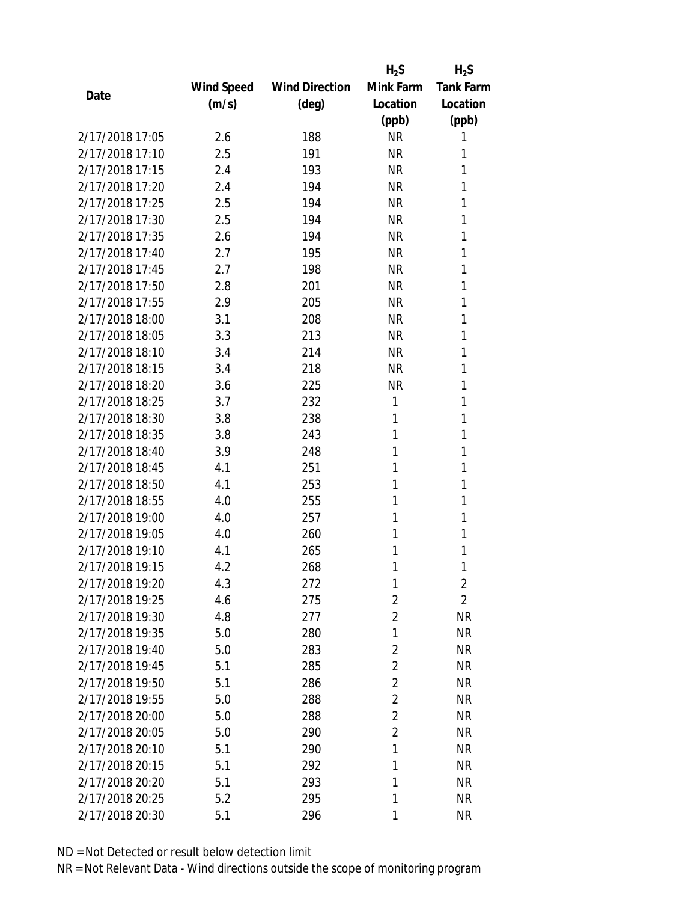|                 |            |                       | $H_2S$         | $H_2S$           |
|-----------------|------------|-----------------------|----------------|------------------|
|                 | Wind Speed | <b>Wind Direction</b> | Mink Farm      | <b>Tank Farm</b> |
| Date            | (m/s)      | $(\text{deg})$        | Location       | Location         |
|                 |            |                       | (ppb)          | (ppb)            |
| 2/17/2018 17:05 | 2.6        | 188                   | <b>NR</b>      | 1                |
| 2/17/2018 17:10 | 2.5        | 191                   | <b>NR</b>      | 1                |
| 2/17/2018 17:15 | 2.4        | 193                   | <b>NR</b>      | 1                |
| 2/17/2018 17:20 | 2.4        | 194                   | <b>NR</b>      | 1                |
| 2/17/2018 17:25 | 2.5        | 194                   | <b>NR</b>      | 1                |
| 2/17/2018 17:30 | 2.5        | 194                   | <b>NR</b>      | 1                |
| 2/17/2018 17:35 | 2.6        | 194                   | <b>NR</b>      | 1                |
| 2/17/2018 17:40 | 2.7        | 195                   | <b>NR</b>      | 1                |
| 2/17/2018 17:45 | 2.7        | 198                   | <b>NR</b>      | 1                |
| 2/17/2018 17:50 | 2.8        | 201                   | <b>NR</b>      | 1                |
| 2/17/2018 17:55 | 2.9        | 205                   | <b>NR</b>      | 1                |
| 2/17/2018 18:00 | 3.1        | 208                   | <b>NR</b>      | 1                |
| 2/17/2018 18:05 | 3.3        | 213                   | <b>NR</b>      | 1                |
| 2/17/2018 18:10 | 3.4        | 214                   | <b>NR</b>      | 1                |
| 2/17/2018 18:15 | 3.4        | 218                   | <b>NR</b>      | 1                |
| 2/17/2018 18:20 | 3.6        | 225                   | <b>NR</b>      | 1                |
| 2/17/2018 18:25 | 3.7        | 232                   | 1              | 1                |
| 2/17/2018 18:30 | 3.8        | 238                   | 1              | 1                |
| 2/17/2018 18:35 | 3.8        | 243                   | 1              | 1                |
| 2/17/2018 18:40 | 3.9        | 248                   | 1              | 1                |
| 2/17/2018 18:45 | 4.1        | 251                   | 1              | 1                |
| 2/17/2018 18:50 | 4.1        | 253                   | 1              | 1                |
| 2/17/2018 18:55 | 4.0        | 255                   | 1              | 1                |
| 2/17/2018 19:00 | 4.0        | 257                   | 1              | 1                |
| 2/17/2018 19:05 | 4.0        | 260                   | 1              | 1                |
| 2/17/2018 19:10 | 4.1        | 265                   | 1              | 1                |
| 2/17/2018 19:15 | 4.2        | 268                   | 1              | 1                |
| 2/17/2018 19:20 | 4.3        | 272                   | 1              | $\overline{2}$   |
| 2/17/2018 19:25 | 4.6        | 275                   | $\overline{2}$ | $\overline{2}$   |
| 2/17/2018 19:30 | 4.8        | 277                   | $\overline{2}$ | <b>NR</b>        |
| 2/17/2018 19:35 | 5.0        | 280                   | 1              | <b>NR</b>        |
| 2/17/2018 19:40 | 5.0        | 283                   | 2              | NR               |
| 2/17/2018 19:45 | 5.1        | 285                   | 2              | <b>NR</b>        |
| 2/17/2018 19:50 | 5.1        | 286                   | $\overline{2}$ | <b>NR</b>        |
| 2/17/2018 19:55 | 5.0        | 288                   | $\overline{2}$ | <b>NR</b>        |
| 2/17/2018 20:00 | 5.0        | 288                   | 2              | <b>NR</b>        |
| 2/17/2018 20:05 | 5.0        | 290                   | $\overline{2}$ | <b>NR</b>        |
| 2/17/2018 20:10 | 5.1        | 290                   | 1              | <b>NR</b>        |
| 2/17/2018 20:15 | 5.1        | 292                   | 1              | <b>NR</b>        |
| 2/17/2018 20:20 | 5.1        | 293                   | 1              | <b>NR</b>        |
| 2/17/2018 20:25 | 5.2        | 295                   | 1              | <b>NR</b>        |
| 2/17/2018 20:30 | 5.1        | 296                   | 1              | <b>NR</b>        |
|                 |            |                       |                |                  |